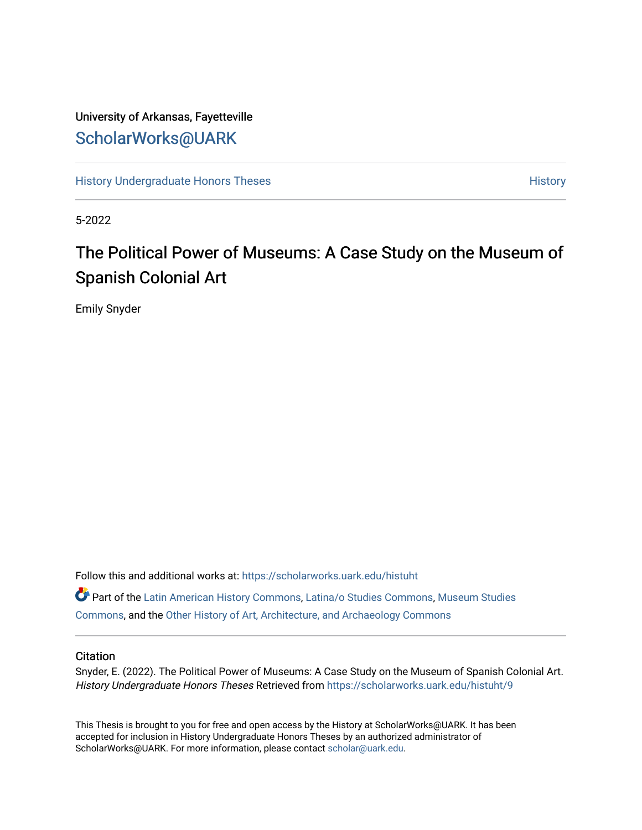## University of Arkansas, Fayetteville [ScholarWorks@UARK](https://scholarworks.uark.edu/)

[History Undergraduate Honors Theses](https://scholarworks.uark.edu/histuht) **History** History

5-2022

# The Political Power of Museums: A Case Study on the Museum of Spanish Colonial Art

Emily Snyder

Follow this and additional works at: [https://scholarworks.uark.edu/histuht](https://scholarworks.uark.edu/histuht?utm_source=scholarworks.uark.edu%2Fhistuht%2F9&utm_medium=PDF&utm_campaign=PDFCoverPages) 

Part of the [Latin American History Commons](http://network.bepress.com/hgg/discipline/494?utm_source=scholarworks.uark.edu%2Fhistuht%2F9&utm_medium=PDF&utm_campaign=PDFCoverPages), [Latina/o Studies Commons](http://network.bepress.com/hgg/discipline/1315?utm_source=scholarworks.uark.edu%2Fhistuht%2F9&utm_medium=PDF&utm_campaign=PDFCoverPages), [Museum Studies](http://network.bepress.com/hgg/discipline/1366?utm_source=scholarworks.uark.edu%2Fhistuht%2F9&utm_medium=PDF&utm_campaign=PDFCoverPages) [Commons](http://network.bepress.com/hgg/discipline/1366?utm_source=scholarworks.uark.edu%2Fhistuht%2F9&utm_medium=PDF&utm_campaign=PDFCoverPages), and the [Other History of Art, Architecture, and Archaeology Commons](http://network.bepress.com/hgg/discipline/517?utm_source=scholarworks.uark.edu%2Fhistuht%2F9&utm_medium=PDF&utm_campaign=PDFCoverPages)

### **Citation**

Snyder, E. (2022). The Political Power of Museums: A Case Study on the Museum of Spanish Colonial Art. History Undergraduate Honors Theses Retrieved from https://scholarworks.uark.edu/histuht/9

This Thesis is brought to you for free and open access by the History at ScholarWorks@UARK. It has been accepted for inclusion in History Undergraduate Honors Theses by an authorized administrator of ScholarWorks@UARK. For more information, please contact [scholar@uark.edu](mailto:scholar@uark.edu).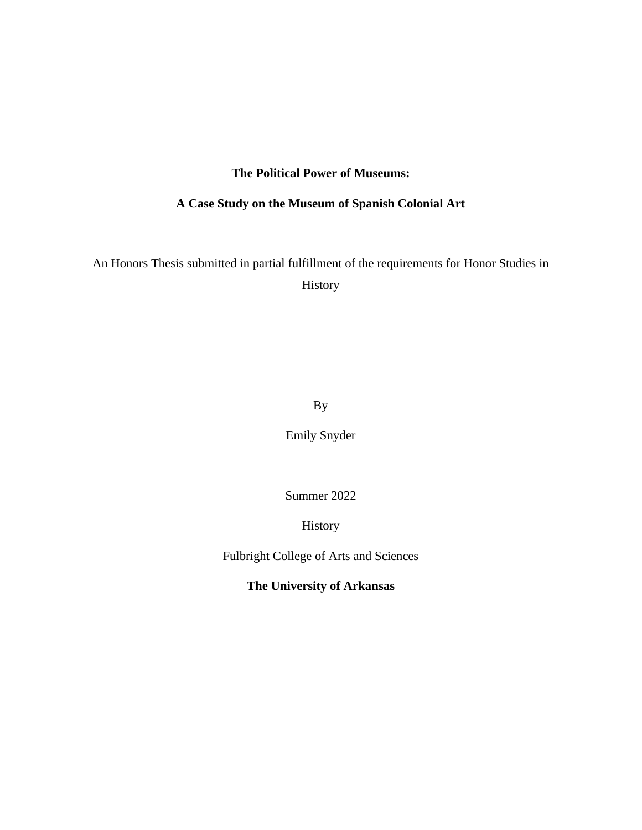### **The Political Power of Museums:**

### **A Case Study on the Museum of Spanish Colonial Art**

An Honors Thesis submitted in partial fulfillment of the requirements for Honor Studies in History

By

Emily Snyder

Summer 2022

History

Fulbright College of Arts and Sciences

**The University of Arkansas**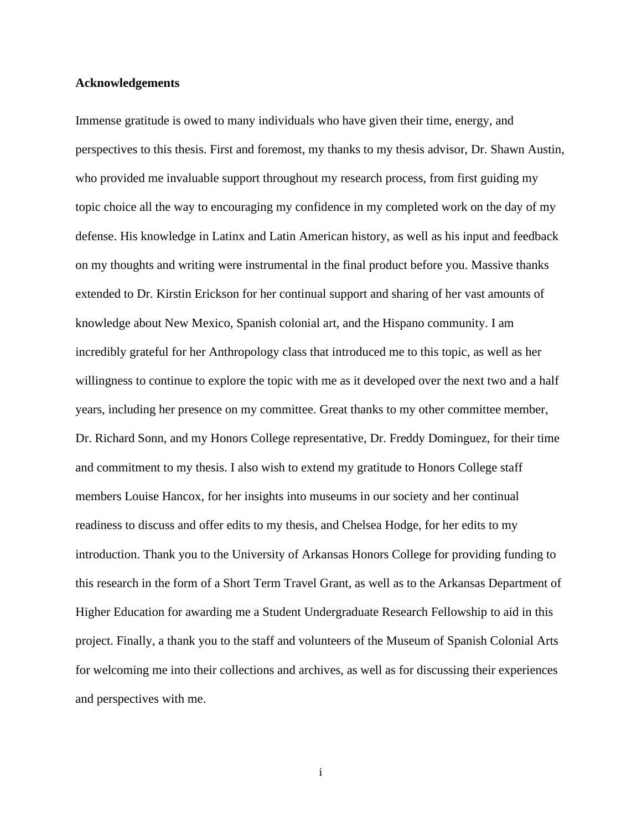#### **Acknowledgements**

Immense gratitude is owed to many individuals who have given their time, energy, and perspectives to this thesis. First and foremost, my thanks to my thesis advisor, Dr. Shawn Austin, who provided me invaluable support throughout my research process, from first guiding my topic choice all the way to encouraging my confidence in my completed work on the day of my defense. His knowledge in Latinx and Latin American history, as well as his input and feedback on my thoughts and writing were instrumental in the final product before you. Massive thanks extended to Dr. Kirstin Erickson for her continual support and sharing of her vast amounts of knowledge about New Mexico, Spanish colonial art, and the Hispano community. I am incredibly grateful for her Anthropology class that introduced me to this topic, as well as her willingness to continue to explore the topic with me as it developed over the next two and a half years, including her presence on my committee. Great thanks to my other committee member, Dr. Richard Sonn, and my Honors College representative, Dr. Freddy Dominguez, for their time and commitment to my thesis. I also wish to extend my gratitude to Honors College staff members Louise Hancox, for her insights into museums in our society and her continual readiness to discuss and offer edits to my thesis, and Chelsea Hodge, for her edits to my introduction. Thank you to the University of Arkansas Honors College for providing funding to this research in the form of a Short Term Travel Grant, as well as to the Arkansas Department of Higher Education for awarding me a Student Undergraduate Research Fellowship to aid in this project. Finally, a thank you to the staff and volunteers of the Museum of Spanish Colonial Arts for welcoming me into their collections and archives, as well as for discussing their experiences and perspectives with me.

i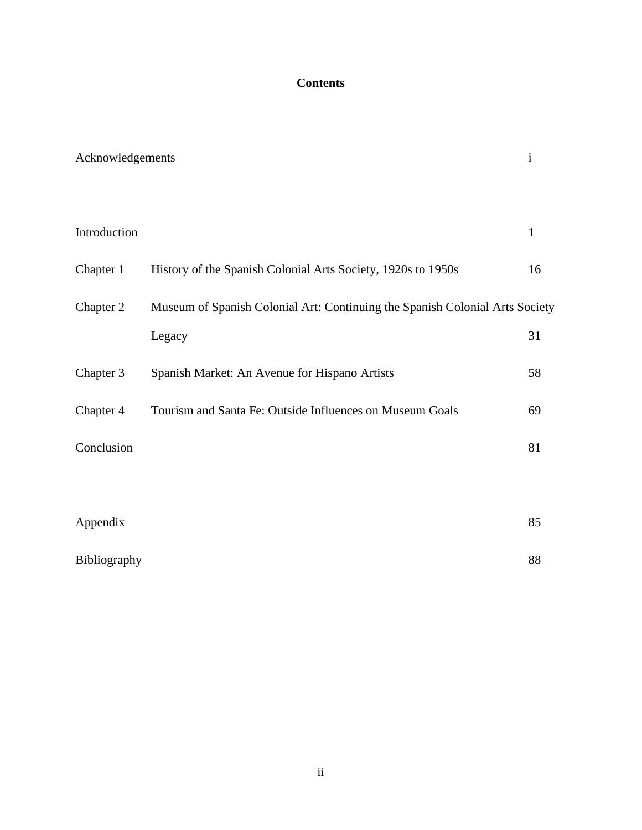### **Contents**

| Acknowledgements |                                                                              | $\mathbf{i}$ |
|------------------|------------------------------------------------------------------------------|--------------|
|                  |                                                                              |              |
| Introduction     |                                                                              | $\mathbf{1}$ |
| Chapter 1        | History of the Spanish Colonial Arts Society, 1920s to 1950s                 | 16           |
| Chapter 2        | Museum of Spanish Colonial Art: Continuing the Spanish Colonial Arts Society |              |
|                  | Legacy                                                                       | 31           |
| Chapter 3        | Spanish Market: An Avenue for Hispano Artists                                | 58           |
| Chapter 4        | Tourism and Santa Fe: Outside Influences on Museum Goals                     | 69           |
| Conclusion       |                                                                              | 81           |
|                  |                                                                              |              |
| Appendix         |                                                                              | 85           |
| Bibliography     |                                                                              | 88           |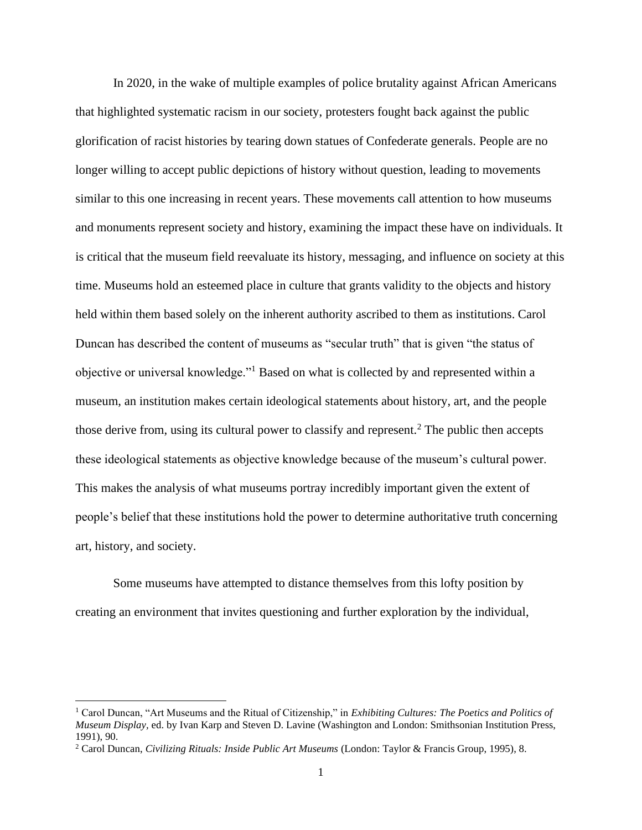In 2020, in the wake of multiple examples of police brutality against African Americans that highlighted systematic racism in our society, protesters fought back against the public glorification of racist histories by tearing down statues of Confederate generals. People are no longer willing to accept public depictions of history without question, leading to movements similar to this one increasing in recent years. These movements call attention to how museums and monuments represent society and history, examining the impact these have on individuals. It is critical that the museum field reevaluate its history, messaging, and influence on society at this time. Museums hold an esteemed place in culture that grants validity to the objects and history held within them based solely on the inherent authority ascribed to them as institutions. Carol Duncan has described the content of museums as "secular truth" that is given "the status of objective or universal knowledge."<sup>1</sup> Based on what is collected by and represented within a museum, an institution makes certain ideological statements about history, art, and the people those derive from, using its cultural power to classify and represent.<sup>2</sup> The public then accepts these ideological statements as objective knowledge because of the museum's cultural power. This makes the analysis of what museums portray incredibly important given the extent of people's belief that these institutions hold the power to determine authoritative truth concerning art, history, and society.

Some museums have attempted to distance themselves from this lofty position by creating an environment that invites questioning and further exploration by the individual,

<sup>1</sup> Carol Duncan, "Art Museums and the Ritual of Citizenship," in *Exhibiting Cultures: The Poetics and Politics of Museum Display,* ed. by Ivan Karp and Steven D. Lavine (Washington and London: Smithsonian Institution Press, 1991), 90.

<sup>2</sup> Carol Duncan, *Civilizing Rituals: Inside Public Art Museums* (London: Taylor & Francis Group, 1995), 8.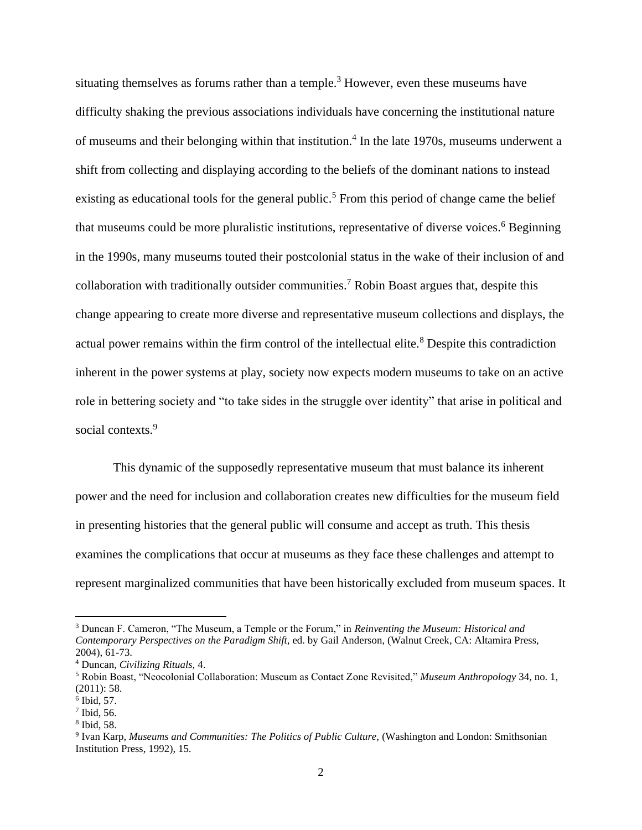situating themselves as forums rather than a temple.<sup>3</sup> However, even these museums have difficulty shaking the previous associations individuals have concerning the institutional nature of museums and their belonging within that institution.<sup>4</sup> In the late 1970s, museums underwent a shift from collecting and displaying according to the beliefs of the dominant nations to instead existing as educational tools for the general public.<sup>5</sup> From this period of change came the belief that museums could be more pluralistic institutions, representative of diverse voices.<sup>6</sup> Beginning in the 1990s, many museums touted their postcolonial status in the wake of their inclusion of and collaboration with traditionally outsider communities.<sup>7</sup> Robin Boast argues that, despite this change appearing to create more diverse and representative museum collections and displays, the actual power remains within the firm control of the intellectual elite.<sup>8</sup> Despite this contradiction inherent in the power systems at play, society now expects modern museums to take on an active role in bettering society and "to take sides in the struggle over identity" that arise in political and social contexts.<sup>9</sup>

This dynamic of the supposedly representative museum that must balance its inherent power and the need for inclusion and collaboration creates new difficulties for the museum field in presenting histories that the general public will consume and accept as truth. This thesis examines the complications that occur at museums as they face these challenges and attempt to represent marginalized communities that have been historically excluded from museum spaces. It

<sup>3</sup> Duncan F. Cameron, "The Museum, a Temple or the Forum," in *Reinventing the Museum: Historical and Contemporary Perspectives on the Paradigm Shift,* ed. by Gail Anderson, (Walnut Creek, CA: Altamira Press, 2004), 61-73.

<sup>4</sup> Duncan, *Civilizing Rituals,* 4.

<sup>5</sup> Robin Boast, "Neocolonial Collaboration: Museum as Contact Zone Revisited," *Museum Anthropology* 34, no. 1, (2011): 58.

<sup>6</sup> Ibid, 57.

 $<sup>7</sup>$  Ibid, 56.</sup>

<sup>8</sup> Ibid, 58.

<sup>&</sup>lt;sup>9</sup> Ivan Karp, *Museums and Communities: The Politics of Public Culture*, (Washington and London: Smithsonian Institution Press, 1992), 15.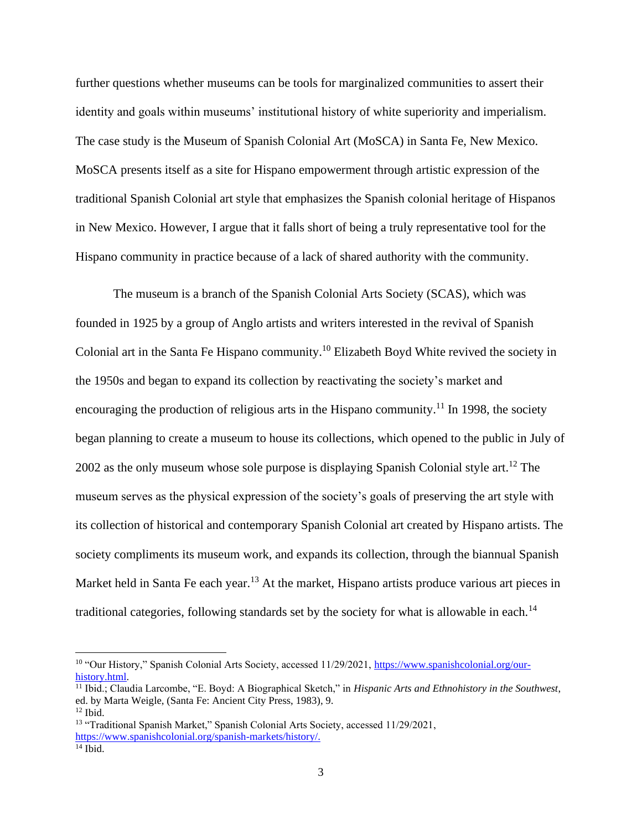further questions whether museums can be tools for marginalized communities to assert their identity and goals within museums' institutional history of white superiority and imperialism. The case study is the Museum of Spanish Colonial Art (MoSCA) in Santa Fe, New Mexico. MoSCA presents itself as a site for Hispano empowerment through artistic expression of the traditional Spanish Colonial art style that emphasizes the Spanish colonial heritage of Hispanos in New Mexico. However, I argue that it falls short of being a truly representative tool for the Hispano community in practice because of a lack of shared authority with the community.

The museum is a branch of the Spanish Colonial Arts Society (SCAS), which was founded in 1925 by a group of Anglo artists and writers interested in the revival of Spanish Colonial art in the Santa Fe Hispano community.<sup>10</sup> Elizabeth Boyd White revived the society in the 1950s and began to expand its collection by reactivating the society's market and encouraging the production of religious arts in the Hispano community.<sup>11</sup> In 1998, the society began planning to create a museum to house its collections, which opened to the public in July of 2002 as the only museum whose sole purpose is displaying Spanish Colonial style art.<sup>12</sup> The museum serves as the physical expression of the society's goals of preserving the art style with its collection of historical and contemporary Spanish Colonial art created by Hispano artists. The society compliments its museum work, and expands its collection, through the biannual Spanish Market held in Santa Fe each year.<sup>13</sup> At the market, Hispano artists produce various art pieces in traditional categories, following standards set by the society for what is allowable in each.<sup>14</sup>

<sup>&</sup>lt;sup>10</sup> "Our History," Spanish Colonial Arts Society, accessed 11/29/2021, [https://www.spanishcolonial.org/our](https://www.spanishcolonial.org/our-history.html)[history.html.](https://www.spanishcolonial.org/our-history.html)

<sup>11</sup> Ibid.; Claudia Larcombe, "E. Boyd: A Biographical Sketch," in *Hispanic Arts and Ethnohistory in the Southwest*, ed. by Marta Weigle, (Santa Fe: Ancient City Press, 1983), 9.  $12$  Ibid.

<sup>&</sup>lt;sup>13</sup> "Traditional Spanish Market," Spanish Colonial Arts Society, accessed 11/29/2021, [https://www.spanishcolonial.org/spanish-markets/history/.](https://www.spanishcolonial.org/spanish-markets/history/)  $14$  Ibid.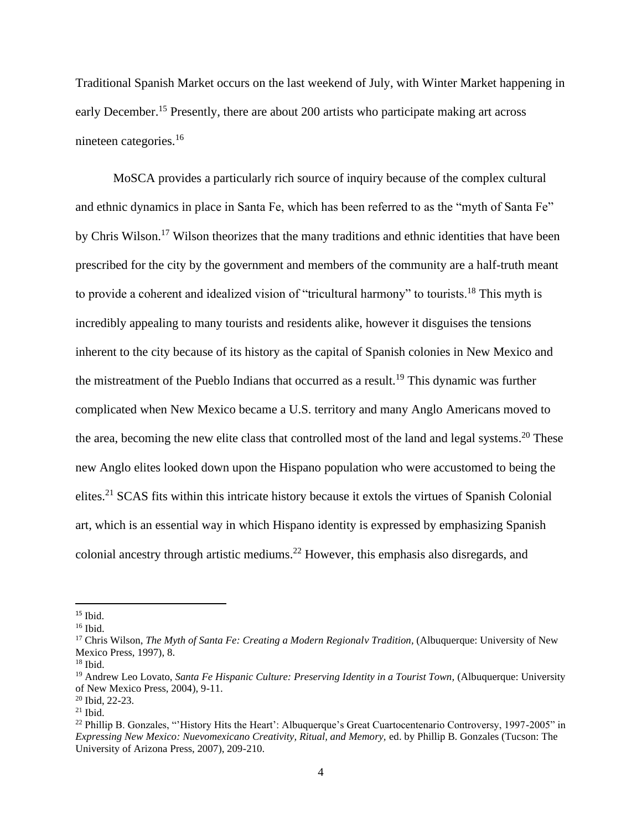Traditional Spanish Market occurs on the last weekend of July, with Winter Market happening in early December.<sup>15</sup> Presently, there are about 200 artists who participate making art across nineteen categories.<sup>16</sup>

MoSCA provides a particularly rich source of inquiry because of the complex cultural and ethnic dynamics in place in Santa Fe, which has been referred to as the "myth of Santa Fe" by Chris Wilson.<sup>17</sup> Wilson theorizes that the many traditions and ethnic identities that have been prescribed for the city by the government and members of the community are a half-truth meant to provide a coherent and idealized vision of "tricultural harmony" to tourists.<sup>18</sup> This myth is incredibly appealing to many tourists and residents alike, however it disguises the tensions inherent to the city because of its history as the capital of Spanish colonies in New Mexico and the mistreatment of the Pueblo Indians that occurred as a result.<sup>19</sup> This dynamic was further complicated when New Mexico became a U.S. territory and many Anglo Americans moved to the area, becoming the new elite class that controlled most of the land and legal systems.<sup>20</sup> These new Anglo elites looked down upon the Hispano population who were accustomed to being the elites.<sup>21</sup> SCAS fits within this intricate history because it extols the virtues of Spanish Colonial art, which is an essential way in which Hispano identity is expressed by emphasizing Spanish colonial ancestry through artistic mediums. <sup>22</sup> However, this emphasis also disregards, and

 $15$  Ibid.

<sup>16</sup> Ibid.

<sup>&</sup>lt;sup>17</sup> Chris Wilson, *The Myth of Santa Fe: Creating a Modern Regionalv Tradition*, (Albuquerque: University of New Mexico Press, 1997), 8.

 $18$  Ibid.

<sup>19</sup> Andrew Leo Lovato, *Santa Fe Hispanic Culture: Preserving Identity in a Tourist Town,* (Albuquerque: University of New Mexico Press, 2004), 9-11.

<sup>20</sup> Ibid, 22-23.

 $21$  Ibid.

<sup>&</sup>lt;sup>22</sup> Phillip B. Gonzales, "'History Hits the Heart': Albuquerque's Great Cuartocentenario Controversy, 1997-2005" in *Expressing New Mexico: Nuevomexicano Creativity, Ritual, and Memory,* ed. by Phillip B. Gonzales (Tucson: The University of Arizona Press, 2007), 209-210.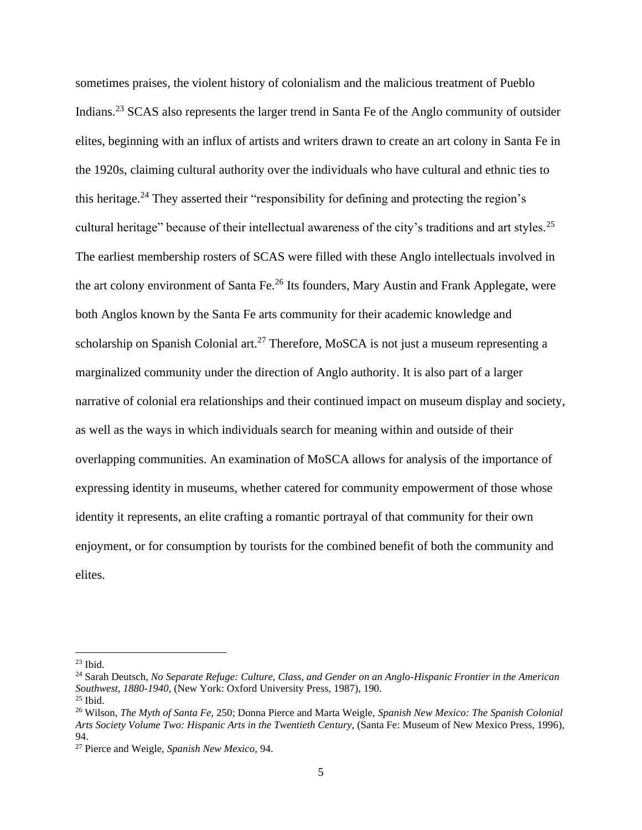sometimes praises, the violent history of colonialism and the malicious treatment of Pueblo Indians. <sup>23</sup> SCAS also represents the larger trend in Santa Fe of the Anglo community of outsider elites, beginning with an influx of artists and writers drawn to create an art colony in Santa Fe in the 1920s, claiming cultural authority over the individuals who have cultural and ethnic ties to this heritage.<sup>24</sup> They asserted their "responsibility for defining and protecting the region's cultural heritage" because of their intellectual awareness of the city's traditions and art styles.<sup>25</sup> The earliest membership rosters of SCAS were filled with these Anglo intellectuals involved in the art colony environment of Santa Fe.<sup>26</sup> Its founders, Mary Austin and Frank Applegate, were both Anglos known by the Santa Fe arts community for their academic knowledge and scholarship on Spanish Colonial art.<sup>27</sup> Therefore, MoSCA is not just a museum representing a marginalized community under the direction of Anglo authority. It is also part of a larger narrative of colonial era relationships and their continued impact on museum display and society, as well as the ways in which individuals search for meaning within and outside of their overlapping communities. An examination of MoSCA allows for analysis of the importance of expressing identity in museums, whether catered for community empowerment of those whose identity it represents, an elite crafting a romantic portrayal of that community for their own enjoyment, or for consumption by tourists for the combined benefit of both the community and elites.

 $23$  Ibid.

<sup>24</sup> Sarah Deutsch, *No Separate Refuge: Culture, Class, and Gender on an Anglo-Hispanic Frontier in the American Southwest, 1880-1940,* (New York: Oxford University Press, 1987), 190.

 $25$  Ibid.

<sup>26</sup> Wilson, *The Myth of Santa Fe,* 250; Donna Pierce and Marta Weigle, *Spanish New Mexico: The Spanish Colonial Arts Society Volume Two: Hispanic Arts in the Twentieth Century,* (Santa Fe: Museum of New Mexico Press, 1996), 94.

<sup>27</sup> Pierce and Weigle, *Spanish New Mexico,* 94.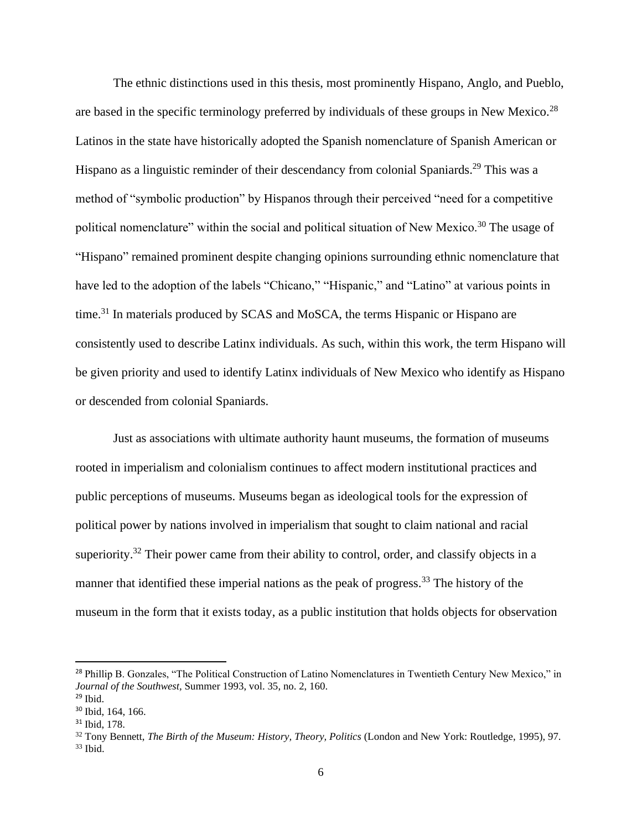The ethnic distinctions used in this thesis, most prominently Hispano, Anglo, and Pueblo, are based in the specific terminology preferred by individuals of these groups in New Mexico.<sup>28</sup> Latinos in the state have historically adopted the Spanish nomenclature of Spanish American or Hispano as a linguistic reminder of their descendancy from colonial Spaniards.<sup>29</sup> This was a method of "symbolic production" by Hispanos through their perceived "need for a competitive political nomenclature" within the social and political situation of New Mexico.<sup>30</sup> The usage of "Hispano" remained prominent despite changing opinions surrounding ethnic nomenclature that have led to the adoption of the labels "Chicano," "Hispanic," and "Latino" at various points in time.<sup>31</sup> In materials produced by SCAS and MoSCA, the terms Hispanic or Hispano are consistently used to describe Latinx individuals. As such, within this work, the term Hispano will be given priority and used to identify Latinx individuals of New Mexico who identify as Hispano or descended from colonial Spaniards.

Just as associations with ultimate authority haunt museums, the formation of museums rooted in imperialism and colonialism continues to affect modern institutional practices and public perceptions of museums. Museums began as ideological tools for the expression of political power by nations involved in imperialism that sought to claim national and racial superiority.<sup>32</sup> Their power came from their ability to control, order, and classify objects in a manner that identified these imperial nations as the peak of progress.<sup>33</sup> The history of the museum in the form that it exists today, as a public institution that holds objects for observation

<sup>&</sup>lt;sup>28</sup> Phillip B. Gonzales, "The Political Construction of Latino Nomenclatures in Twentieth Century New Mexico," in *Journal of the Southwest,* Summer 1993, vol. 35, no. 2, 160.

 $29$  Ibid.

<sup>&</sup>lt;sup>30</sup> Ibid, 164, 166.

<sup>31</sup> Ibid, 178.

<sup>32</sup> Tony Bennett, *The Birth of the Museum: History, Theory, Politics* (London and New York: Routledge, 1995), 97.  $33$  Ibid.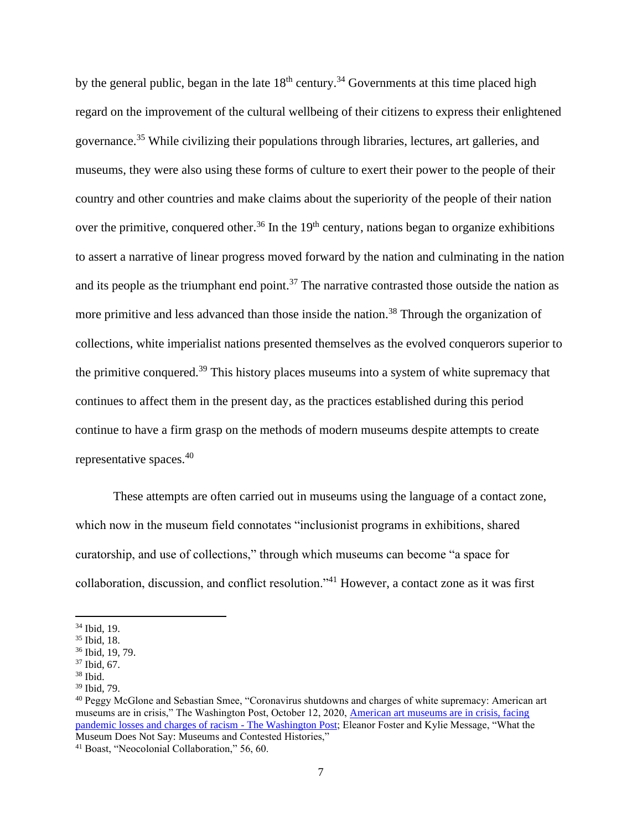by the general public, began in the late  $18<sup>th</sup>$  century.<sup>34</sup> Governments at this time placed high regard on the improvement of the cultural wellbeing of their citizens to express their enlightened governance.<sup>35</sup> While civilizing their populations through libraries, lectures, art galleries, and museums, they were also using these forms of culture to exert their power to the people of their country and other countries and make claims about the superiority of the people of their nation over the primitive, conquered other.<sup>36</sup> In the  $19<sup>th</sup>$  century, nations began to organize exhibitions to assert a narrative of linear progress moved forward by the nation and culminating in the nation and its people as the triumphant end point.<sup>37</sup> The narrative contrasted those outside the nation as more primitive and less advanced than those inside the nation.<sup>38</sup> Through the organization of collections, white imperialist nations presented themselves as the evolved conquerors superior to the primitive conquered.<sup>39</sup> This history places museums into a system of white supremacy that continues to affect them in the present day, as the practices established during this period continue to have a firm grasp on the methods of modern museums despite attempts to create representative spaces.<sup>40</sup>

These attempts are often carried out in museums using the language of a contact zone, which now in the museum field connotates "inclusionist programs in exhibitions, shared curatorship, and use of collections," through which museums can become "a space for collaboration, discussion, and conflict resolution."<sup>41</sup> However, a contact zone as it was first

<sup>34</sup> Ibid, 19.

<sup>35</sup> Ibid, 18.

<sup>36</sup> Ibid, 19, 79.

<sup>37</sup> Ibid, 67.

 $38$  Ibid.

<sup>39</sup> Ibid, 79.

<sup>&</sup>lt;sup>40</sup> Peggy McGlone and Sebastian Smee, "Coronavirus shutdowns and charges of white supremacy: American art museums are in crisis," The Washington Post, October 12, 2020, American art museums are in crisis, facing [pandemic losses and charges of racism -](https://www.washingtonpost.com/entertainment/museums/american-art-museums-covid-white-supremacy/2020/10/11/61094f1c-fe94-11ea-8d05-9beaaa91c71f_story.html) The Washington Post; Eleanor Foster and Kylie Message, "What the Museum Does Not Say: Museums and Contested Histories,"

<sup>41</sup> Boast, "Neocolonial Collaboration," 56, 60.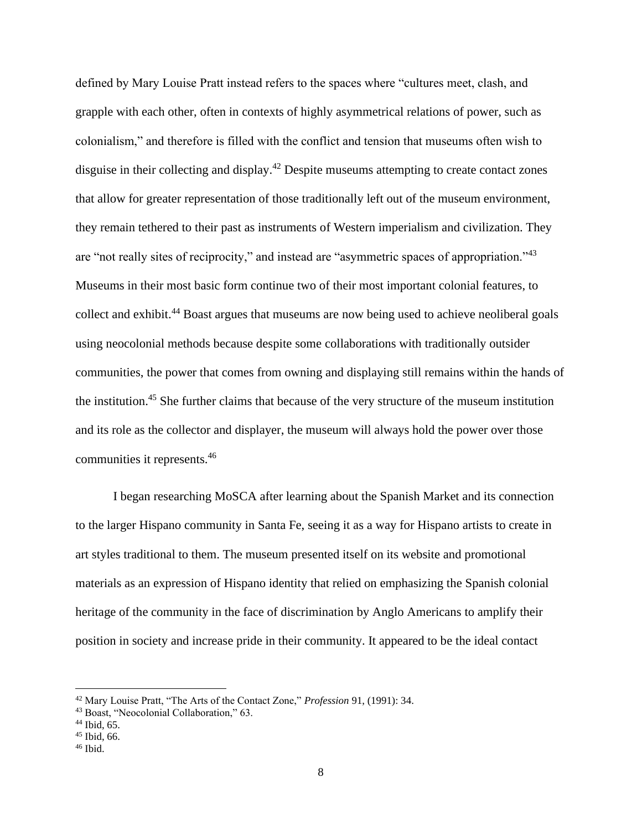defined by Mary Louise Pratt instead refers to the spaces where "cultures meet, clash, and grapple with each other, often in contexts of highly asymmetrical relations of power, such as colonialism," and therefore is filled with the conflict and tension that museums often wish to disguise in their collecting and display.<sup>42</sup> Despite museums attempting to create contact zones that allow for greater representation of those traditionally left out of the museum environment, they remain tethered to their past as instruments of Western imperialism and civilization. They are "not really sites of reciprocity," and instead are "asymmetric spaces of appropriation."<sup>43</sup> Museums in their most basic form continue two of their most important colonial features, to collect and exhibit.<sup>44</sup> Boast argues that museums are now being used to achieve neoliberal goals using neocolonial methods because despite some collaborations with traditionally outsider communities, the power that comes from owning and displaying still remains within the hands of the institution.<sup>45</sup> She further claims that because of the very structure of the museum institution and its role as the collector and displayer, the museum will always hold the power over those communities it represents.<sup>46</sup>

I began researching MoSCA after learning about the Spanish Market and its connection to the larger Hispano community in Santa Fe, seeing it as a way for Hispano artists to create in art styles traditional to them. The museum presented itself on its website and promotional materials as an expression of Hispano identity that relied on emphasizing the Spanish colonial heritage of the community in the face of discrimination by Anglo Americans to amplify their position in society and increase pride in their community. It appeared to be the ideal contact

<sup>42</sup> Mary Louise Pratt, "The Arts of the Contact Zone," *Profession* 91, (1991): 34.

<sup>43</sup> Boast, "Neocolonial Collaboration," 63.

<sup>44</sup> Ibid, 65.

<sup>45</sup> Ibid, 66.

 $46$  Ibid.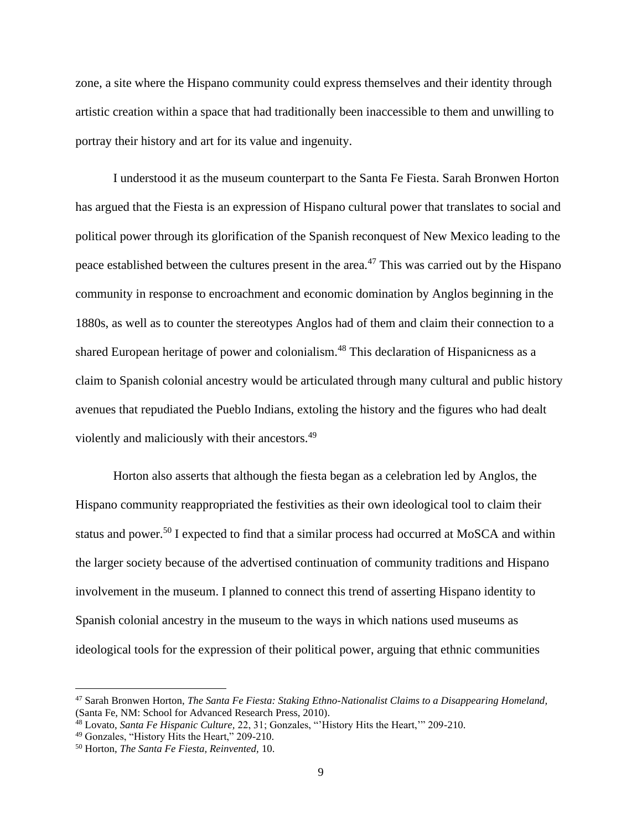zone, a site where the Hispano community could express themselves and their identity through artistic creation within a space that had traditionally been inaccessible to them and unwilling to portray their history and art for its value and ingenuity.

I understood it as the museum counterpart to the Santa Fe Fiesta. Sarah Bronwen Horton has argued that the Fiesta is an expression of Hispano cultural power that translates to social and political power through its glorification of the Spanish reconquest of New Mexico leading to the peace established between the cultures present in the area.<sup>47</sup> This was carried out by the Hispano community in response to encroachment and economic domination by Anglos beginning in the 1880s, as well as to counter the stereotypes Anglos had of them and claim their connection to a shared European heritage of power and colonialism.<sup>48</sup> This declaration of Hispanicness as a claim to Spanish colonial ancestry would be articulated through many cultural and public history avenues that repudiated the Pueblo Indians, extoling the history and the figures who had dealt violently and maliciously with their ancestors.<sup>49</sup>

Horton also asserts that although the fiesta began as a celebration led by Anglos, the Hispano community reappropriated the festivities as their own ideological tool to claim their status and power.<sup>50</sup> I expected to find that a similar process had occurred at MoSCA and within the larger society because of the advertised continuation of community traditions and Hispano involvement in the museum. I planned to connect this trend of asserting Hispano identity to Spanish colonial ancestry in the museum to the ways in which nations used museums as ideological tools for the expression of their political power, arguing that ethnic communities

<sup>47</sup> Sarah Bronwen Horton, *The Santa Fe Fiesta: Staking Ethno-Nationalist Claims to a Disappearing Homeland,*  (Santa Fe, NM: School for Advanced Research Press, 2010).

<sup>48</sup> Lovato, *Santa Fe Hispanic Culture,* 22, 31; Gonzales, "'History Hits the Heart,'" 209-210.

<sup>49</sup> Gonzales, "History Hits the Heart," 209-210.

<sup>50</sup> Horton, *The Santa Fe Fiesta, Reinvented,* 10.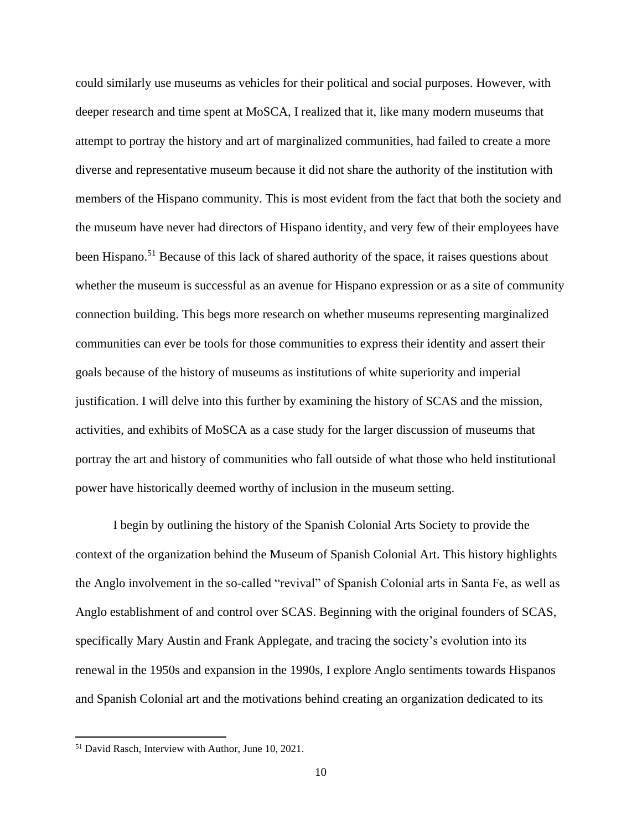could similarly use museums as vehicles for their political and social purposes. However, with deeper research and time spent at MoSCA, I realized that it, like many modern museums that attempt to portray the history and art of marginalized communities, had failed to create a more diverse and representative museum because it did not share the authority of the institution with members of the Hispano community. This is most evident from the fact that both the society and the museum have never had directors of Hispano identity, and very few of their employees have been Hispano.<sup>51</sup> Because of this lack of shared authority of the space, it raises questions about whether the museum is successful as an avenue for Hispano expression or as a site of community connection building. This begs more research on whether museums representing marginalized communities can ever be tools for those communities to express their identity and assert their goals because of the history of museums as institutions of white superiority and imperial justification. I will delve into this further by examining the history of SCAS and the mission, activities, and exhibits of MoSCA as a case study for the larger discussion of museums that portray the art and history of communities who fall outside of what those who held institutional power have historically deemed worthy of inclusion in the museum setting.

I begin by outlining the history of the Spanish Colonial Arts Society to provide the context of the organization behind the Museum of Spanish Colonial Art. This history highlights the Anglo involvement in the so-called "revival" of Spanish Colonial arts in Santa Fe, as well as Anglo establishment of and control over SCAS. Beginning with the original founders of SCAS, specifically Mary Austin and Frank Applegate, and tracing the society's evolution into its renewal in the 1950s and expansion in the 1990s, I explore Anglo sentiments towards Hispanos and Spanish Colonial art and the motivations behind creating an organization dedicated to its

<sup>51</sup> David Rasch, Interview with Author, June 10, 2021.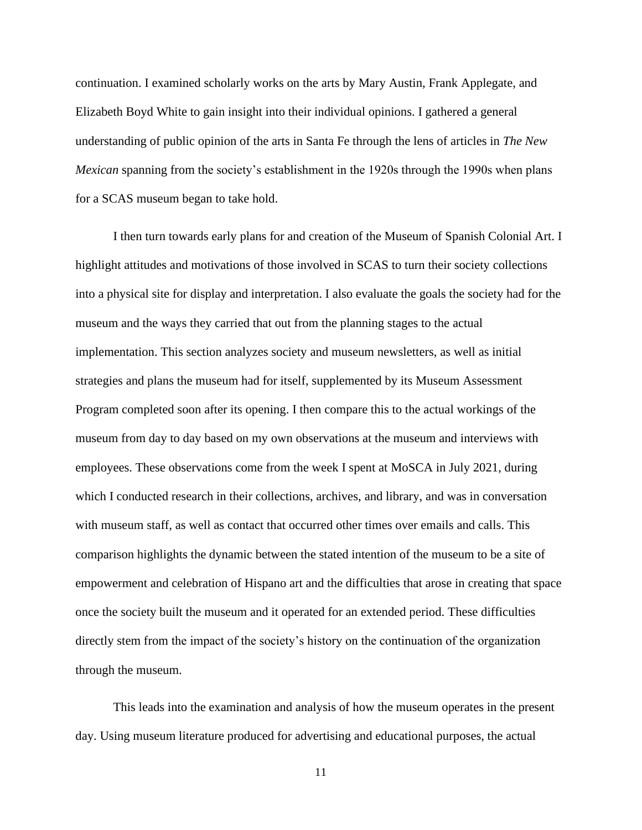continuation. I examined scholarly works on the arts by Mary Austin, Frank Applegate, and Elizabeth Boyd White to gain insight into their individual opinions. I gathered a general understanding of public opinion of the arts in Santa Fe through the lens of articles in *The New Mexican* spanning from the society's establishment in the 1920s through the 1990s when plans for a SCAS museum began to take hold.

I then turn towards early plans for and creation of the Museum of Spanish Colonial Art. I highlight attitudes and motivations of those involved in SCAS to turn their society collections into a physical site for display and interpretation. I also evaluate the goals the society had for the museum and the ways they carried that out from the planning stages to the actual implementation. This section analyzes society and museum newsletters, as well as initial strategies and plans the museum had for itself, supplemented by its Museum Assessment Program completed soon after its opening. I then compare this to the actual workings of the museum from day to day based on my own observations at the museum and interviews with employees. These observations come from the week I spent at MoSCA in July 2021, during which I conducted research in their collections, archives, and library, and was in conversation with museum staff, as well as contact that occurred other times over emails and calls. This comparison highlights the dynamic between the stated intention of the museum to be a site of empowerment and celebration of Hispano art and the difficulties that arose in creating that space once the society built the museum and it operated for an extended period. These difficulties directly stem from the impact of the society's history on the continuation of the organization through the museum.

This leads into the examination and analysis of how the museum operates in the present day. Using museum literature produced for advertising and educational purposes, the actual

11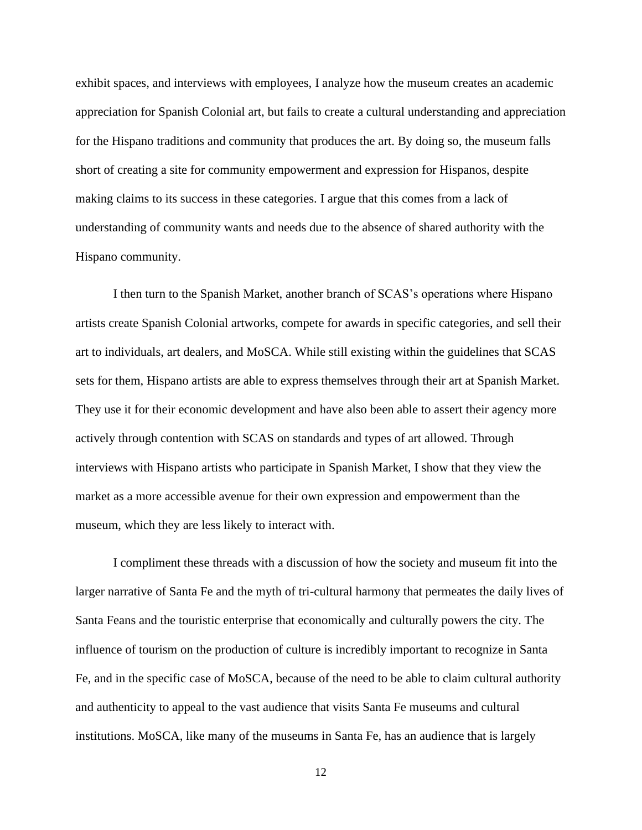exhibit spaces, and interviews with employees, I analyze how the museum creates an academic appreciation for Spanish Colonial art, but fails to create a cultural understanding and appreciation for the Hispano traditions and community that produces the art. By doing so, the museum falls short of creating a site for community empowerment and expression for Hispanos, despite making claims to its success in these categories. I argue that this comes from a lack of understanding of community wants and needs due to the absence of shared authority with the Hispano community.

I then turn to the Spanish Market, another branch of SCAS's operations where Hispano artists create Spanish Colonial artworks, compete for awards in specific categories, and sell their art to individuals, art dealers, and MoSCA. While still existing within the guidelines that SCAS sets for them, Hispano artists are able to express themselves through their art at Spanish Market. They use it for their economic development and have also been able to assert their agency more actively through contention with SCAS on standards and types of art allowed. Through interviews with Hispano artists who participate in Spanish Market, I show that they view the market as a more accessible avenue for their own expression and empowerment than the museum, which they are less likely to interact with.

I compliment these threads with a discussion of how the society and museum fit into the larger narrative of Santa Fe and the myth of tri-cultural harmony that permeates the daily lives of Santa Feans and the touristic enterprise that economically and culturally powers the city. The influence of tourism on the production of culture is incredibly important to recognize in Santa Fe, and in the specific case of MoSCA, because of the need to be able to claim cultural authority and authenticity to appeal to the vast audience that visits Santa Fe museums and cultural institutions. MoSCA, like many of the museums in Santa Fe, has an audience that is largely

12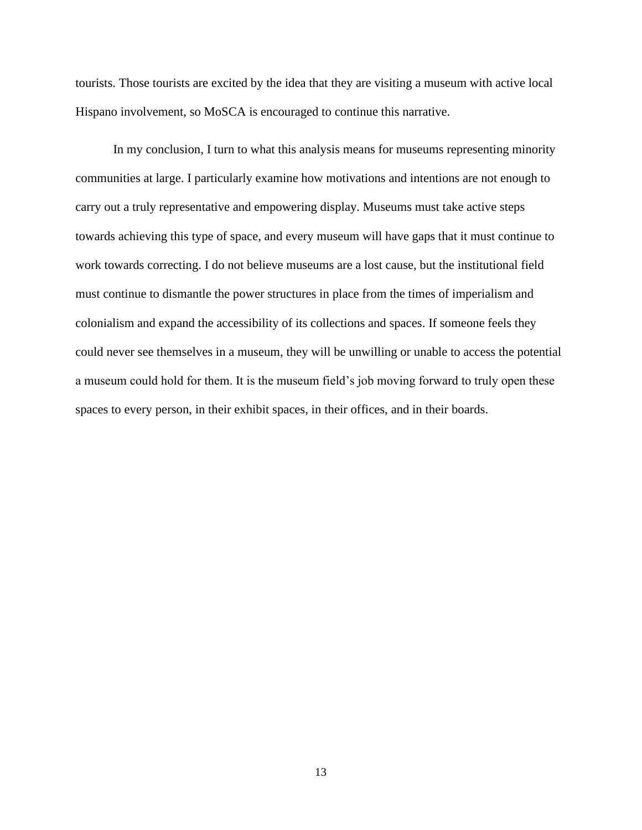tourists. Those tourists are excited by the idea that they are visiting a museum with active local Hispano involvement, so MoSCA is encouraged to continue this narrative.

In my conclusion, I turn to what this analysis means for museums representing minority communities at large. I particularly examine how motivations and intentions are not enough to carry out a truly representative and empowering display. Museums must take active steps towards achieving this type of space, and every museum will have gaps that it must continue to work towards correcting. I do not believe museums are a lost cause, but the institutional field must continue to dismantle the power structures in place from the times of imperialism and colonialism and expand the accessibility of its collections and spaces. If someone feels they could never see themselves in a museum, they will be unwilling or unable to access the potential a museum could hold for them. It is the museum field's job moving forward to truly open these spaces to every person, in their exhibit spaces, in their offices, and in their boards.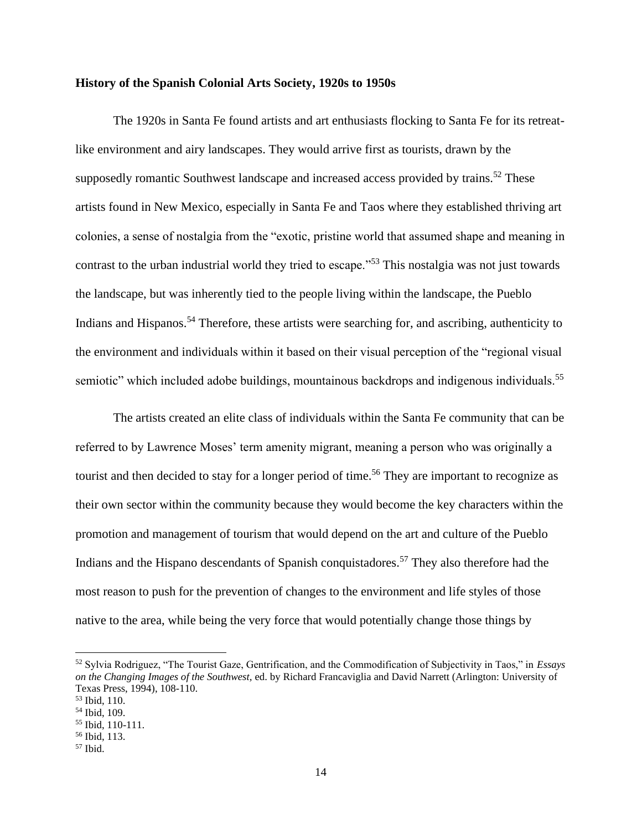#### **History of the Spanish Colonial Arts Society, 1920s to 1950s**

The 1920s in Santa Fe found artists and art enthusiasts flocking to Santa Fe for its retreatlike environment and airy landscapes. They would arrive first as tourists, drawn by the supposedly romantic Southwest landscape and increased access provided by trains.<sup>52</sup> These artists found in New Mexico, especially in Santa Fe and Taos where they established thriving art colonies, a sense of nostalgia from the "exotic, pristine world that assumed shape and meaning in contrast to the urban industrial world they tried to escape."<sup>53</sup> This nostalgia was not just towards the landscape, but was inherently tied to the people living within the landscape, the Pueblo Indians and Hispanos.<sup>54</sup> Therefore, these artists were searching for, and ascribing, authenticity to the environment and individuals within it based on their visual perception of the "regional visual semiotic" which included adobe buildings, mountainous backdrops and indigenous individuals.<sup>55</sup>

The artists created an elite class of individuals within the Santa Fe community that can be referred to by Lawrence Moses' term amenity migrant, meaning a person who was originally a tourist and then decided to stay for a longer period of time.<sup>56</sup> They are important to recognize as their own sector within the community because they would become the key characters within the promotion and management of tourism that would depend on the art and culture of the Pueblo Indians and the Hispano descendants of Spanish conquistadores.<sup>57</sup> They also therefore had the most reason to push for the prevention of changes to the environment and life styles of those native to the area, while being the very force that would potentially change those things by

<sup>52</sup> Sylvia Rodriguez, "The Tourist Gaze, Gentrification, and the Commodification of Subjectivity in Taos," in *Essays on the Changing Images of the Southwest,* ed. by Richard Francaviglia and David Narrett (Arlington: University of Texas Press, 1994), 108-110.

<sup>53</sup> Ibid, 110.

<sup>54</sup> Ibid, 109.

<sup>55</sup> Ibid, 110-111.

<sup>56</sup> Ibid, 113.

 $57$  Ibid.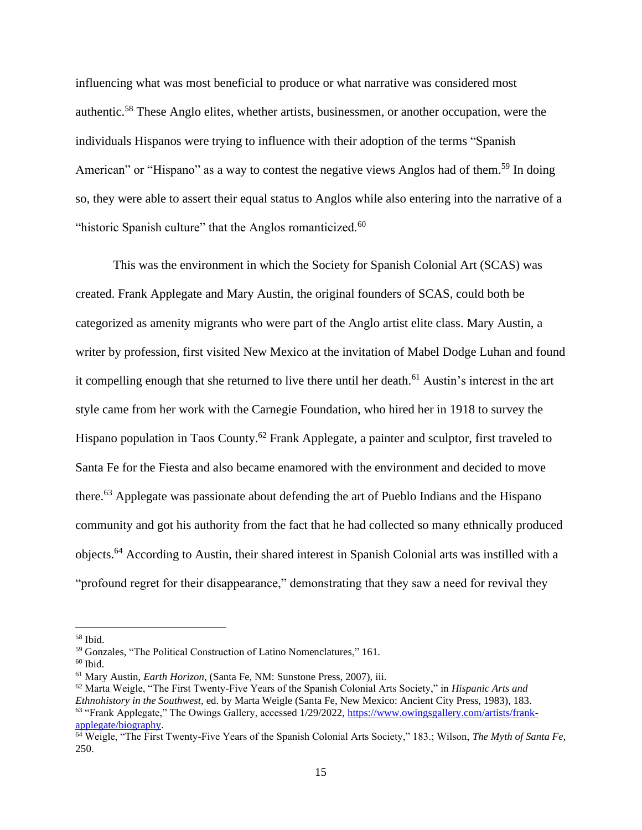influencing what was most beneficial to produce or what narrative was considered most authentic.<sup>58</sup> These Anglo elites, whether artists, businessmen, or another occupation, were the individuals Hispanos were trying to influence with their adoption of the terms "Spanish American" or "Hispano" as a way to contest the negative views Anglos had of them.<sup>59</sup> In doing so, they were able to assert their equal status to Anglos while also entering into the narrative of a "historic Spanish culture" that the Anglos romanticized.<sup>60</sup>

This was the environment in which the Society for Spanish Colonial Art (SCAS) was created. Frank Applegate and Mary Austin, the original founders of SCAS, could both be categorized as amenity migrants who were part of the Anglo artist elite class. Mary Austin, a writer by profession, first visited New Mexico at the invitation of Mabel Dodge Luhan and found it compelling enough that she returned to live there until her death.<sup>61</sup> Austin's interest in the art style came from her work with the Carnegie Foundation, who hired her in 1918 to survey the Hispano population in Taos County.<sup>62</sup> Frank Applegate, a painter and sculptor, first traveled to Santa Fe for the Fiesta and also became enamored with the environment and decided to move there.<sup>63</sup> Applegate was passionate about defending the art of Pueblo Indians and the Hispano community and got his authority from the fact that he had collected so many ethnically produced objects. <sup>64</sup> According to Austin, their shared interest in Spanish Colonial arts was instilled with a "profound regret for their disappearance," demonstrating that they saw a need for revival they

 $60$  Ibid.

 $58$  Ibid.

<sup>59</sup> Gonzales, "The Political Construction of Latino Nomenclatures," 161.

<sup>61</sup> Mary Austin, *Earth Horizon*, (Santa Fe, NM: Sunstone Press, 2007), iii.

<sup>62</sup> Marta Weigle, "The First Twenty-Five Years of the Spanish Colonial Arts Society," in *Hispanic Arts and Ethnohistory in the Southwest,* ed. by Marta Weigle (Santa Fe, New Mexico: Ancient City Press, 1983), 183. <sup>63</sup> "Frank Applegate," The Owings Gallery, accessed 1/29/2022, [https://www.owingsgallery.com/artists/frank](https://www.owingsgallery.com/artists/frank-applegate/biography)[applegate/biography.](https://www.owingsgallery.com/artists/frank-applegate/biography)

<sup>64</sup> Weigle, "The First Twenty-Five Years of the Spanish Colonial Arts Society," 183.; Wilson, *The Myth of Santa Fe,*  250.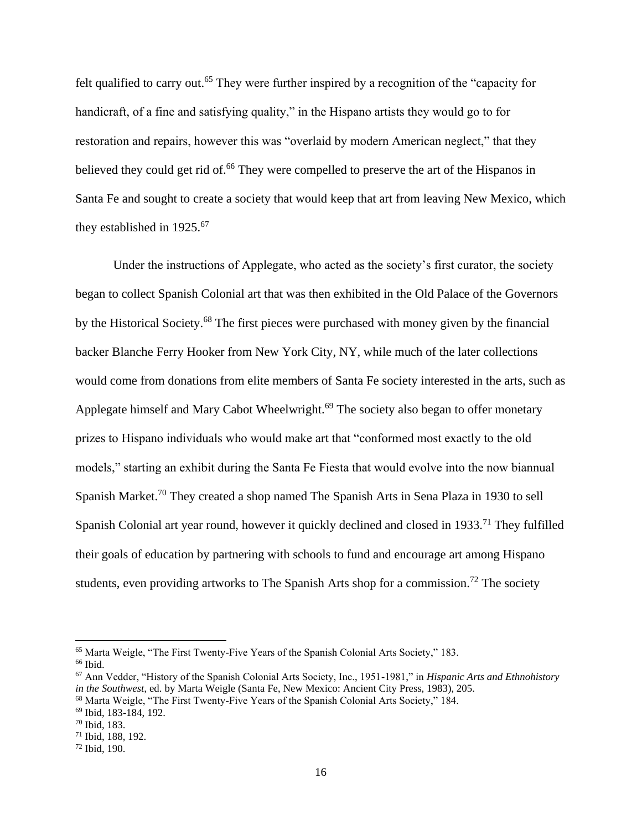felt qualified to carry out.<sup>65</sup> They were further inspired by a recognition of the "capacity for handicraft, of a fine and satisfying quality," in the Hispano artists they would go to for restoration and repairs, however this was "overlaid by modern American neglect," that they believed they could get rid of.<sup>66</sup> They were compelled to preserve the art of the Hispanos in Santa Fe and sought to create a society that would keep that art from leaving New Mexico, which they established in 1925.<sup>67</sup>

Under the instructions of Applegate, who acted as the society's first curator, the society began to collect Spanish Colonial art that was then exhibited in the Old Palace of the Governors by the Historical Society.<sup>68</sup> The first pieces were purchased with money given by the financial backer Blanche Ferry Hooker from New York City, NY, while much of the later collections would come from donations from elite members of Santa Fe society interested in the arts, such as Applegate himself and Mary Cabot Wheelwright.<sup>69</sup> The society also began to offer monetary prizes to Hispano individuals who would make art that "conformed most exactly to the old models," starting an exhibit during the Santa Fe Fiesta that would evolve into the now biannual Spanish Market.<sup>70</sup> They created a shop named The Spanish Arts in Sena Plaza in 1930 to sell Spanish Colonial art year round, however it quickly declined and closed in 1933.<sup>71</sup> They fulfilled their goals of education by partnering with schools to fund and encourage art among Hispano students, even providing artworks to The Spanish Arts shop for a commission.<sup>72</sup> The society

<sup>65</sup> Marta Weigle, "The First Twenty-Five Years of the Spanish Colonial Arts Society," 183. <sup>66</sup> Ibid.

<sup>67</sup> Ann Vedder, "History of the Spanish Colonial Arts Society, Inc., 1951-1981," in *Hispanic Arts and Ethnohistory in the Southwest,* ed. by Marta Weigle (Santa Fe, New Mexico: Ancient City Press, 1983), 205.

<sup>68</sup> Marta Weigle, "The First Twenty-Five Years of the Spanish Colonial Arts Society," 184.

<sup>69</sup> Ibid, 183-184, 192.

<sup>70</sup> Ibid, 183.

<sup>71</sup> Ibid, 188, 192.

<sup>72</sup> Ibid, 190.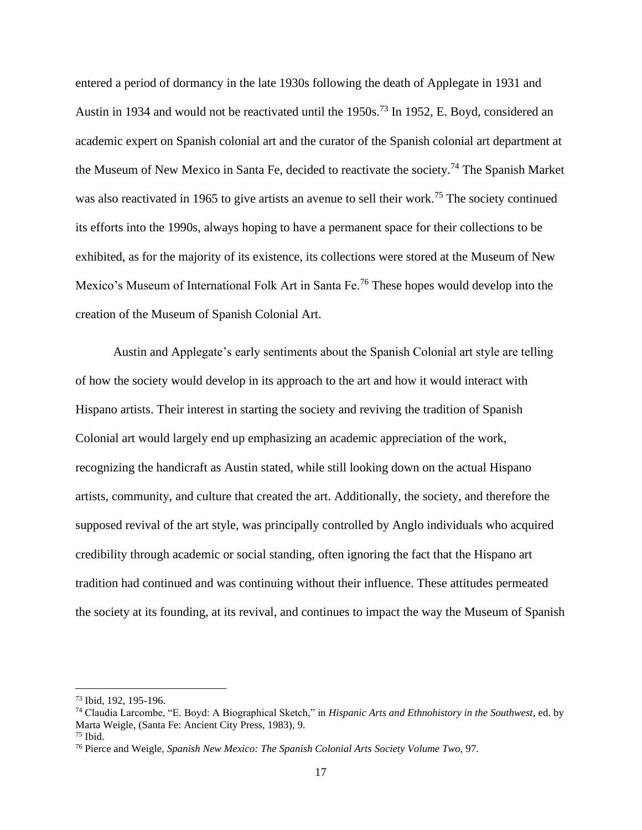entered a period of dormancy in the late 1930s following the death of Applegate in 1931 and Austin in 1934 and would not be reactivated until the 1950s.<sup>73</sup> In 1952, E. Boyd, considered an academic expert on Spanish colonial art and the curator of the Spanish colonial art department at the Museum of New Mexico in Santa Fe, decided to reactivate the society.<sup>74</sup> The Spanish Market was also reactivated in 1965 to give artists an avenue to sell their work.<sup>75</sup> The society continued its efforts into the 1990s, always hoping to have a permanent space for their collections to be exhibited, as for the majority of its existence, its collections were stored at the Museum of New Mexico's Museum of International Folk Art in Santa Fe.<sup>76</sup> These hopes would develop into the creation of the Museum of Spanish Colonial Art.

Austin and Applegate's early sentiments about the Spanish Colonial art style are telling of how the society would develop in its approach to the art and how it would interact with Hispano artists. Their interest in starting the society and reviving the tradition of Spanish Colonial art would largely end up emphasizing an academic appreciation of the work, recognizing the handicraft as Austin stated, while still looking down on the actual Hispano artists, community, and culture that created the art. Additionally, the society, and therefore the supposed revival of the art style, was principally controlled by Anglo individuals who acquired credibility through academic or social standing, often ignoring the fact that the Hispano art tradition had continued and was continuing without their influence. These attitudes permeated the society at its founding, at its revival, and continues to impact the way the Museum of Spanish

<sup>73</sup> Ibid, 192, 195-196.

<sup>74</sup> Claudia Larcombe, "E. Boyd: A Biographical Sketch," in *Hispanic Arts and Ethnohistory in the Southwest*, ed. by Marta Weigle, (Santa Fe: Ancient City Press, 1983), 9.

 $75$  Ibid.

<sup>76</sup> Pierce and Weigle, *Spanish New Mexico: The Spanish Colonial Arts Society Volume Two,* 97.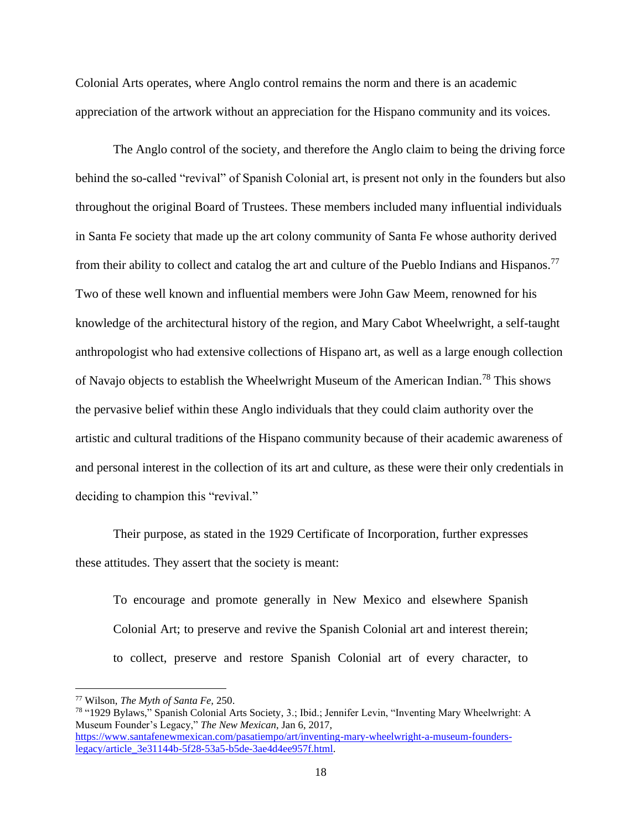Colonial Arts operates, where Anglo control remains the norm and there is an academic appreciation of the artwork without an appreciation for the Hispano community and its voices.

The Anglo control of the society, and therefore the Anglo claim to being the driving force behind the so-called "revival" of Spanish Colonial art, is present not only in the founders but also throughout the original Board of Trustees. These members included many influential individuals in Santa Fe society that made up the art colony community of Santa Fe whose authority derived from their ability to collect and catalog the art and culture of the Pueblo Indians and Hispanos.<sup>77</sup> Two of these well known and influential members were John Gaw Meem, renowned for his knowledge of the architectural history of the region, and Mary Cabot Wheelwright, a self-taught anthropologist who had extensive collections of Hispano art, as well as a large enough collection of Navajo objects to establish the Wheelwright Museum of the American Indian.<sup>78</sup> This shows the pervasive belief within these Anglo individuals that they could claim authority over the artistic and cultural traditions of the Hispano community because of their academic awareness of and personal interest in the collection of its art and culture, as these were their only credentials in deciding to champion this "revival."

Their purpose, as stated in the 1929 Certificate of Incorporation, further expresses these attitudes. They assert that the society is meant:

To encourage and promote generally in New Mexico and elsewhere Spanish Colonial Art; to preserve and revive the Spanish Colonial art and interest therein; to collect, preserve and restore Spanish Colonial art of every character, to

<sup>77</sup> Wilson, *The Myth of Santa Fe,* 250.

<sup>78</sup> "1929 Bylaws," Spanish Colonial Arts Society, 3.; Ibid.; Jennifer Levin, "Inventing Mary Wheelwright: A Museum Founder's Legacy," *The New Mexican*, Jan 6, 2017, [https://www.santafenewmexican.com/pasatiempo/art/inventing-mary-wheelwright-a-museum-founders](https://www.santafenewmexican.com/pasatiempo/art/inventing-mary-wheelwright-a-museum-founders-legacy/article_3e31144b-5f28-53a5-b5de-3ae4d4ee957f.html)[legacy/article\\_3e31144b-5f28-53a5-b5de-3ae4d4ee957f.html.](https://www.santafenewmexican.com/pasatiempo/art/inventing-mary-wheelwright-a-museum-founders-legacy/article_3e31144b-5f28-53a5-b5de-3ae4d4ee957f.html)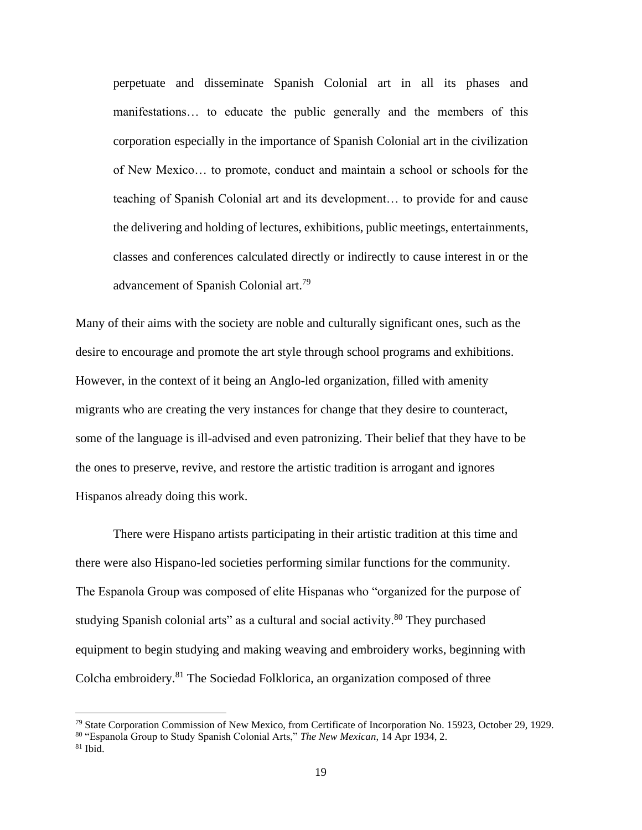perpetuate and disseminate Spanish Colonial art in all its phases and manifestations… to educate the public generally and the members of this corporation especially in the importance of Spanish Colonial art in the civilization of New Mexico… to promote, conduct and maintain a school or schools for the teaching of Spanish Colonial art and its development… to provide for and cause the delivering and holding of lectures, exhibitions, public meetings, entertainments, classes and conferences calculated directly or indirectly to cause interest in or the advancement of Spanish Colonial art.<sup>79</sup>

Many of their aims with the society are noble and culturally significant ones, such as the desire to encourage and promote the art style through school programs and exhibitions. However, in the context of it being an Anglo-led organization, filled with amenity migrants who are creating the very instances for change that they desire to counteract, some of the language is ill-advised and even patronizing. Their belief that they have to be the ones to preserve, revive, and restore the artistic tradition is arrogant and ignores Hispanos already doing this work.

There were Hispano artists participating in their artistic tradition at this time and there were also Hispano-led societies performing similar functions for the community. The Espanola Group was composed of elite Hispanas who "organized for the purpose of studying Spanish colonial arts" as a cultural and social activity.<sup>80</sup> They purchased equipment to begin studying and making weaving and embroidery works, beginning with Colcha embroidery.<sup>81</sup> The Sociedad Folklorica, an organization composed of three

<sup>79</sup> State Corporation Commission of New Mexico, from Certificate of Incorporation No. 15923, October 29, 1929.

<sup>80</sup> "Espanola Group to Study Spanish Colonial Arts," *The New Mexican*, 14 Apr 1934, 2.

 $81$  Ibid.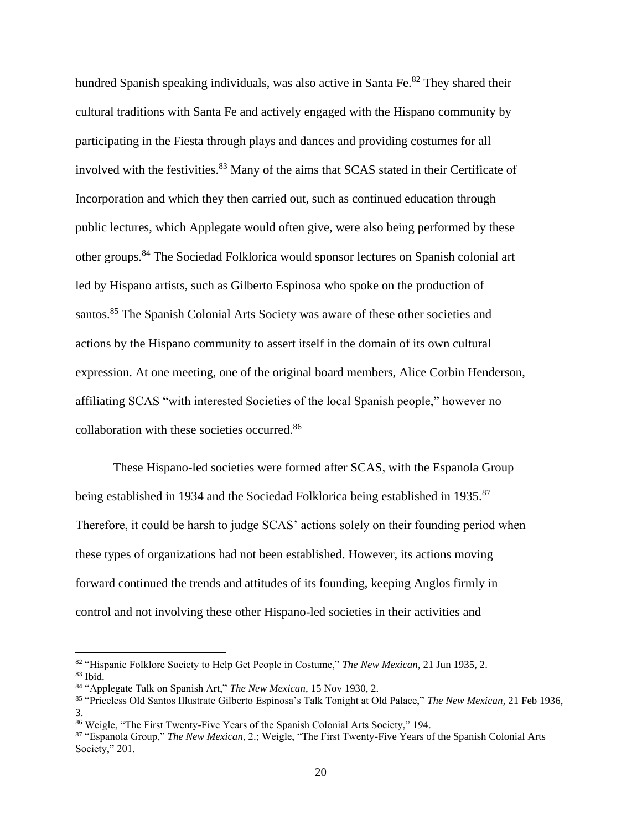hundred Spanish speaking individuals, was also active in Santa Fe.<sup>82</sup> They shared their cultural traditions with Santa Fe and actively engaged with the Hispano community by participating in the Fiesta through plays and dances and providing costumes for all involved with the festivities.<sup>83</sup> Many of the aims that SCAS stated in their Certificate of Incorporation and which they then carried out, such as continued education through public lectures, which Applegate would often give, were also being performed by these other groups.<sup>84</sup> The Sociedad Folklorica would sponsor lectures on Spanish colonial art led by Hispano artists, such as Gilberto Espinosa who spoke on the production of santos.<sup>85</sup> The Spanish Colonial Arts Society was aware of these other societies and actions by the Hispano community to assert itself in the domain of its own cultural expression. At one meeting, one of the original board members, Alice Corbin Henderson, affiliating SCAS "with interested Societies of the local Spanish people," however no collaboration with these societies occurred. 86

These Hispano-led societies were formed after SCAS, with the Espanola Group being established in 1934 and the Sociedad Folklorica being established in 1935.<sup>87</sup> Therefore, it could be harsh to judge SCAS' actions solely on their founding period when these types of organizations had not been established. However, its actions moving forward continued the trends and attitudes of its founding, keeping Anglos firmly in control and not involving these other Hispano-led societies in their activities and

<sup>82</sup> "Hispanic Folklore Society to Help Get People in Costume," *The New Mexican*, 21 Jun 1935, 2.  $83$  Ibid.

<sup>84</sup> "Applegate Talk on Spanish Art," *The New Mexican*, 15 Nov 1930, 2.

<sup>85</sup> "Priceless Old Santos Illustrate Gilberto Espinosa's Talk Tonight at Old Palace," *The New Mexican*, 21 Feb 1936, 3.

<sup>86</sup> Weigle, "The First Twenty-Five Years of the Spanish Colonial Arts Society," 194.

<sup>87</sup> "Espanola Group," *The New Mexican*, 2.; Weigle, "The First Twenty-Five Years of the Spanish Colonial Arts Society," 201.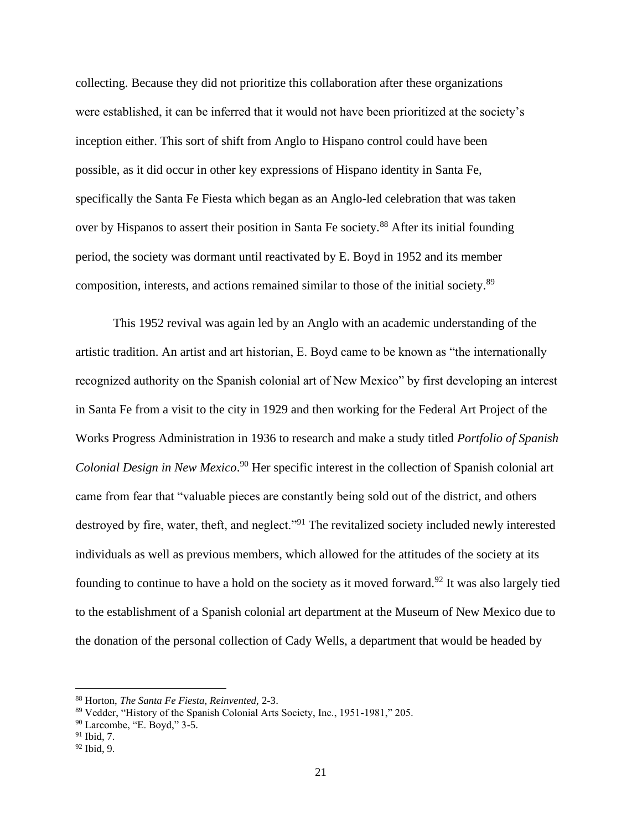collecting. Because they did not prioritize this collaboration after these organizations were established, it can be inferred that it would not have been prioritized at the society's inception either. This sort of shift from Anglo to Hispano control could have been possible, as it did occur in other key expressions of Hispano identity in Santa Fe, specifically the Santa Fe Fiesta which began as an Anglo-led celebration that was taken over by Hispanos to assert their position in Santa Fe society.<sup>88</sup> After its initial founding period, the society was dormant until reactivated by E. Boyd in 1952 and its member composition, interests, and actions remained similar to those of the initial society.<sup>89</sup>

This 1952 revival was again led by an Anglo with an academic understanding of the artistic tradition. An artist and art historian, E. Boyd came to be known as "the internationally recognized authority on the Spanish colonial art of New Mexico" by first developing an interest in Santa Fe from a visit to the city in 1929 and then working for the Federal Art Project of the Works Progress Administration in 1936 to research and make a study titled *Portfolio of Spanish*  Colonial Design in New Mexico.<sup>90</sup> Her specific interest in the collection of Spanish colonial art came from fear that "valuable pieces are constantly being sold out of the district, and others destroyed by fire, water, theft, and neglect."<sup>91</sup> The revitalized society included newly interested individuals as well as previous members, which allowed for the attitudes of the society at its founding to continue to have a hold on the society as it moved forward.<sup>92</sup> It was also largely tied to the establishment of a Spanish colonial art department at the Museum of New Mexico due to the donation of the personal collection of Cady Wells, a department that would be headed by

<sup>88</sup> Horton, *The Santa Fe Fiesta, Reinvented,* 2-3.

<sup>89</sup> Vedder, "History of the Spanish Colonial Arts Society, Inc., 1951-1981," 205.

<sup>90</sup> Larcombe, "E. Boyd," 3-5.

<sup>91</sup> Ibid, 7.

<sup>92</sup> Ibid, 9.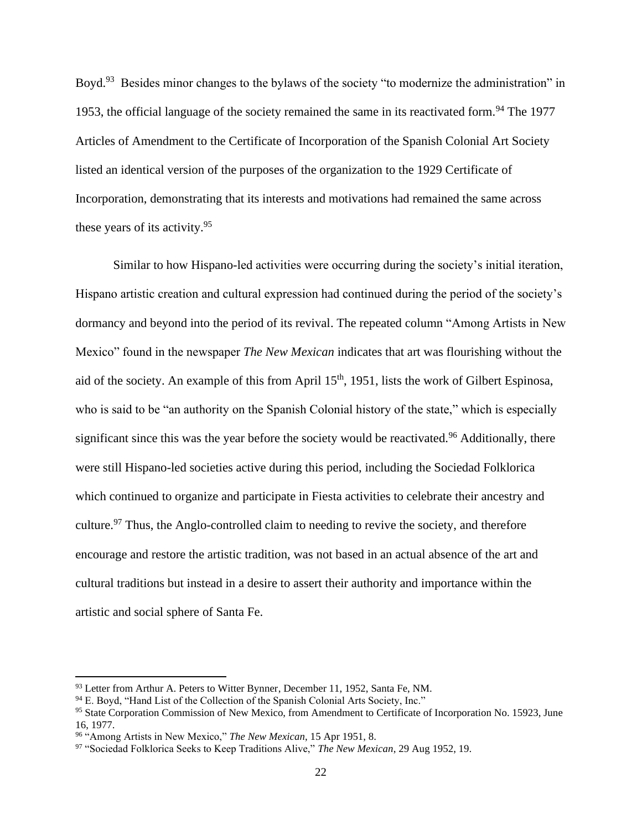Boyd.<sup>93</sup> Besides minor changes to the bylaws of the society "to modernize the administration" in 1953, the official language of the society remained the same in its reactivated form.<sup>94</sup> The 1977 Articles of Amendment to the Certificate of Incorporation of the Spanish Colonial Art Society listed an identical version of the purposes of the organization to the 1929 Certificate of Incorporation, demonstrating that its interests and motivations had remained the same across these years of its activity.<sup>95</sup>

Similar to how Hispano-led activities were occurring during the society's initial iteration, Hispano artistic creation and cultural expression had continued during the period of the society's dormancy and beyond into the period of its revival. The repeated column "Among Artists in New Mexico" found in the newspaper *The New Mexican* indicates that art was flourishing without the aid of the society. An example of this from April 15<sup>th</sup>, 1951, lists the work of Gilbert Espinosa, who is said to be "an authority on the Spanish Colonial history of the state," which is especially significant since this was the year before the society would be reactivated.<sup>96</sup> Additionally, there were still Hispano-led societies active during this period, including the Sociedad Folklorica which continued to organize and participate in Fiesta activities to celebrate their ancestry and culture.<sup>97</sup> Thus, the Anglo-controlled claim to needing to revive the society, and therefore encourage and restore the artistic tradition, was not based in an actual absence of the art and cultural traditions but instead in a desire to assert their authority and importance within the artistic and social sphere of Santa Fe.

<sup>93</sup> Letter from Arthur A. Peters to Witter Bynner, December 11, 1952, Santa Fe, NM.

<sup>94</sup> E. Boyd, "Hand List of the Collection of the Spanish Colonial Arts Society, Inc."

<sup>&</sup>lt;sup>95</sup> State Corporation Commission of New Mexico, from Amendment to Certificate of Incorporation No. 15923, June 16, 1977.

<sup>96</sup> "Among Artists in New Mexico," *The New Mexican*, 15 Apr 1951, 8.

<sup>97</sup> "Sociedad Folklorica Seeks to Keep Traditions Alive," *The New Mexican*, 29 Aug 1952, 19.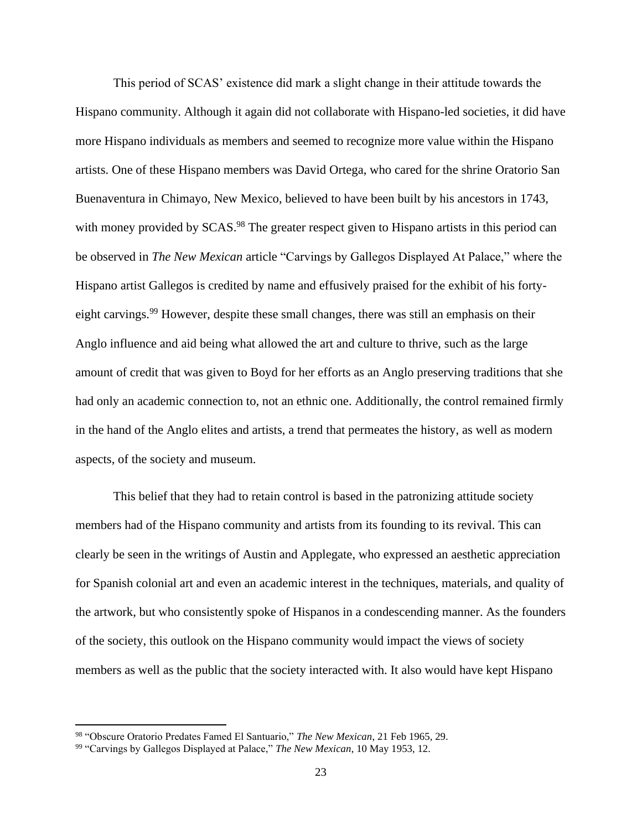This period of SCAS' existence did mark a slight change in their attitude towards the Hispano community. Although it again did not collaborate with Hispano-led societies, it did have more Hispano individuals as members and seemed to recognize more value within the Hispano artists. One of these Hispano members was David Ortega, who cared for the shrine Oratorio San Buenaventura in Chimayo, New Mexico, believed to have been built by his ancestors in 1743, with money provided by SCAS.<sup>98</sup> The greater respect given to Hispano artists in this period can be observed in *The New Mexican* article "Carvings by Gallegos Displayed At Palace," where the Hispano artist Gallegos is credited by name and effusively praised for the exhibit of his fortyeight carvings.<sup>99</sup> However, despite these small changes, there was still an emphasis on their Anglo influence and aid being what allowed the art and culture to thrive, such as the large amount of credit that was given to Boyd for her efforts as an Anglo preserving traditions that she had only an academic connection to, not an ethnic one. Additionally, the control remained firmly in the hand of the Anglo elites and artists, a trend that permeates the history, as well as modern aspects, of the society and museum.

This belief that they had to retain control is based in the patronizing attitude society members had of the Hispano community and artists from its founding to its revival. This can clearly be seen in the writings of Austin and Applegate, who expressed an aesthetic appreciation for Spanish colonial art and even an academic interest in the techniques, materials, and quality of the artwork, but who consistently spoke of Hispanos in a condescending manner. As the founders of the society, this outlook on the Hispano community would impact the views of society members as well as the public that the society interacted with. It also would have kept Hispano

<sup>98</sup> "Obscure Oratorio Predates Famed El Santuario," *The New Mexican*, 21 Feb 1965, 29.

<sup>99</sup> "Carvings by Gallegos Displayed at Palace," *The New Mexican*, 10 May 1953, 12.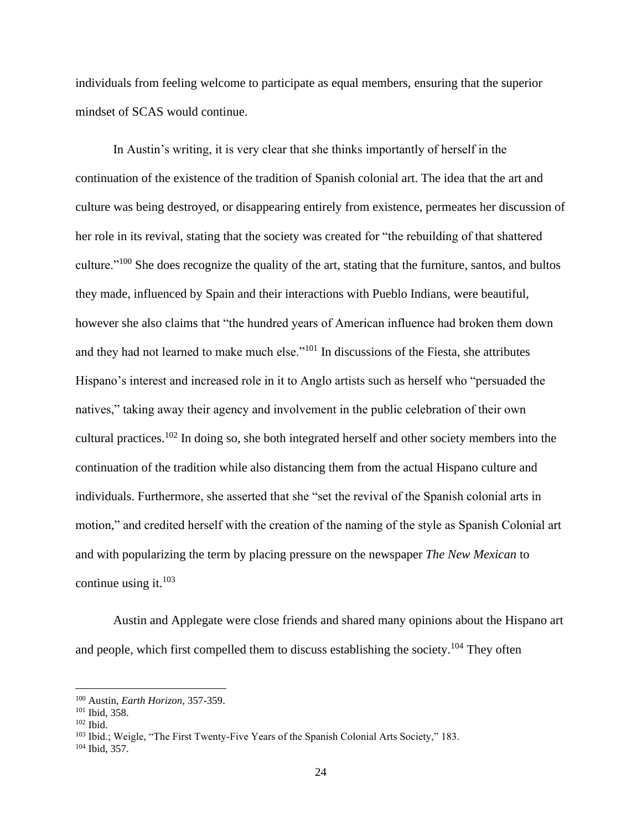individuals from feeling welcome to participate as equal members, ensuring that the superior mindset of SCAS would continue.

In Austin's writing, it is very clear that she thinks importantly of herself in the continuation of the existence of the tradition of Spanish colonial art. The idea that the art and culture was being destroyed, or disappearing entirely from existence, permeates her discussion of her role in its revival, stating that the society was created for "the rebuilding of that shattered culture."<sup>100</sup> She does recognize the quality of the art, stating that the furniture, santos, and bultos they made, influenced by Spain and their interactions with Pueblo Indians, were beautiful, however she also claims that "the hundred years of American influence had broken them down and they had not learned to make much else."<sup>101</sup> In discussions of the Fiesta, she attributes Hispano's interest and increased role in it to Anglo artists such as herself who "persuaded the natives," taking away their agency and involvement in the public celebration of their own cultural practices.<sup>102</sup> In doing so, she both integrated herself and other society members into the continuation of the tradition while also distancing them from the actual Hispano culture and individuals. Furthermore, she asserted that she "set the revival of the Spanish colonial arts in motion," and credited herself with the creation of the naming of the style as Spanish Colonial art and with popularizing the term by placing pressure on the newspaper *The New Mexican* to continue using it. $103$ 

Austin and Applegate were close friends and shared many opinions about the Hispano art and people, which first compelled them to discuss establishing the society.<sup>104</sup> They often

<sup>103</sup> Ibid.; Weigle, "The First Twenty-Five Years of the Spanish Colonial Arts Society," 183.

<sup>100</sup> Austin, *Earth Horizon,* 357-359.

<sup>101</sup> Ibid, 358.

 $102$  Ibid.

<sup>104</sup> Ibid, 357.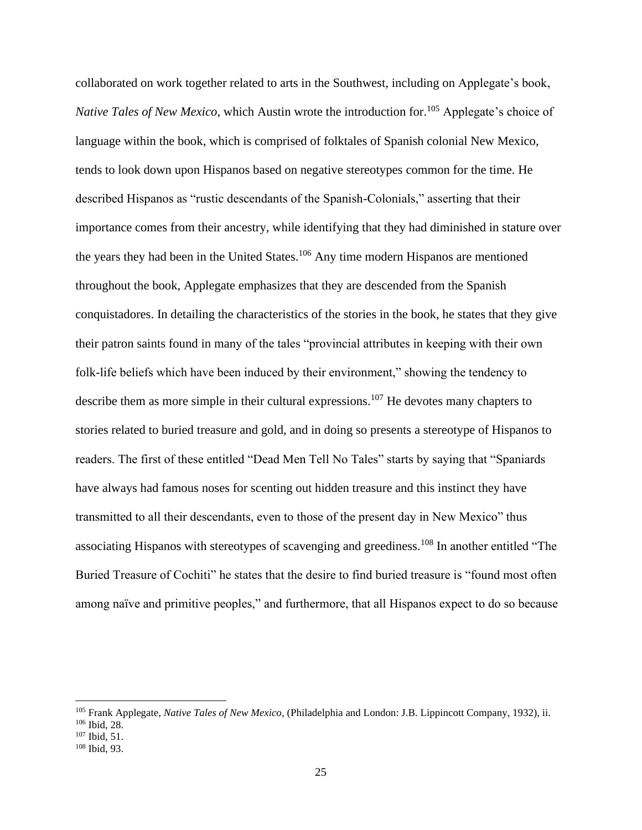collaborated on work together related to arts in the Southwest, including on Applegate's book, *Native Tales of New Mexico*, which Austin wrote the introduction for. <sup>105</sup> Applegate's choice of language within the book, which is comprised of folktales of Spanish colonial New Mexico, tends to look down upon Hispanos based on negative stereotypes common for the time. He described Hispanos as "rustic descendants of the Spanish-Colonials," asserting that their importance comes from their ancestry, while identifying that they had diminished in stature over the years they had been in the United States.<sup>106</sup> Any time modern Hispanos are mentioned throughout the book, Applegate emphasizes that they are descended from the Spanish conquistadores. In detailing the characteristics of the stories in the book, he states that they give their patron saints found in many of the tales "provincial attributes in keeping with their own folk-life beliefs which have been induced by their environment," showing the tendency to describe them as more simple in their cultural expressions.<sup>107</sup> He devotes many chapters to stories related to buried treasure and gold, and in doing so presents a stereotype of Hispanos to readers. The first of these entitled "Dead Men Tell No Tales" starts by saying that "Spaniards have always had famous noses for scenting out hidden treasure and this instinct they have transmitted to all their descendants, even to those of the present day in New Mexico" thus associating Hispanos with stereotypes of scavenging and greediness.<sup>108</sup> In another entitled "The Buried Treasure of Cochiti" he states that the desire to find buried treasure is "found most often among naïve and primitive peoples," and furthermore, that all Hispanos expect to do so because

<sup>105</sup> Frank Applegate, *Native Tales of New Mexico,* (Philadelphia and London: J.B. Lippincott Company, 1932), ii.

<sup>106</sup> Ibid, 28.

<sup>107</sup> Ibid, 51.

<sup>108</sup> Ibid, 93.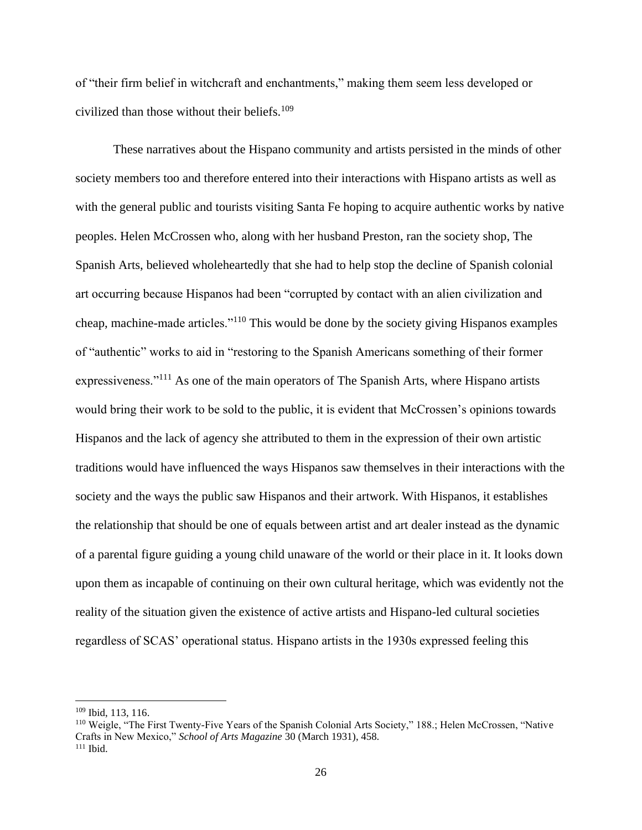of "their firm belief in witchcraft and enchantments," making them seem less developed or civilized than those without their beliefs. 109

These narratives about the Hispano community and artists persisted in the minds of other society members too and therefore entered into their interactions with Hispano artists as well as with the general public and tourists visiting Santa Fe hoping to acquire authentic works by native peoples. Helen McCrossen who, along with her husband Preston, ran the society shop, The Spanish Arts, believed wholeheartedly that she had to help stop the decline of Spanish colonial art occurring because Hispanos had been "corrupted by contact with an alien civilization and cheap, machine-made articles."<sup>110</sup> This would be done by the society giving Hispanos examples of "authentic" works to aid in "restoring to the Spanish Americans something of their former expressiveness."<sup>111</sup> As one of the main operators of The Spanish Arts, where Hispano artists would bring their work to be sold to the public, it is evident that McCrossen's opinions towards Hispanos and the lack of agency she attributed to them in the expression of their own artistic traditions would have influenced the ways Hispanos saw themselves in their interactions with the society and the ways the public saw Hispanos and their artwork. With Hispanos, it establishes the relationship that should be one of equals between artist and art dealer instead as the dynamic of a parental figure guiding a young child unaware of the world or their place in it. It looks down upon them as incapable of continuing on their own cultural heritage, which was evidently not the reality of the situation given the existence of active artists and Hispano-led cultural societies regardless of SCAS' operational status. Hispano artists in the 1930s expressed feeling this

 $109$  Ibid, 113, 116.

<sup>110</sup> Weigle, "The First Twenty-Five Years of the Spanish Colonial Arts Society," 188.; Helen McCrossen, "Native Crafts in New Mexico," *School of Arts Magazine* 30 (March 1931), 458.  $111$  Ibid.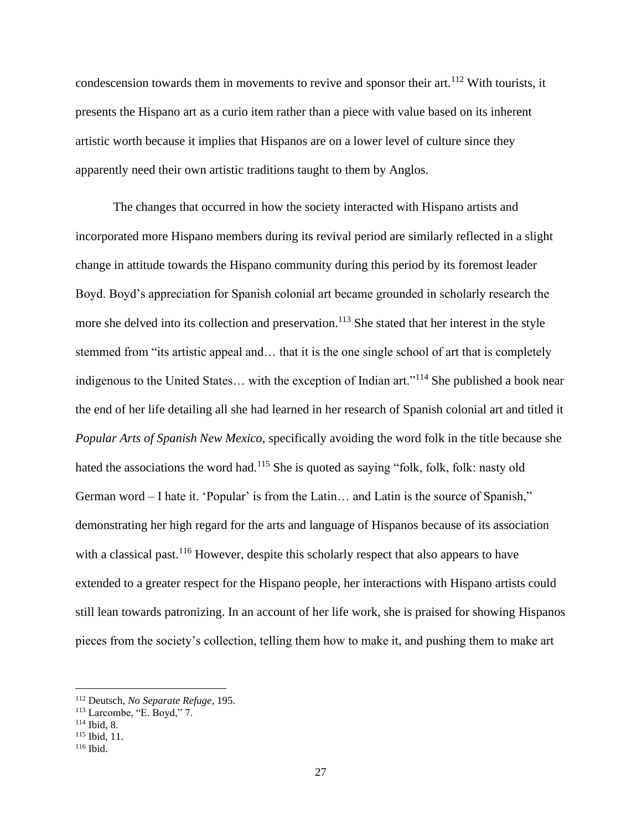condescension towards them in movements to revive and sponsor their art.<sup>112</sup> With tourists, it presents the Hispano art as a curio item rather than a piece with value based on its inherent artistic worth because it implies that Hispanos are on a lower level of culture since they apparently need their own artistic traditions taught to them by Anglos.

The changes that occurred in how the society interacted with Hispano artists and incorporated more Hispano members during its revival period are similarly reflected in a slight change in attitude towards the Hispano community during this period by its foremost leader Boyd. Boyd's appreciation for Spanish colonial art became grounded in scholarly research the more she delved into its collection and preservation.<sup>113</sup> She stated that her interest in the style stemmed from "its artistic appeal and… that it is the one single school of art that is completely indigenous to the United States… with the exception of Indian art."<sup>114</sup> She published a book near the end of her life detailing all she had learned in her research of Spanish colonial art and titled it *Popular Arts of Spanish New Mexico,* specifically avoiding the word folk in the title because she hated the associations the word had.<sup>115</sup> She is quoted as saying "folk, folk, folk: nasty old German word – I hate it. 'Popular' is from the Latin… and Latin is the source of Spanish," demonstrating her high regard for the arts and language of Hispanos because of its association with a classical past.<sup>116</sup> However, despite this scholarly respect that also appears to have extended to a greater respect for the Hispano people, her interactions with Hispano artists could still lean towards patronizing. In an account of her life work, she is praised for showing Hispanos pieces from the society's collection, telling them how to make it, and pushing them to make art

<sup>112</sup> Deutsch, *No Separate Refuge*, 195.

 $113$  Larcombe, "E. Boyd," 7.

<sup>114</sup> Ibid, 8.

<sup>115</sup> Ibid, 11.

<sup>116</sup> Ibid.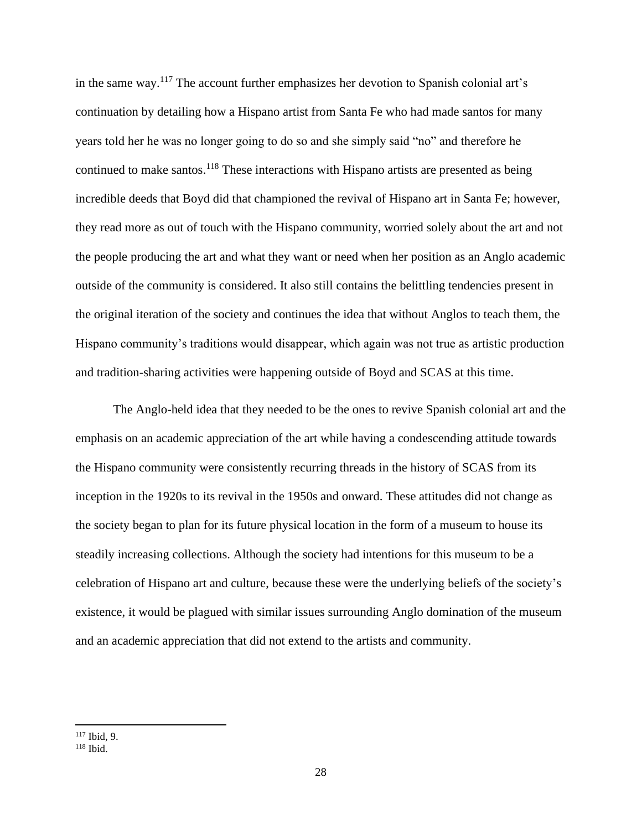in the same way.<sup>117</sup> The account further emphasizes her devotion to Spanish colonial art's continuation by detailing how a Hispano artist from Santa Fe who had made santos for many years told her he was no longer going to do so and she simply said "no" and therefore he continued to make santos.<sup>118</sup> These interactions with Hispano artists are presented as being incredible deeds that Boyd did that championed the revival of Hispano art in Santa Fe; however, they read more as out of touch with the Hispano community, worried solely about the art and not the people producing the art and what they want or need when her position as an Anglo academic outside of the community is considered. It also still contains the belittling tendencies present in the original iteration of the society and continues the idea that without Anglos to teach them, the Hispano community's traditions would disappear, which again was not true as artistic production and tradition-sharing activities were happening outside of Boyd and SCAS at this time.

The Anglo-held idea that they needed to be the ones to revive Spanish colonial art and the emphasis on an academic appreciation of the art while having a condescending attitude towards the Hispano community were consistently recurring threads in the history of SCAS from its inception in the 1920s to its revival in the 1950s and onward. These attitudes did not change as the society began to plan for its future physical location in the form of a museum to house its steadily increasing collections. Although the society had intentions for this museum to be a celebration of Hispano art and culture, because these were the underlying beliefs of the society's existence, it would be plagued with similar issues surrounding Anglo domination of the museum and an academic appreciation that did not extend to the artists and community.

<sup>117</sup> Ibid, 9.

<sup>118</sup> Ibid.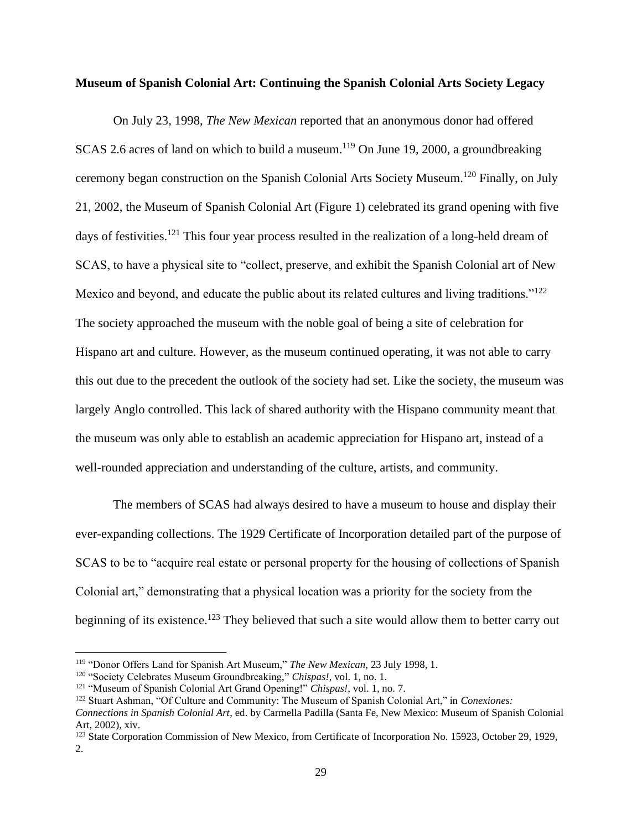#### **Museum of Spanish Colonial Art: Continuing the Spanish Colonial Arts Society Legacy**

On July 23, 1998, *The New Mexican* reported that an anonymous donor had offered SCAS 2.6 acres of land on which to build a museum.<sup>119</sup> On June 19, 2000, a groundbreaking ceremony began construction on the Spanish Colonial Arts Society Museum.<sup>120</sup> Finally, on July 21, 2002, the Museum of Spanish Colonial Art (Figure 1) celebrated its grand opening with five days of festivities.<sup>121</sup> This four year process resulted in the realization of a long-held dream of SCAS, to have a physical site to "collect, preserve, and exhibit the Spanish Colonial art of New Mexico and beyond, and educate the public about its related cultures and living traditions."<sup>122</sup> The society approached the museum with the noble goal of being a site of celebration for Hispano art and culture. However, as the museum continued operating, it was not able to carry this out due to the precedent the outlook of the society had set. Like the society, the museum was largely Anglo controlled. This lack of shared authority with the Hispano community meant that the museum was only able to establish an academic appreciation for Hispano art, instead of a well-rounded appreciation and understanding of the culture, artists, and community.

The members of SCAS had always desired to have a museum to house and display their ever-expanding collections. The 1929 Certificate of Incorporation detailed part of the purpose of SCAS to be to "acquire real estate or personal property for the housing of collections of Spanish Colonial art," demonstrating that a physical location was a priority for the society from the beginning of its existence.<sup>123</sup> They believed that such a site would allow them to better carry out

<sup>119</sup> "Donor Offers Land for Spanish Art Museum," *The New Mexican,* 23 July 1998, 1.

<sup>120</sup> "Society Celebrates Museum Groundbreaking," *Chispas!,* vol. 1, no. 1.

<sup>121</sup> "Museum of Spanish Colonial Art Grand Opening!" *Chispas!*, vol. 1, no. 7.

<sup>122</sup> Stuart Ashman, "Of Culture and Community: The Museum of Spanish Colonial Art," in *Conexiones: Connections in Spanish Colonial Art*, ed. by Carmella Padilla (Santa Fe, New Mexico: Museum of Spanish Colonial

Art, 2002), xiv.

<sup>&</sup>lt;sup>123</sup> State Corporation Commission of New Mexico, from Certificate of Incorporation No. 15923, October 29, 1929, 2.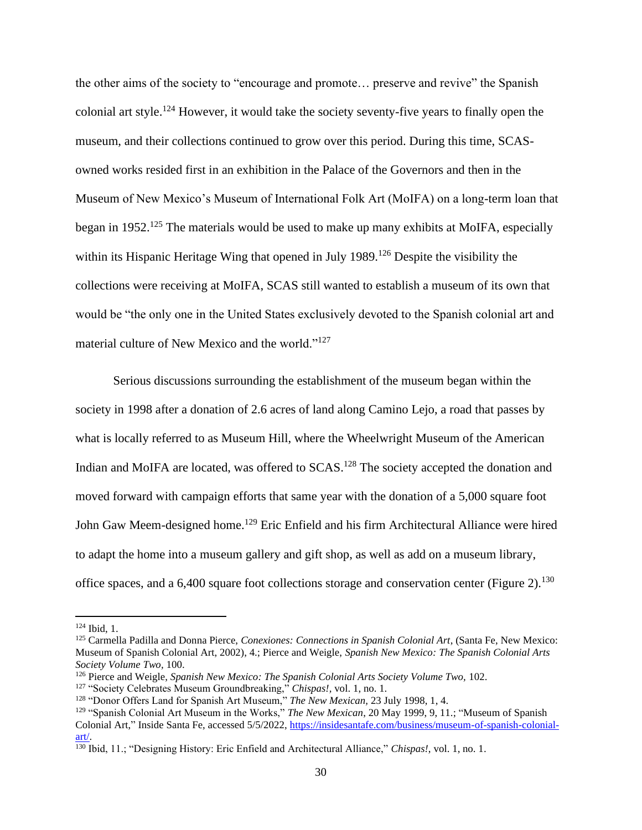the other aims of the society to "encourage and promote… preserve and revive" the Spanish colonial art style.<sup>124</sup> However, it would take the society seventy-five years to finally open the museum, and their collections continued to grow over this period. During this time, SCASowned works resided first in an exhibition in the Palace of the Governors and then in the Museum of New Mexico's Museum of International Folk Art (MoIFA) on a long-term loan that began in 1952.<sup>125</sup> The materials would be used to make up many exhibits at MoIFA, especially within its Hispanic Heritage Wing that opened in July 1989.<sup>126</sup> Despite the visibility the collections were receiving at MoIFA, SCAS still wanted to establish a museum of its own that would be "the only one in the United States exclusively devoted to the Spanish colonial art and material culture of New Mexico and the world."<sup>127</sup>

Serious discussions surrounding the establishment of the museum began within the society in 1998 after a donation of 2.6 acres of land along Camino Lejo, a road that passes by what is locally referred to as Museum Hill, where the Wheelwright Museum of the American Indian and MoIFA are located, was offered to SCAS.<sup>128</sup> The society accepted the donation and moved forward with campaign efforts that same year with the donation of a 5,000 square foot John Gaw Meem-designed home.<sup>129</sup> Eric Enfield and his firm Architectural Alliance were hired to adapt the home into a museum gallery and gift shop, as well as add on a museum library, office spaces, and a 6,400 square foot collections storage and conservation center (Figure 2).<sup>130</sup>

<sup>124</sup> Ibid, 1.

<sup>125</sup> Carmella Padilla and Donna Pierce, *Conexiones: Connections in Spanish Colonial Art*, (Santa Fe, New Mexico: Museum of Spanish Colonial Art, 2002), 4.; Pierce and Weigle, *Spanish New Mexico: The Spanish Colonial Arts Society Volume Two,* 100.

<sup>&</sup>lt;sup>126</sup> Pierce and Weigle, *Spanish New Mexico: The Spanish Colonial Arts Society Volume Two*, 102.

<sup>127</sup> "Society Celebrates Museum Groundbreaking," *Chispas!,* vol. 1, no. 1.

<sup>128</sup> "Donor Offers Land for Spanish Art Museum," *The New Mexican,* 23 July 1998, 1, 4.

<sup>129</sup> "Spanish Colonial Art Museum in the Works," *The New Mexican*, 20 May 1999, 9, 11.; "Museum of Spanish Colonial Art," Inside Santa Fe, accessed 5/5/2022, [https://insidesantafe.com/business/museum-of-spanish-colonial](https://insidesantafe.com/business/museum-of-spanish-colonial-art/)[art/.](https://insidesantafe.com/business/museum-of-spanish-colonial-art/)

<sup>130</sup> Ibid, 11.; "Designing History: Eric Enfield and Architectural Alliance," *Chispas!*, vol. 1, no. 1.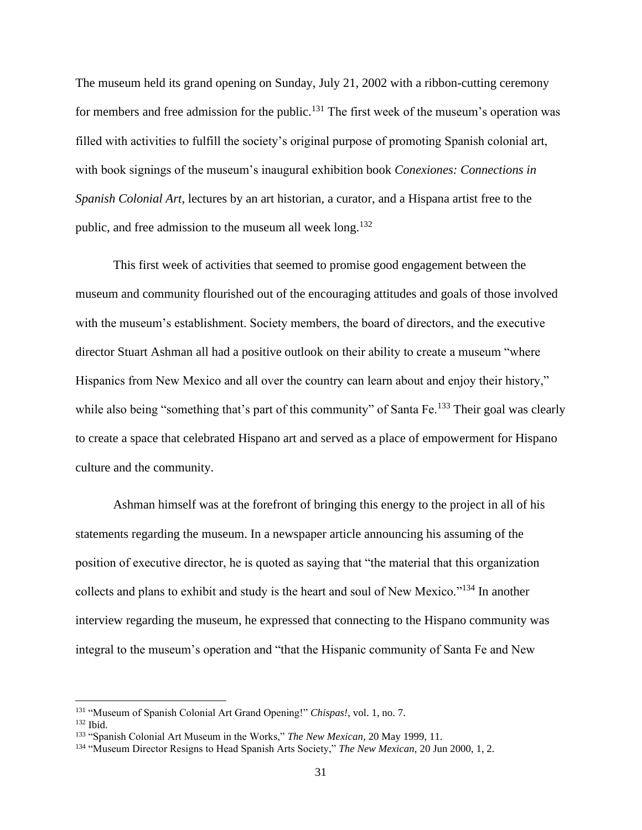The museum held its grand opening on Sunday, July 21, 2002 with a ribbon-cutting ceremony for members and free admission for the public.<sup>131</sup> The first week of the museum's operation was filled with activities to fulfill the society's original purpose of promoting Spanish colonial art, with book signings of the museum's inaugural exhibition book *Conexiones: Connections in Spanish Colonial Art*, lectures by an art historian, a curator, and a Hispana artist free to the public, and free admission to the museum all week long.<sup>132</sup>

This first week of activities that seemed to promise good engagement between the museum and community flourished out of the encouraging attitudes and goals of those involved with the museum's establishment. Society members, the board of directors, and the executive director Stuart Ashman all had a positive outlook on their ability to create a museum "where Hispanics from New Mexico and all over the country can learn about and enjoy their history," while also being "something that's part of this community" of Santa Fe.<sup>133</sup> Their goal was clearly to create a space that celebrated Hispano art and served as a place of empowerment for Hispano culture and the community.

Ashman himself was at the forefront of bringing this energy to the project in all of his statements regarding the museum. In a newspaper article announcing his assuming of the position of executive director, he is quoted as saying that "the material that this organization collects and plans to exhibit and study is the heart and soul of New Mexico."<sup>134</sup> In another interview regarding the museum, he expressed that connecting to the Hispano community was integral to the museum's operation and "that the Hispanic community of Santa Fe and New

<sup>131</sup> "Museum of Spanish Colonial Art Grand Opening!" *Chispas!*, vol. 1, no. 7.

<sup>132</sup> Ibid.

<sup>133</sup> "Spanish Colonial Art Museum in the Works," *The New Mexican*, 20 May 1999, 11.

<sup>134</sup> "Museum Director Resigns to Head Spanish Arts Society," *The New Mexican*, 20 Jun 2000, 1, 2.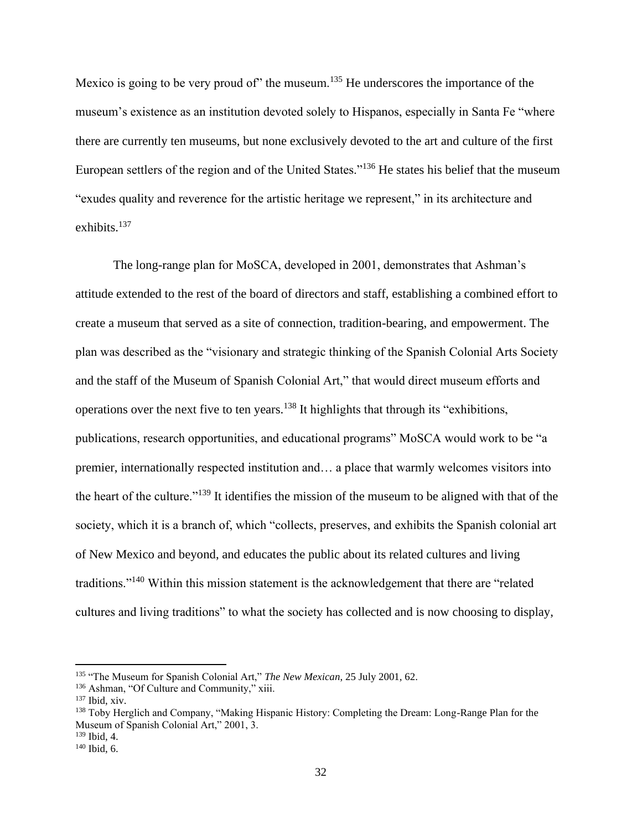Mexico is going to be very proud of" the museum.<sup>135</sup> He underscores the importance of the museum's existence as an institution devoted solely to Hispanos, especially in Santa Fe "where there are currently ten museums, but none exclusively devoted to the art and culture of the first European settlers of the region and of the United States."<sup>136</sup> He states his belief that the museum "exudes quality and reverence for the artistic heritage we represent," in its architecture and exhibits.<sup>137</sup>

The long-range plan for MoSCA, developed in 2001, demonstrates that Ashman's attitude extended to the rest of the board of directors and staff, establishing a combined effort to create a museum that served as a site of connection, tradition-bearing, and empowerment. The plan was described as the "visionary and strategic thinking of the Spanish Colonial Arts Society and the staff of the Museum of Spanish Colonial Art," that would direct museum efforts and operations over the next five to ten years.<sup>138</sup> It highlights that through its "exhibitions, publications, research opportunities, and educational programs" MoSCA would work to be "a premier, internationally respected institution and… a place that warmly welcomes visitors into the heart of the culture."<sup>139</sup> It identifies the mission of the museum to be aligned with that of the society, which it is a branch of, which "collects, preserves, and exhibits the Spanish colonial art of New Mexico and beyond, and educates the public about its related cultures and living traditions."<sup>140</sup> Within this mission statement is the acknowledgement that there are "related cultures and living traditions" to what the society has collected and is now choosing to display,

<sup>135</sup> "The Museum for Spanish Colonial Art," *The New Mexican*, 25 July 2001, 62.

<sup>136</sup> Ashman, "Of Culture and Community," xiii.

<sup>137</sup> Ibid, xiv.

<sup>&</sup>lt;sup>138</sup> Toby Herglich and Company, "Making Hispanic History: Completing the Dream: Long-Range Plan for the Museum of Spanish Colonial Art," 2001, 3.

<sup>139</sup> Ibid, 4.

<sup>140</sup> Ibid, 6.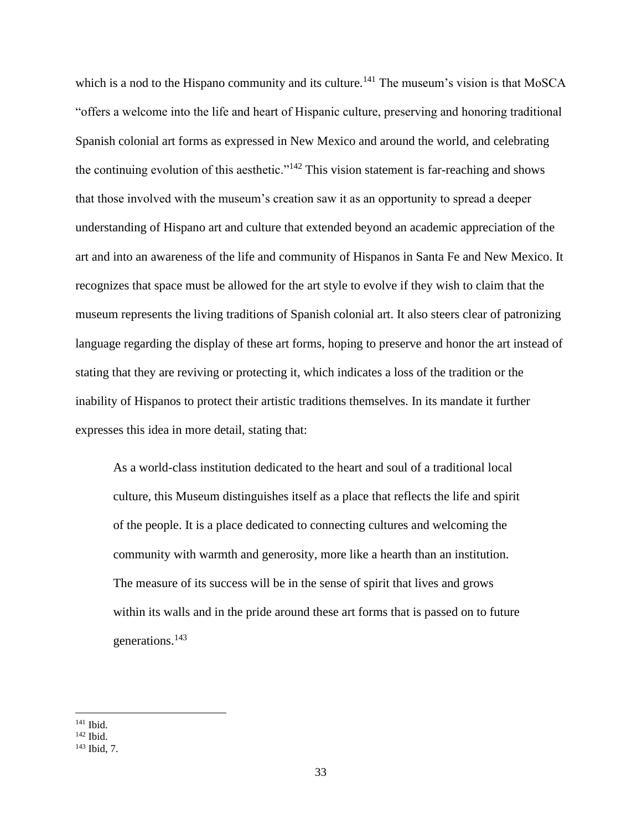which is a nod to the Hispano community and its culture.<sup>141</sup> The museum's vision is that MoSCA "offers a welcome into the life and heart of Hispanic culture, preserving and honoring traditional Spanish colonial art forms as expressed in New Mexico and around the world, and celebrating the continuing evolution of this aesthetic."<sup>142</sup> This vision statement is far-reaching and shows that those involved with the museum's creation saw it as an opportunity to spread a deeper understanding of Hispano art and culture that extended beyond an academic appreciation of the art and into an awareness of the life and community of Hispanos in Santa Fe and New Mexico. It recognizes that space must be allowed for the art style to evolve if they wish to claim that the museum represents the living traditions of Spanish colonial art. It also steers clear of patronizing language regarding the display of these art forms, hoping to preserve and honor the art instead of stating that they are reviving or protecting it, which indicates a loss of the tradition or the inability of Hispanos to protect their artistic traditions themselves. In its mandate it further expresses this idea in more detail, stating that:

As a world-class institution dedicated to the heart and soul of a traditional local culture, this Museum distinguishes itself as a place that reflects the life and spirit of the people. It is a place dedicated to connecting cultures and welcoming the community with warmth and generosity, more like a hearth than an institution. The measure of its success will be in the sense of spirit that lives and grows within its walls and in the pride around these art forms that is passed on to future generations.<sup>143</sup>

<sup>141</sup> Ibid.

<sup>142</sup> Ibid.

<sup>143</sup> Ibid, 7.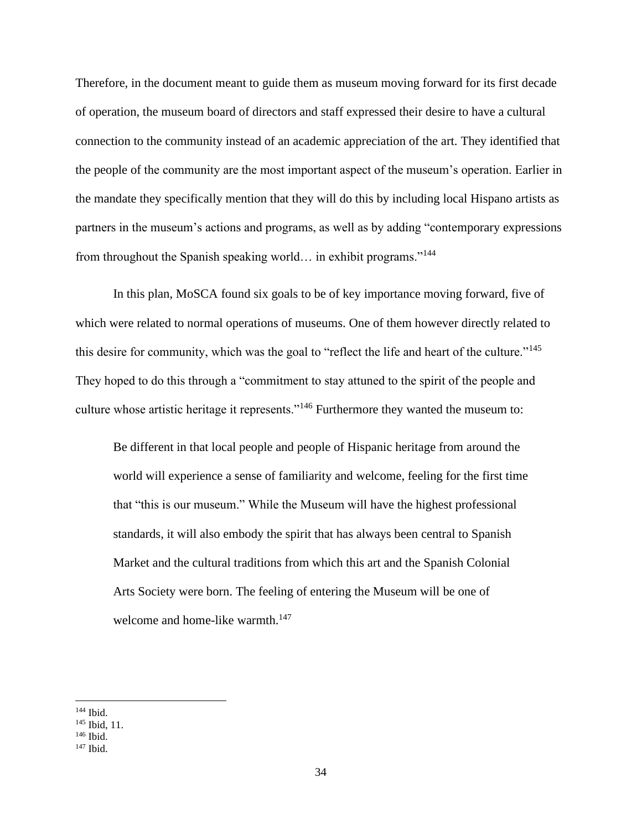Therefore, in the document meant to guide them as museum moving forward for its first decade of operation, the museum board of directors and staff expressed their desire to have a cultural connection to the community instead of an academic appreciation of the art. They identified that the people of the community are the most important aspect of the museum's operation. Earlier in the mandate they specifically mention that they will do this by including local Hispano artists as partners in the museum's actions and programs, as well as by adding "contemporary expressions from throughout the Spanish speaking world… in exhibit programs."<sup>144</sup>

In this plan, MoSCA found six goals to be of key importance moving forward, five of which were related to normal operations of museums. One of them however directly related to this desire for community, which was the goal to "reflect the life and heart of the culture."<sup>145</sup> They hoped to do this through a "commitment to stay attuned to the spirit of the people and culture whose artistic heritage it represents."<sup>146</sup> Furthermore they wanted the museum to:

Be different in that local people and people of Hispanic heritage from around the world will experience a sense of familiarity and welcome, feeling for the first time that "this is our museum." While the Museum will have the highest professional standards, it will also embody the spirit that has always been central to Spanish Market and the cultural traditions from which this art and the Spanish Colonial Arts Society were born. The feeling of entering the Museum will be one of welcome and home-like warmth.<sup>147</sup>

 $144$  Ibid.

<sup>145</sup> Ibid, 11.

<sup>146</sup> Ibid.

 $147$  Ibid.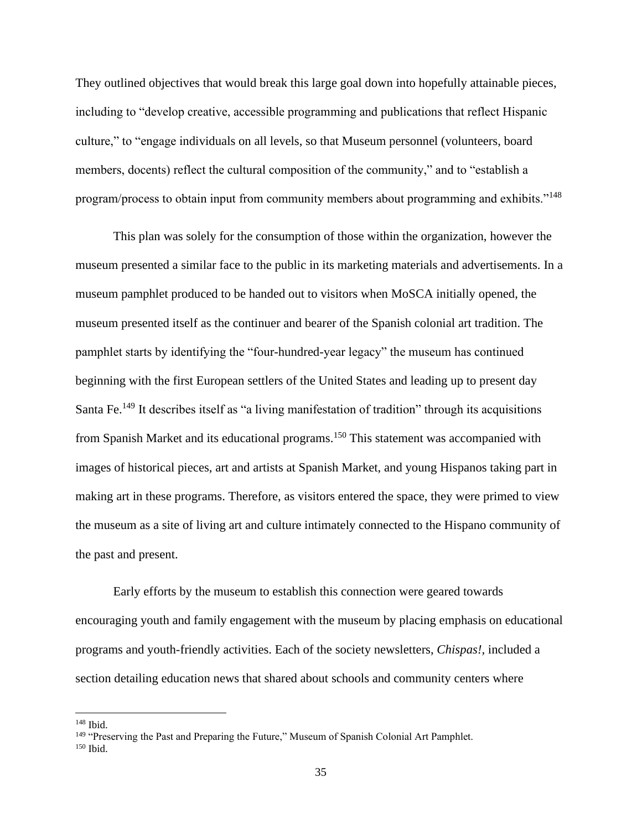They outlined objectives that would break this large goal down into hopefully attainable pieces, including to "develop creative, accessible programming and publications that reflect Hispanic culture," to "engage individuals on all levels, so that Museum personnel (volunteers, board members, docents) reflect the cultural composition of the community," and to "establish a program/process to obtain input from community members about programming and exhibits."<sup>148</sup>

This plan was solely for the consumption of those within the organization, however the museum presented a similar face to the public in its marketing materials and advertisements. In a museum pamphlet produced to be handed out to visitors when MoSCA initially opened, the museum presented itself as the continuer and bearer of the Spanish colonial art tradition. The pamphlet starts by identifying the "four-hundred-year legacy" the museum has continued beginning with the first European settlers of the United States and leading up to present day Santa Fe.<sup>149</sup> It describes itself as "a living manifestation of tradition" through its acquisitions from Spanish Market and its educational programs.<sup>150</sup> This statement was accompanied with images of historical pieces, art and artists at Spanish Market, and young Hispanos taking part in making art in these programs. Therefore, as visitors entered the space, they were primed to view the museum as a site of living art and culture intimately connected to the Hispano community of the past and present.

Early efforts by the museum to establish this connection were geared towards encouraging youth and family engagement with the museum by placing emphasis on educational programs and youth-friendly activities. Each of the society newsletters, *Chispas!,* included a section detailing education news that shared about schools and community centers where

<sup>148</sup> Ibid.

<sup>&</sup>lt;sup>149</sup> "Preserving the Past and Preparing the Future," Museum of Spanish Colonial Art Pamphlet.

 $150$  Ibid.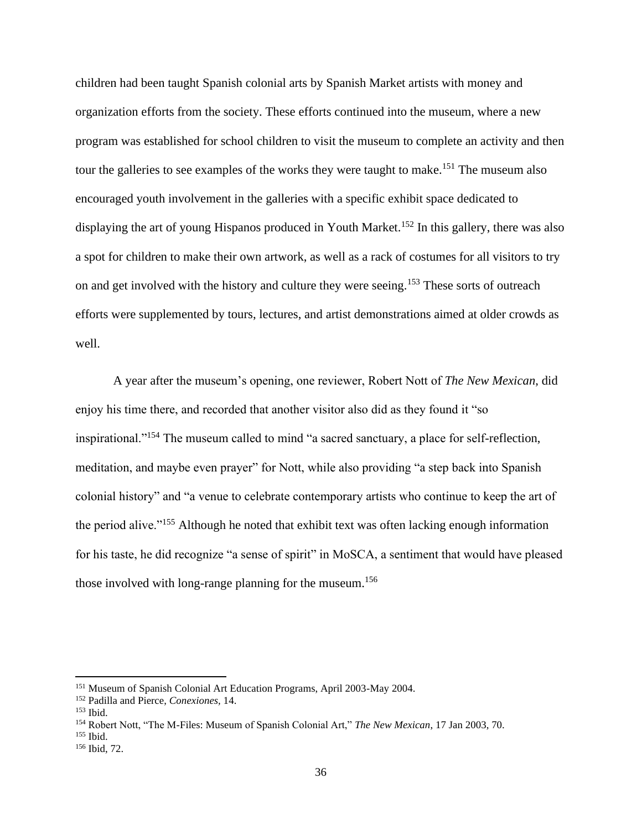children had been taught Spanish colonial arts by Spanish Market artists with money and organization efforts from the society. These efforts continued into the museum, where a new program was established for school children to visit the museum to complete an activity and then tour the galleries to see examples of the works they were taught to make.<sup>151</sup> The museum also encouraged youth involvement in the galleries with a specific exhibit space dedicated to displaying the art of young Hispanos produced in Youth Market.<sup>152</sup> In this gallery, there was also a spot for children to make their own artwork, as well as a rack of costumes for all visitors to try on and get involved with the history and culture they were seeing.<sup>153</sup> These sorts of outreach efforts were supplemented by tours, lectures, and artist demonstrations aimed at older crowds as well.

A year after the museum's opening, one reviewer, Robert Nott of *The New Mexican*, did enjoy his time there, and recorded that another visitor also did as they found it "so inspirational."<sup>154</sup> The museum called to mind "a sacred sanctuary, a place for self-reflection, meditation, and maybe even prayer" for Nott, while also providing "a step back into Spanish colonial history" and "a venue to celebrate contemporary artists who continue to keep the art of the period alive."<sup>155</sup> Although he noted that exhibit text was often lacking enough information for his taste, he did recognize "a sense of spirit" in MoSCA, a sentiment that would have pleased those involved with long-range planning for the museum.<sup>156</sup>

<sup>151</sup> Museum of Spanish Colonial Art Education Programs, April 2003-May 2004.

<sup>152</sup> Padilla and Pierce, *Conexiones,* 14.

 $153$  Ibid.

<sup>154</sup> Robert Nott, "The M-Files: Museum of Spanish Colonial Art," *The New Mexican*, 17 Jan 2003, 70.

<sup>155</sup> Ibid.

<sup>156</sup> Ibid, 72.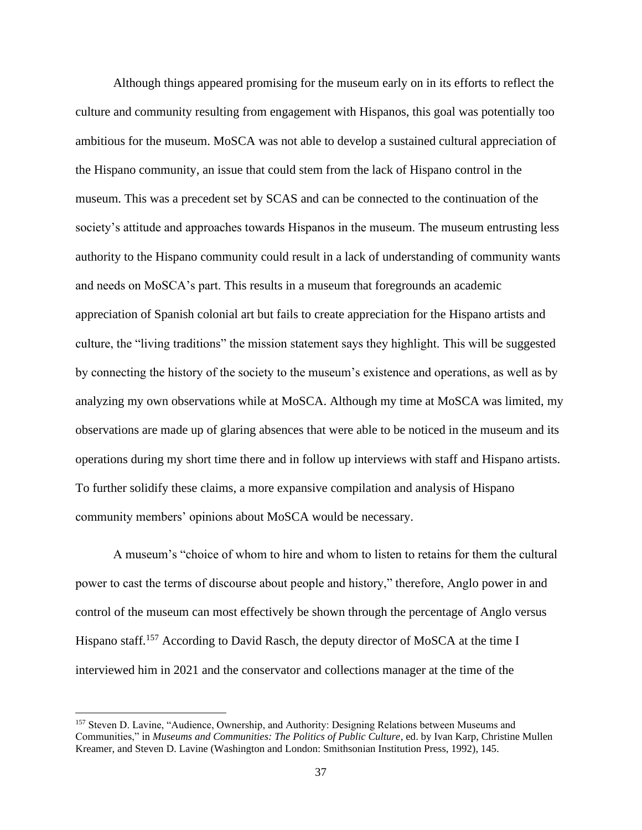Although things appeared promising for the museum early on in its efforts to reflect the culture and community resulting from engagement with Hispanos, this goal was potentially too ambitious for the museum. MoSCA was not able to develop a sustained cultural appreciation of the Hispano community, an issue that could stem from the lack of Hispano control in the museum. This was a precedent set by SCAS and can be connected to the continuation of the society's attitude and approaches towards Hispanos in the museum. The museum entrusting less authority to the Hispano community could result in a lack of understanding of community wants and needs on MoSCA's part. This results in a museum that foregrounds an academic appreciation of Spanish colonial art but fails to create appreciation for the Hispano artists and culture, the "living traditions" the mission statement says they highlight. This will be suggested by connecting the history of the society to the museum's existence and operations, as well as by analyzing my own observations while at MoSCA. Although my time at MoSCA was limited, my observations are made up of glaring absences that were able to be noticed in the museum and its operations during my short time there and in follow up interviews with staff and Hispano artists. To further solidify these claims, a more expansive compilation and analysis of Hispano community members' opinions about MoSCA would be necessary.

A museum's "choice of whom to hire and whom to listen to retains for them the cultural power to cast the terms of discourse about people and history," therefore, Anglo power in and control of the museum can most effectively be shown through the percentage of Anglo versus Hispano staff.<sup>157</sup> According to David Rasch, the deputy director of MoSCA at the time I interviewed him in 2021 and the conservator and collections manager at the time of the

<sup>&</sup>lt;sup>157</sup> Steven D. Lavine, "Audience, Ownership, and Authority: Designing Relations between Museums and Communities," in *Museums and Communities: The Politics of Public Culture*, ed. by Ivan Karp, Christine Mullen Kreamer, and Steven D. Lavine (Washington and London: Smithsonian Institution Press, 1992), 145.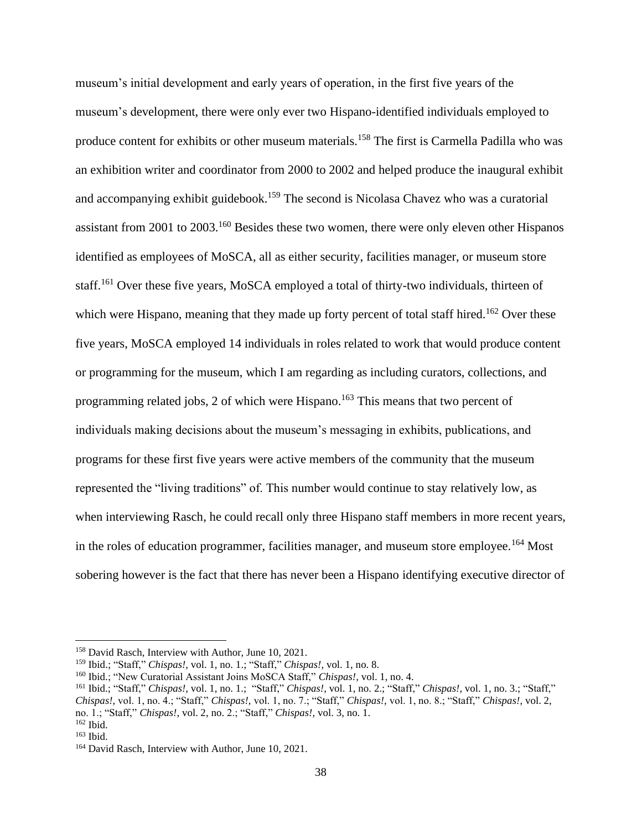museum's initial development and early years of operation, in the first five years of the museum's development, there were only ever two Hispano-identified individuals employed to produce content for exhibits or other museum materials.<sup>158</sup> The first is Carmella Padilla who was an exhibition writer and coordinator from 2000 to 2002 and helped produce the inaugural exhibit and accompanying exhibit guidebook.<sup>159</sup> The second is Nicolasa Chavez who was a curatorial assistant from 2001 to 2003.<sup>160</sup> Besides these two women, there were only eleven other Hispanos identified as employees of MoSCA, all as either security, facilities manager, or museum store staff.<sup>161</sup> Over these five years, MoSCA employed a total of thirty-two individuals, thirteen of which were Hispano, meaning that they made up forty percent of total staff hired.<sup>162</sup> Over these five years, MoSCA employed 14 individuals in roles related to work that would produce content or programming for the museum, which I am regarding as including curators, collections, and programming related jobs, 2 of which were Hispano.<sup>163</sup> This means that two percent of individuals making decisions about the museum's messaging in exhibits, publications, and programs for these first five years were active members of the community that the museum represented the "living traditions" of. This number would continue to stay relatively low, as when interviewing Rasch, he could recall only three Hispano staff members in more recent years, in the roles of education programmer, facilities manager, and museum store employee.<sup>164</sup> Most sobering however is the fact that there has never been a Hispano identifying executive director of

<sup>158</sup> David Rasch, Interview with Author, June 10, 2021.

<sup>159</sup> Ibid.; "Staff," *Chispas!,* vol. 1, no. 1.; "Staff," *Chispas!,* vol. 1, no. 8.

<sup>160</sup> Ibid.; "New Curatorial Assistant Joins MoSCA Staff," *Chispas!,* vol. 1, no. 4.

<sup>161</sup> Ibid.; "Staff," *Chispas!,* vol. 1, no. 1.; "Staff," *Chispas!,* vol. 1, no. 2.; "Staff," *Chispas!,* vol. 1, no. 3.; "Staff," *Chispas!,* vol. 1, no. 4.; "Staff," *Chispas!,* vol. 1, no. 7.; "Staff," *Chispas!,* vol. 1, no. 8.; "Staff," *Chispas!,* vol. 2, no. 1.; "Staff," *Chispas!,* vol. 2, no. 2.; "Staff," *Chispas!,* vol. 3, no. 1.

<sup>162</sup> Ibid.

<sup>163</sup> Ibid.

<sup>&</sup>lt;sup>164</sup> David Rasch, Interview with Author, June 10, 2021.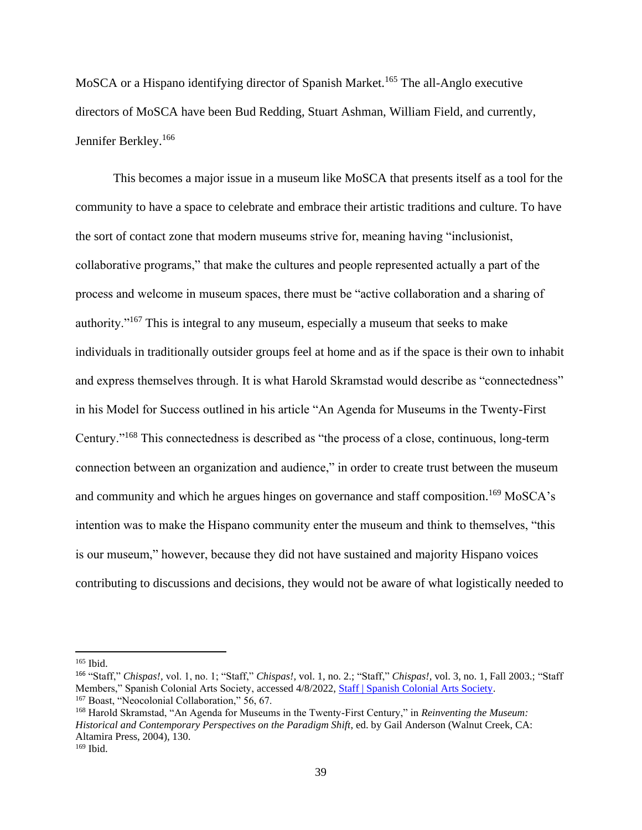MoSCA or a Hispano identifying director of Spanish Market.<sup>165</sup> The all-Anglo executive directors of MoSCA have been Bud Redding, Stuart Ashman, William Field, and currently, Jennifer Berkley.<sup>166</sup>

This becomes a major issue in a museum like MoSCA that presents itself as a tool for the community to have a space to celebrate and embrace their artistic traditions and culture. To have the sort of contact zone that modern museums strive for, meaning having "inclusionist, collaborative programs," that make the cultures and people represented actually a part of the process and welcome in museum spaces, there must be "active collaboration and a sharing of authority."<sup>167</sup> This is integral to any museum, especially a museum that seeks to make individuals in traditionally outsider groups feel at home and as if the space is their own to inhabit and express themselves through. It is what Harold Skramstad would describe as "connectedness" in his Model for Success outlined in his article "An Agenda for Museums in the Twenty-First Century."<sup>168</sup> This connectedness is described as "the process of a close, continuous, long-term connection between an organization and audience," in order to create trust between the museum and community and which he argues hinges on governance and staff composition.<sup>169</sup> MoSCA's intention was to make the Hispano community enter the museum and think to themselves, "this is our museum," however, because they did not have sustained and majority Hispano voices contributing to discussions and decisions, they would not be aware of what logistically needed to

<sup>165</sup> Ibid.

<sup>166</sup> "Staff," *Chispas!,* vol. 1, no. 1; "Staff," *Chispas!,* vol. 1, no. 2.; "Staff," *Chispas!,* vol. 3, no. 1, Fall 2003.; "Staff Members," Spanish Colonial Arts Society, accessed 4/8/2022, [Staff | Spanish Colonial Arts Society.](https://www.spanishcolonial.org/about-us/staff/)  <sup>167</sup> Boast, "Neocolonial Collaboration," 56, 67.

<sup>168</sup> Harold Skramstad, "An Agenda for Museums in the Twenty-First Century," in *Reinventing the Museum: Historical and Contemporary Perspectives on the Paradigm Shift*, ed. by Gail Anderson (Walnut Creek, CA: Altamira Press, 2004), 130.

 $169$  Ibid.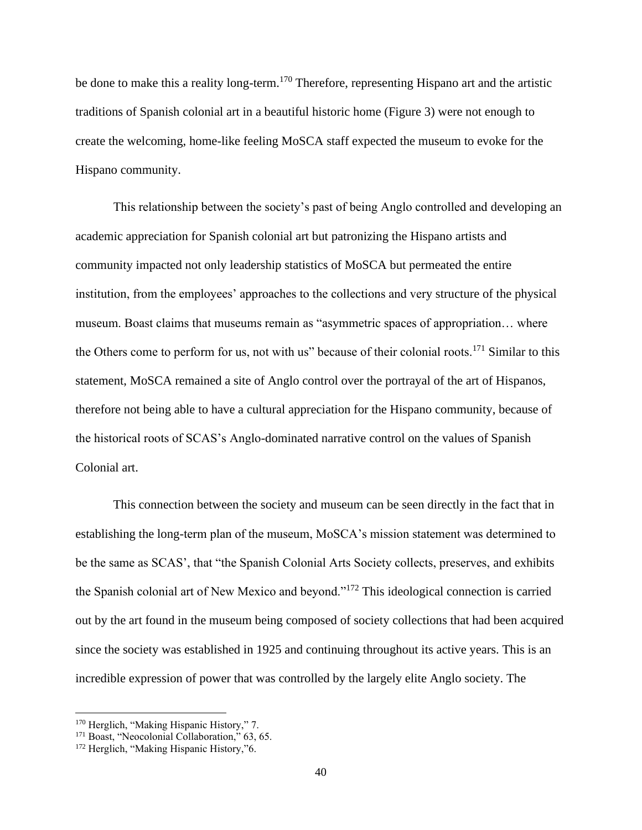be done to make this a reality long-term.<sup>170</sup> Therefore, representing Hispano art and the artistic traditions of Spanish colonial art in a beautiful historic home (Figure 3) were not enough to create the welcoming, home-like feeling MoSCA staff expected the museum to evoke for the Hispano community.

This relationship between the society's past of being Anglo controlled and developing an academic appreciation for Spanish colonial art but patronizing the Hispano artists and community impacted not only leadership statistics of MoSCA but permeated the entire institution, from the employees' approaches to the collections and very structure of the physical museum. Boast claims that museums remain as "asymmetric spaces of appropriation… where the Others come to perform for us, not with us" because of their colonial roots.<sup>171</sup> Similar to this statement, MoSCA remained a site of Anglo control over the portrayal of the art of Hispanos, therefore not being able to have a cultural appreciation for the Hispano community, because of the historical roots of SCAS's Anglo-dominated narrative control on the values of Spanish Colonial art.

This connection between the society and museum can be seen directly in the fact that in establishing the long-term plan of the museum, MoSCA's mission statement was determined to be the same as SCAS', that "the Spanish Colonial Arts Society collects, preserves, and exhibits the Spanish colonial art of New Mexico and beyond."<sup>172</sup> This ideological connection is carried out by the art found in the museum being composed of society collections that had been acquired since the society was established in 1925 and continuing throughout its active years. This is an incredible expression of power that was controlled by the largely elite Anglo society. The

<sup>170</sup> Herglich, "Making Hispanic History," 7.

<sup>&</sup>lt;sup>171</sup> Boast, "Neocolonial Collaboration," 63, 65.

<sup>&</sup>lt;sup>172</sup> Herglich, "Making Hispanic History,"6.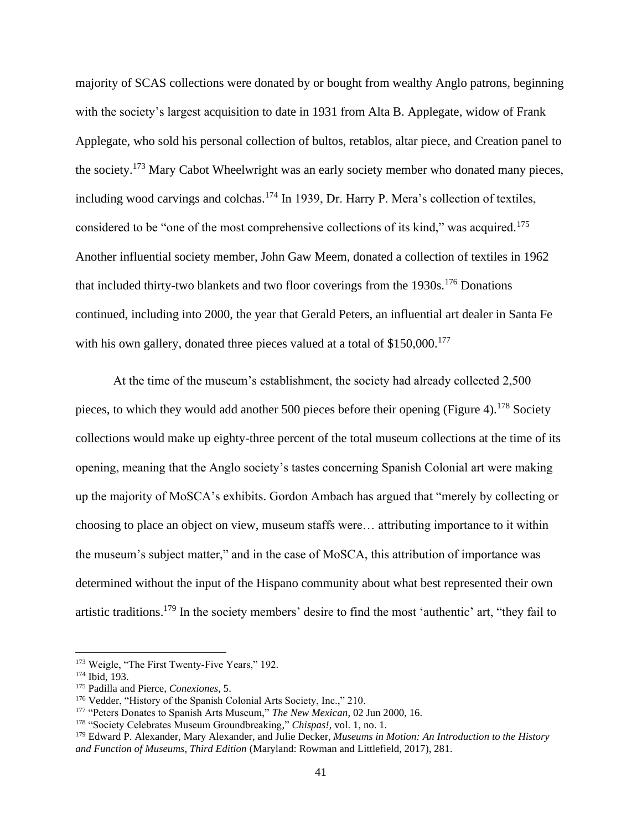majority of SCAS collections were donated by or bought from wealthy Anglo patrons, beginning with the society's largest acquisition to date in 1931 from Alta B. Applegate, widow of Frank Applegate, who sold his personal collection of bultos, retablos, altar piece, and Creation panel to the society.<sup>173</sup> Mary Cabot Wheelwright was an early society member who donated many pieces, including wood carvings and colchas.<sup>174</sup> In 1939, Dr. Harry P. Mera's collection of textiles, considered to be "one of the most comprehensive collections of its kind," was acquired.<sup>175</sup> Another influential society member, John Gaw Meem, donated a collection of textiles in 1962 that included thirty-two blankets and two floor coverings from the 1930s.<sup>176</sup> Donations continued, including into 2000, the year that Gerald Peters, an influential art dealer in Santa Fe with his own gallery, donated three pieces valued at a total of \$150,000.<sup>177</sup>

At the time of the museum's establishment, the society had already collected 2,500 pieces, to which they would add another 500 pieces before their opening (Figure 4).<sup>178</sup> Society collections would make up eighty-three percent of the total museum collections at the time of its opening, meaning that the Anglo society's tastes concerning Spanish Colonial art were making up the majority of MoSCA's exhibits. Gordon Ambach has argued that "merely by collecting or choosing to place an object on view, museum staffs were… attributing importance to it within the museum's subject matter," and in the case of MoSCA, this attribution of importance was determined without the input of the Hispano community about what best represented their own artistic traditions.<sup>179</sup> In the society members' desire to find the most 'authentic' art, "they fail to

<sup>173</sup> Weigle, "The First Twenty-Five Years," 192.

<sup>174</sup> Ibid, 193.

<sup>175</sup> Padilla and Pierce, *Conexiones,* 5.

<sup>176</sup> Vedder, "History of the Spanish Colonial Arts Society, Inc.," 210.

<sup>177</sup> "Peters Donates to Spanish Arts Museum," *The New Mexican*, 02 Jun 2000, 16.

<sup>178</sup> "Society Celebrates Museum Groundbreaking," *Chispas!,* vol. 1, no. 1.

<sup>179</sup> Edward P. Alexander, Mary Alexander, and Julie Decker, *Museums in Motion: An Introduction to the History and Function of Museums, Third Edition* (Maryland: Rowman and Littlefield, 2017), 281.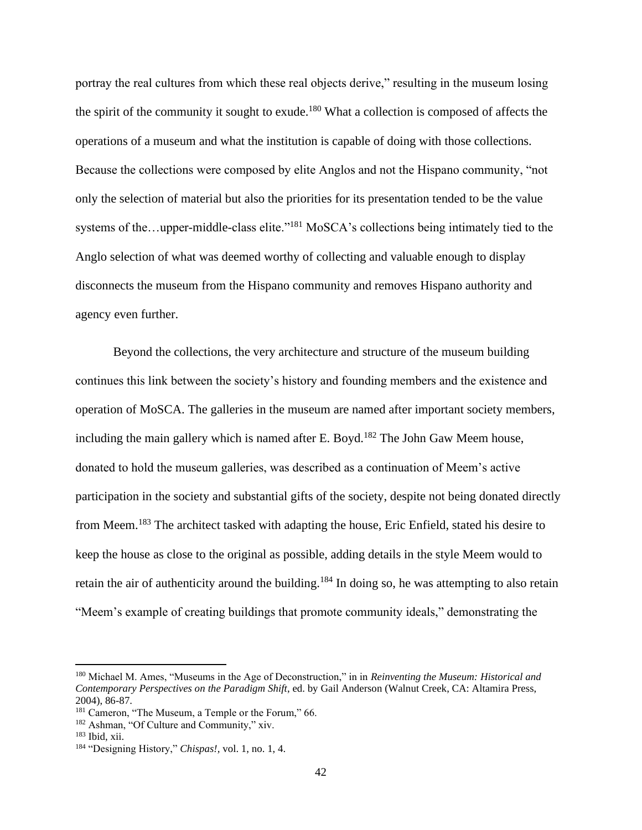portray the real cultures from which these real objects derive," resulting in the museum losing the spirit of the community it sought to exude.<sup>180</sup> What a collection is composed of affects the operations of a museum and what the institution is capable of doing with those collections. Because the collections were composed by elite Anglos and not the Hispano community, "not only the selection of material but also the priorities for its presentation tended to be the value systems of the…upper-middle-class elite."<sup>181</sup> MoSCA's collections being intimately tied to the Anglo selection of what was deemed worthy of collecting and valuable enough to display disconnects the museum from the Hispano community and removes Hispano authority and agency even further.

Beyond the collections, the very architecture and structure of the museum building continues this link between the society's history and founding members and the existence and operation of MoSCA. The galleries in the museum are named after important society members, including the main gallery which is named after E. Boyd.<sup>182</sup> The John Gaw Meem house, donated to hold the museum galleries, was described as a continuation of Meem's active participation in the society and substantial gifts of the society, despite not being donated directly from Meem.<sup>183</sup> The architect tasked with adapting the house, Eric Enfield, stated his desire to keep the house as close to the original as possible, adding details in the style Meem would to retain the air of authenticity around the building.<sup>184</sup> In doing so, he was attempting to also retain "Meem's example of creating buildings that promote community ideals," demonstrating the

<sup>180</sup> Michael M. Ames, "Museums in the Age of Deconstruction," in in *Reinventing the Museum: Historical and Contemporary Perspectives on the Paradigm Shift*, ed. by Gail Anderson (Walnut Creek, CA: Altamira Press, 2004), 86-87.

<sup>&</sup>lt;sup>181</sup> Cameron, "The Museum, a Temple or the Forum," 66.

<sup>182</sup> Ashman, "Of Culture and Community," xiv.

<sup>183</sup> Ibid, xii.

<sup>184</sup> "Designing History," *Chispas!,* vol. 1, no. 1, 4.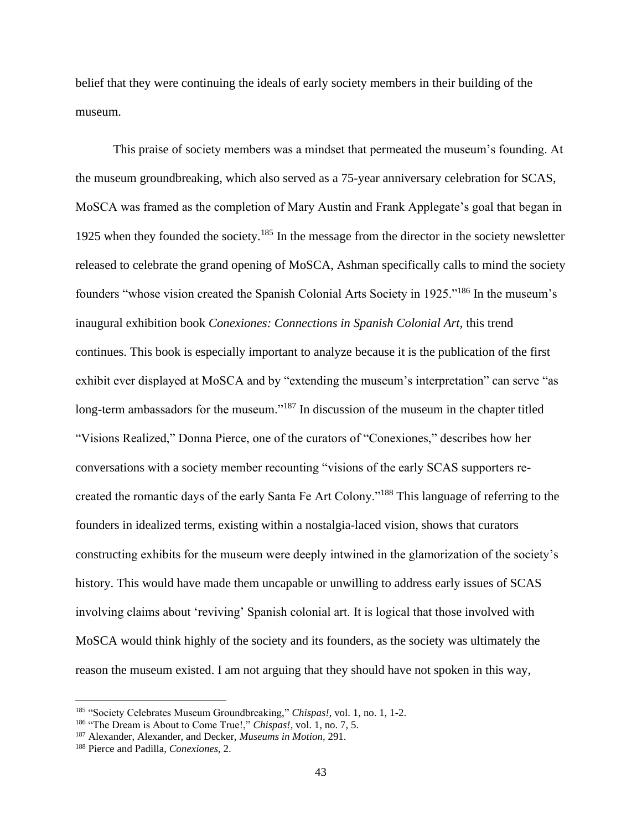belief that they were continuing the ideals of early society members in their building of the museum.

This praise of society members was a mindset that permeated the museum's founding. At the museum groundbreaking, which also served as a 75-year anniversary celebration for SCAS, MoSCA was framed as the completion of Mary Austin and Frank Applegate's goal that began in 1925 when they founded the society.<sup>185</sup> In the message from the director in the society newsletter released to celebrate the grand opening of MoSCA, Ashman specifically calls to mind the society founders "whose vision created the Spanish Colonial Arts Society in 1925."<sup>186</sup> In the museum's inaugural exhibition book *Conexiones: Connections in Spanish Colonial Art,* this trend continues. This book is especially important to analyze because it is the publication of the first exhibit ever displayed at MoSCA and by "extending the museum's interpretation" can serve "as long-term ambassadors for the museum."<sup>187</sup> In discussion of the museum in the chapter titled "Visions Realized," Donna Pierce, one of the curators of "Conexiones," describes how her conversations with a society member recounting "visions of the early SCAS supporters recreated the romantic days of the early Santa Fe Art Colony."<sup>188</sup> This language of referring to the founders in idealized terms, existing within a nostalgia-laced vision, shows that curators constructing exhibits for the museum were deeply intwined in the glamorization of the society's history. This would have made them uncapable or unwilling to address early issues of SCAS involving claims about 'reviving' Spanish colonial art. It is logical that those involved with MoSCA would think highly of the society and its founders, as the society was ultimately the reason the museum existed. I am not arguing that they should have not spoken in this way,

<sup>185</sup> "Society Celebrates Museum Groundbreaking," *Chispas!*, vol. 1, no. 1, 1-2.

<sup>186</sup> "The Dream is About to Come True!," *Chispas!,* vol. 1, no. 7, 5.

<sup>187</sup> Alexander, Alexander, and Decker, *Museums in Motion,* 291.

<sup>188</sup> Pierce and Padilla, *Conexiones*, 2.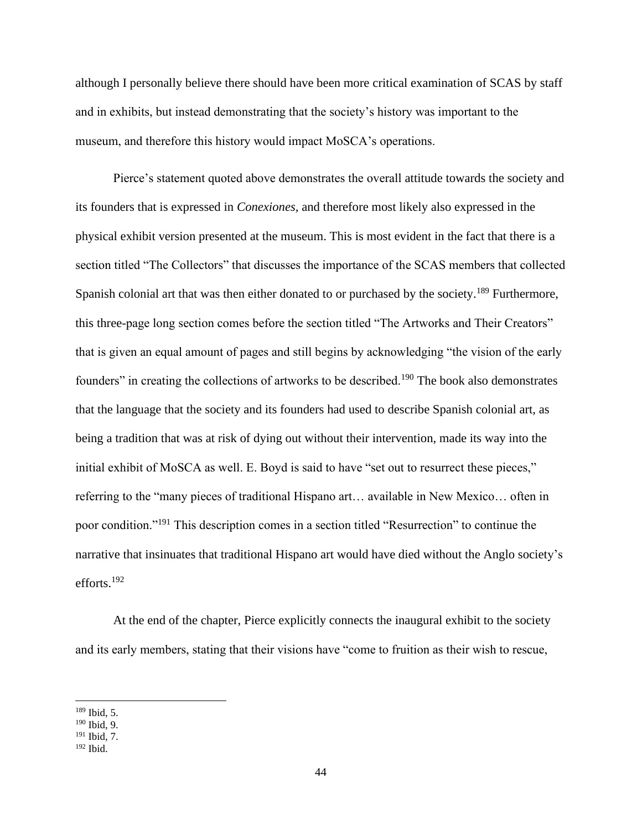although I personally believe there should have been more critical examination of SCAS by staff and in exhibits, but instead demonstrating that the society's history was important to the museum, and therefore this history would impact MoSCA's operations.

Pierce's statement quoted above demonstrates the overall attitude towards the society and its founders that is expressed in *Conexiones,* and therefore most likely also expressed in the physical exhibit version presented at the museum. This is most evident in the fact that there is a section titled "The Collectors" that discusses the importance of the SCAS members that collected Spanish colonial art that was then either donated to or purchased by the society.<sup>189</sup> Furthermore, this three-page long section comes before the section titled "The Artworks and Their Creators" that is given an equal amount of pages and still begins by acknowledging "the vision of the early founders" in creating the collections of artworks to be described.<sup>190</sup> The book also demonstrates that the language that the society and its founders had used to describe Spanish colonial art, as being a tradition that was at risk of dying out without their intervention, made its way into the initial exhibit of MoSCA as well. E. Boyd is said to have "set out to resurrect these pieces," referring to the "many pieces of traditional Hispano art… available in New Mexico… often in poor condition."<sup>191</sup> This description comes in a section titled "Resurrection" to continue the narrative that insinuates that traditional Hispano art would have died without the Anglo society's efforts.<sup>192</sup>

At the end of the chapter, Pierce explicitly connects the inaugural exhibit to the society and its early members, stating that their visions have "come to fruition as their wish to rescue,

<sup>189</sup> Ibid, 5.

<sup>190</sup> Ibid, 9.

<sup>191</sup> Ibid, 7.

<sup>192</sup> Ibid.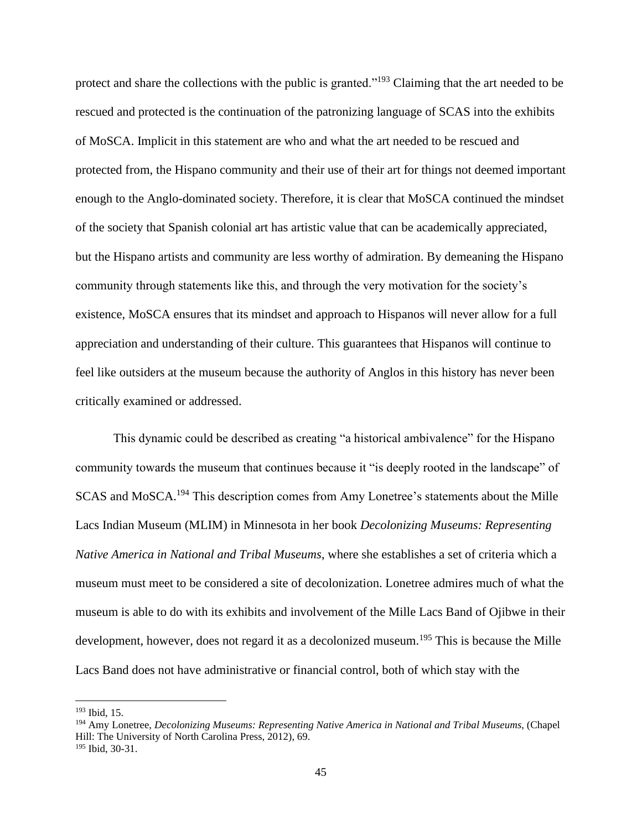protect and share the collections with the public is granted."<sup>193</sup> Claiming that the art needed to be rescued and protected is the continuation of the patronizing language of SCAS into the exhibits of MoSCA. Implicit in this statement are who and what the art needed to be rescued and protected from, the Hispano community and their use of their art for things not deemed important enough to the Anglo-dominated society. Therefore, it is clear that MoSCA continued the mindset of the society that Spanish colonial art has artistic value that can be academically appreciated, but the Hispano artists and community are less worthy of admiration. By demeaning the Hispano community through statements like this, and through the very motivation for the society's existence, MoSCA ensures that its mindset and approach to Hispanos will never allow for a full appreciation and understanding of their culture. This guarantees that Hispanos will continue to feel like outsiders at the museum because the authority of Anglos in this history has never been critically examined or addressed.

This dynamic could be described as creating "a historical ambivalence" for the Hispano community towards the museum that continues because it "is deeply rooted in the landscape" of SCAS and MoSCA.<sup>194</sup> This description comes from Amy Lonetree's statements about the Mille Lacs Indian Museum (MLIM) in Minnesota in her book *Decolonizing Museums: Representing Native America in National and Tribal Museums*, where she establishes a set of criteria which a museum must meet to be considered a site of decolonization. Lonetree admires much of what the museum is able to do with its exhibits and involvement of the Mille Lacs Band of Ojibwe in their development, however, does not regard it as a decolonized museum.<sup>195</sup> This is because the Mille Lacs Band does not have administrative or financial control, both of which stay with the

<sup>193</sup> Ibid, 15.

<sup>194</sup> Amy Lonetree, *Decolonizing Museums: Representing Native America in National and Tribal Museums*, (Chapel Hill: The University of North Carolina Press, 2012), 69. <sup>195</sup> Ibid, 30-31.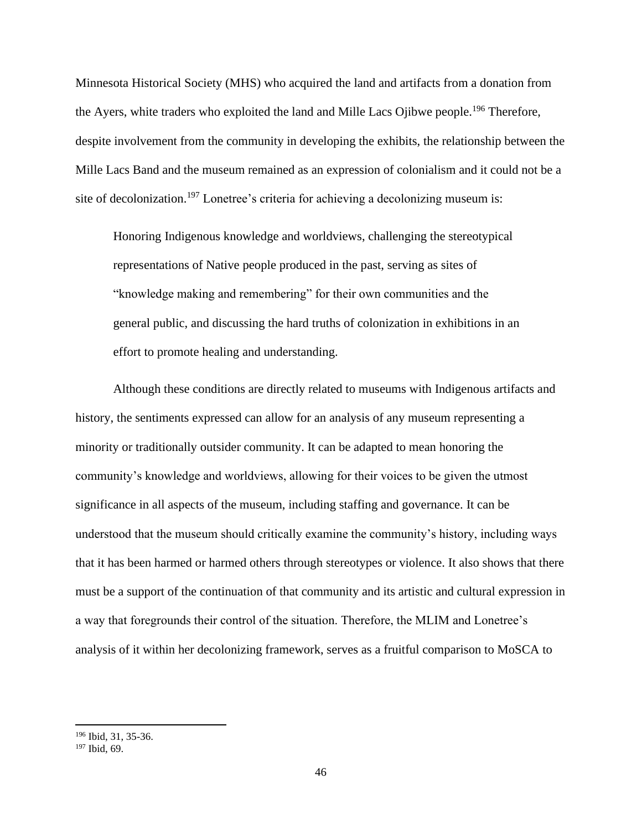Minnesota Historical Society (MHS) who acquired the land and artifacts from a donation from the Ayers, white traders who exploited the land and Mille Lacs Ojibwe people.<sup>196</sup> Therefore, despite involvement from the community in developing the exhibits, the relationship between the Mille Lacs Band and the museum remained as an expression of colonialism and it could not be a site of decolonization.<sup>197</sup> Lonetree's criteria for achieving a decolonizing museum is:

Honoring Indigenous knowledge and worldviews, challenging the stereotypical representations of Native people produced in the past, serving as sites of "knowledge making and remembering" for their own communities and the general public, and discussing the hard truths of colonization in exhibitions in an effort to promote healing and understanding.

Although these conditions are directly related to museums with Indigenous artifacts and history, the sentiments expressed can allow for an analysis of any museum representing a minority or traditionally outsider community. It can be adapted to mean honoring the community's knowledge and worldviews, allowing for their voices to be given the utmost significance in all aspects of the museum, including staffing and governance. It can be understood that the museum should critically examine the community's history, including ways that it has been harmed or harmed others through stereotypes or violence. It also shows that there must be a support of the continuation of that community and its artistic and cultural expression in a way that foregrounds their control of the situation. Therefore, the MLIM and Lonetree's analysis of it within her decolonizing framework, serves as a fruitful comparison to MoSCA to

<sup>196</sup> Ibid, 31, 35-36.

<sup>197</sup> Ibid, 69.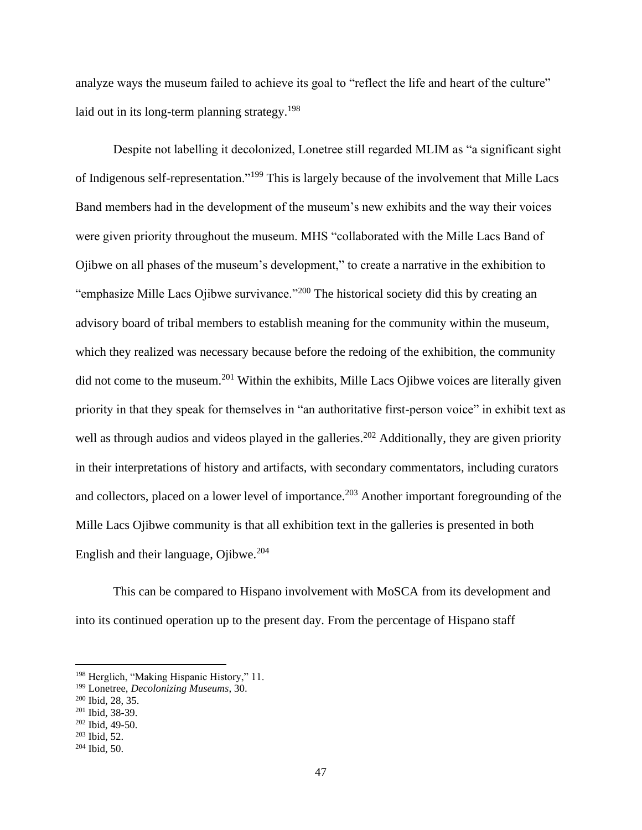analyze ways the museum failed to achieve its goal to "reflect the life and heart of the culture" laid out in its long-term planning strategy.<sup>198</sup>

Despite not labelling it decolonized, Lonetree still regarded MLIM as "a significant sight of Indigenous self-representation."<sup>199</sup> This is largely because of the involvement that Mille Lacs Band members had in the development of the museum's new exhibits and the way their voices were given priority throughout the museum. MHS "collaborated with the Mille Lacs Band of Ojibwe on all phases of the museum's development," to create a narrative in the exhibition to "emphasize Mille Lacs Ojibwe survivance."<sup>200</sup> The historical society did this by creating an advisory board of tribal members to establish meaning for the community within the museum, which they realized was necessary because before the redoing of the exhibition, the community did not come to the museum.<sup>201</sup> Within the exhibits, Mille Lacs Ojibwe voices are literally given priority in that they speak for themselves in "an authoritative first-person voice" in exhibit text as well as through audios and videos played in the galleries.<sup>202</sup> Additionally, they are given priority in their interpretations of history and artifacts, with secondary commentators, including curators and collectors, placed on a lower level of importance.<sup>203</sup> Another important foregrounding of the Mille Lacs Ojibwe community is that all exhibition text in the galleries is presented in both English and their language, Ojibwe.<sup>204</sup>

This can be compared to Hispano involvement with MoSCA from its development and into its continued operation up to the present day. From the percentage of Hispano staff

<sup>198</sup> Herglich, "Making Hispanic History," 11.

<sup>199</sup> Lonetree, *Decolonizing Museums*, 30.

<sup>200</sup> Ibid, 28, 35.

<sup>201</sup> Ibid, 38-39.

<sup>202</sup> Ibid, 49-50.

<sup>203</sup> Ibid, 52.

 $204$  Ibid, 50.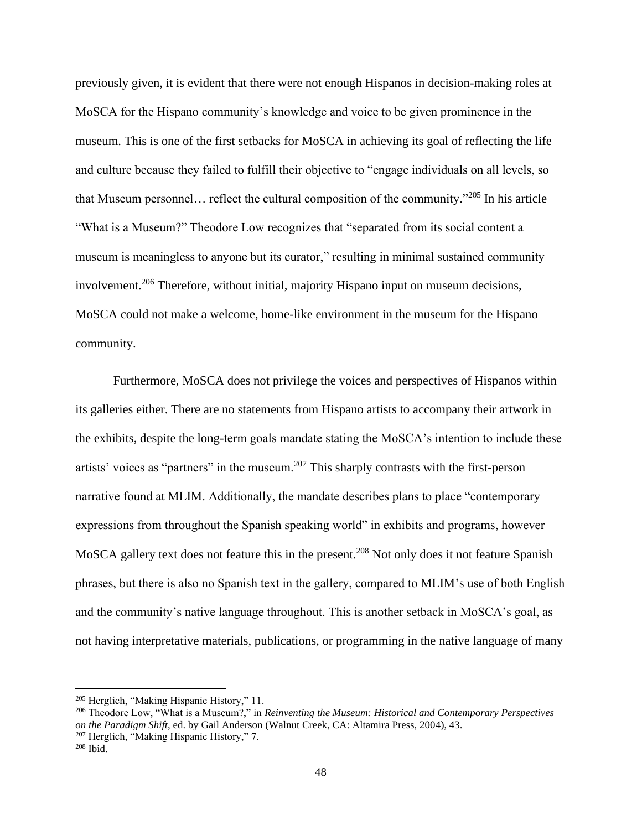previously given, it is evident that there were not enough Hispanos in decision-making roles at MoSCA for the Hispano community's knowledge and voice to be given prominence in the museum. This is one of the first setbacks for MoSCA in achieving its goal of reflecting the life and culture because they failed to fulfill their objective to "engage individuals on all levels, so that Museum personnel… reflect the cultural composition of the community."<sup>205</sup> In his article "What is a Museum?" Theodore Low recognizes that "separated from its social content a museum is meaningless to anyone but its curator," resulting in minimal sustained community involvement.<sup>206</sup> Therefore, without initial, majority Hispano input on museum decisions, MoSCA could not make a welcome, home-like environment in the museum for the Hispano community.

Furthermore, MoSCA does not privilege the voices and perspectives of Hispanos within its galleries either. There are no statements from Hispano artists to accompany their artwork in the exhibits, despite the long-term goals mandate stating the MoSCA's intention to include these artists' voices as "partners" in the museum.<sup>207</sup> This sharply contrasts with the first-person narrative found at MLIM. Additionally, the mandate describes plans to place "contemporary expressions from throughout the Spanish speaking world" in exhibits and programs, however MoSCA gallery text does not feature this in the present.<sup>208</sup> Not only does it not feature Spanish phrases, but there is also no Spanish text in the gallery, compared to MLIM's use of both English and the community's native language throughout. This is another setback in MoSCA's goal, as not having interpretative materials, publications, or programming in the native language of many

<sup>205</sup> Herglich, "Making Hispanic History," 11.

<sup>206</sup> Theodore Low, "What is a Museum?," in *Reinventing the Museum: Historical and Contemporary Perspectives on the Paradigm Shift*, ed. by Gail Anderson (Walnut Creek, CA: Altamira Press, 2004), 43.

<sup>207</sup> Herglich, "Making Hispanic History," 7.

 $208$  Ibid.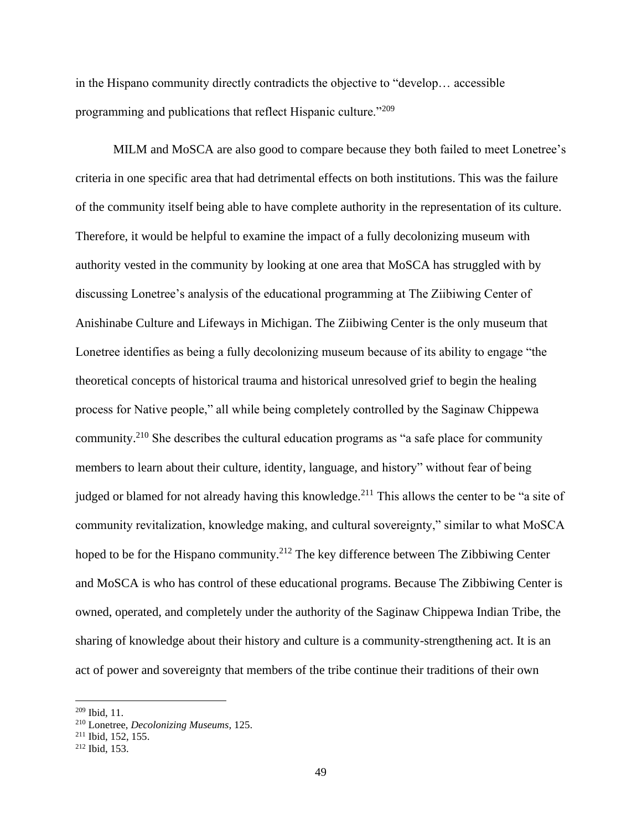in the Hispano community directly contradicts the objective to "develop… accessible programming and publications that reflect Hispanic culture."<sup>209</sup>

MILM and MoSCA are also good to compare because they both failed to meet Lonetree's criteria in one specific area that had detrimental effects on both institutions. This was the failure of the community itself being able to have complete authority in the representation of its culture. Therefore, it would be helpful to examine the impact of a fully decolonizing museum with authority vested in the community by looking at one area that MoSCA has struggled with by discussing Lonetree's analysis of the educational programming at The Ziibiwing Center of Anishinabe Culture and Lifeways in Michigan. The Ziibiwing Center is the only museum that Lonetree identifies as being a fully decolonizing museum because of its ability to engage "the theoretical concepts of historical trauma and historical unresolved grief to begin the healing process for Native people," all while being completely controlled by the Saginaw Chippewa community.<sup>210</sup> She describes the cultural education programs as "a safe place for community members to learn about their culture, identity, language, and history" without fear of being judged or blamed for not already having this knowledge.<sup>211</sup> This allows the center to be "a site of community revitalization, knowledge making, and cultural sovereignty," similar to what MoSCA hoped to be for the Hispano community.<sup>212</sup> The key difference between The Zibbiwing Center and MoSCA is who has control of these educational programs. Because The Zibbiwing Center is owned, operated, and completely under the authority of the Saginaw Chippewa Indian Tribe, the sharing of knowledge about their history and culture is a community-strengthening act. It is an act of power and sovereignty that members of the tribe continue their traditions of their own

 $209$  Ibid, 11.

<sup>210</sup> Lonetree, *Decolonizing Museums,* 125.

<sup>211</sup> Ibid, 152, 155.

<sup>212</sup> Ibid, 153.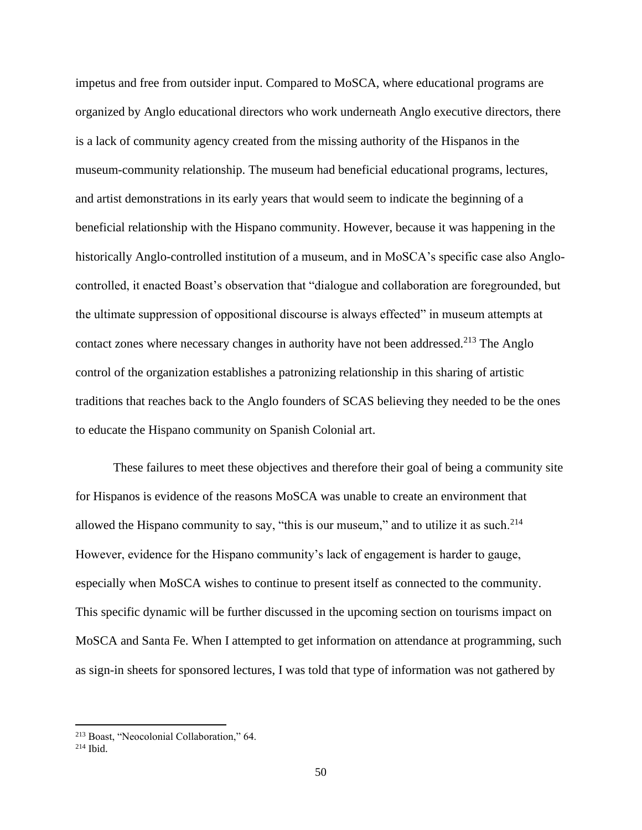impetus and free from outsider input. Compared to MoSCA, where educational programs are organized by Anglo educational directors who work underneath Anglo executive directors, there is a lack of community agency created from the missing authority of the Hispanos in the museum-community relationship. The museum had beneficial educational programs, lectures, and artist demonstrations in its early years that would seem to indicate the beginning of a beneficial relationship with the Hispano community. However, because it was happening in the historically Anglo-controlled institution of a museum, and in MoSCA's specific case also Anglocontrolled, it enacted Boast's observation that "dialogue and collaboration are foregrounded, but the ultimate suppression of oppositional discourse is always effected" in museum attempts at contact zones where necessary changes in authority have not been addressed.<sup>213</sup> The Anglo control of the organization establishes a patronizing relationship in this sharing of artistic traditions that reaches back to the Anglo founders of SCAS believing they needed to be the ones to educate the Hispano community on Spanish Colonial art.

These failures to meet these objectives and therefore their goal of being a community site for Hispanos is evidence of the reasons MoSCA was unable to create an environment that allowed the Hispano community to say, "this is our museum," and to utilize it as such. $214$ However, evidence for the Hispano community's lack of engagement is harder to gauge, especially when MoSCA wishes to continue to present itself as connected to the community. This specific dynamic will be further discussed in the upcoming section on tourisms impact on MoSCA and Santa Fe. When I attempted to get information on attendance at programming, such as sign-in sheets for sponsored lectures, I was told that type of information was not gathered by

<sup>213</sup> Boast, "Neocolonial Collaboration," 64.

 $214$  Ibid.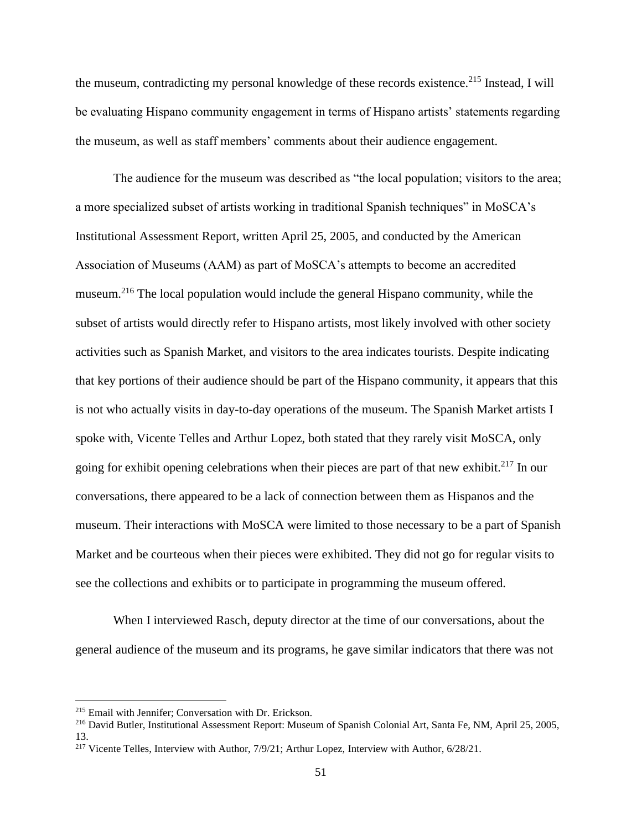the museum, contradicting my personal knowledge of these records existence.<sup>215</sup> Instead, I will be evaluating Hispano community engagement in terms of Hispano artists' statements regarding the museum, as well as staff members' comments about their audience engagement.

The audience for the museum was described as "the local population; visitors to the area; a more specialized subset of artists working in traditional Spanish techniques" in MoSCA's Institutional Assessment Report, written April 25, 2005, and conducted by the American Association of Museums (AAM) as part of MoSCA's attempts to become an accredited museum.<sup>216</sup> The local population would include the general Hispano community, while the subset of artists would directly refer to Hispano artists, most likely involved with other society activities such as Spanish Market, and visitors to the area indicates tourists. Despite indicating that key portions of their audience should be part of the Hispano community, it appears that this is not who actually visits in day-to-day operations of the museum. The Spanish Market artists I spoke with, Vicente Telles and Arthur Lopez, both stated that they rarely visit MoSCA, only going for exhibit opening celebrations when their pieces are part of that new exhibit.<sup>217</sup> In our conversations, there appeared to be a lack of connection between them as Hispanos and the museum. Their interactions with MoSCA were limited to those necessary to be a part of Spanish Market and be courteous when their pieces were exhibited. They did not go for regular visits to see the collections and exhibits or to participate in programming the museum offered.

When I interviewed Rasch, deputy director at the time of our conversations, about the general audience of the museum and its programs, he gave similar indicators that there was not

<sup>215</sup> Email with Jennifer; Conversation with Dr. Erickson.

<sup>216</sup> David Butler, Institutional Assessment Report: Museum of Spanish Colonial Art, Santa Fe, NM, April 25, 2005, 13.

<sup>&</sup>lt;sup>217</sup> Vicente Telles, Interview with Author, 7/9/21; Arthur Lopez, Interview with Author, 6/28/21.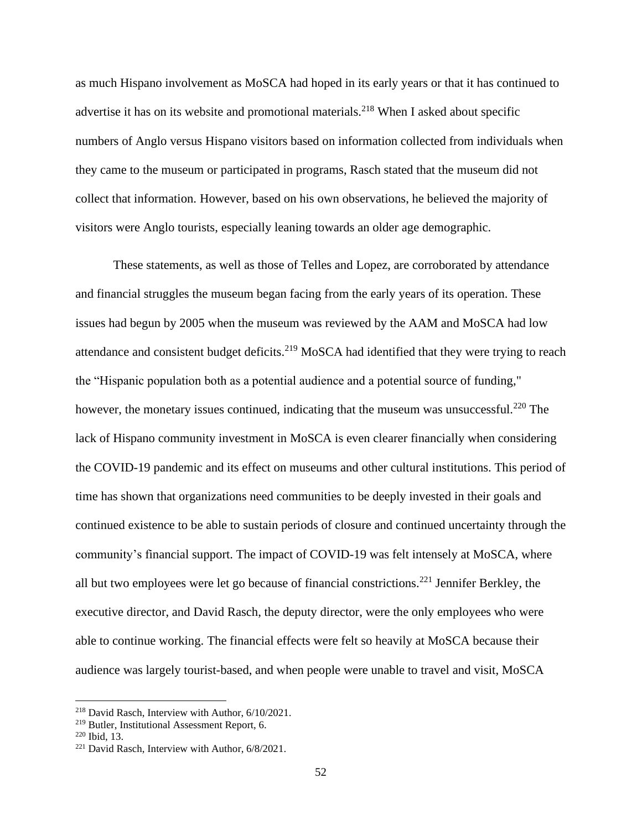as much Hispano involvement as MoSCA had hoped in its early years or that it has continued to advertise it has on its website and promotional materials.<sup>218</sup> When I asked about specific numbers of Anglo versus Hispano visitors based on information collected from individuals when they came to the museum or participated in programs, Rasch stated that the museum did not collect that information. However, based on his own observations, he believed the majority of visitors were Anglo tourists, especially leaning towards an older age demographic.

These statements, as well as those of Telles and Lopez, are corroborated by attendance and financial struggles the museum began facing from the early years of its operation. These issues had begun by 2005 when the museum was reviewed by the AAM and MoSCA had low attendance and consistent budget deficits.<sup>219</sup> MoSCA had identified that they were trying to reach the "Hispanic population both as a potential audience and a potential source of funding," however, the monetary issues continued, indicating that the museum was unsuccessful.<sup>220</sup> The lack of Hispano community investment in MoSCA is even clearer financially when considering the COVID-19 pandemic and its effect on museums and other cultural institutions. This period of time has shown that organizations need communities to be deeply invested in their goals and continued existence to be able to sustain periods of closure and continued uncertainty through the community's financial support. The impact of COVID-19 was felt intensely at MoSCA, where all but two employees were let go because of financial constrictions.<sup>221</sup> Jennifer Berkley, the executive director, and David Rasch, the deputy director, were the only employees who were able to continue working. The financial effects were felt so heavily at MoSCA because their audience was largely tourist-based, and when people were unable to travel and visit, MoSCA

<sup>218</sup> David Rasch, Interview with Author, 6/10/2021.

<sup>219</sup> Butler, Institutional Assessment Report, 6.

<sup>220</sup> Ibid, 13.

<sup>&</sup>lt;sup>221</sup> David Rasch, Interview with Author, 6/8/2021.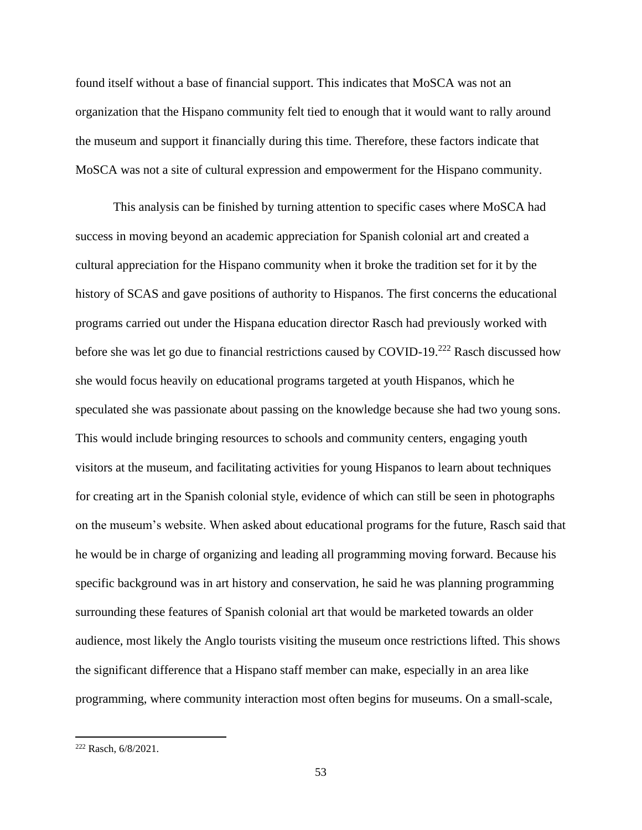found itself without a base of financial support. This indicates that MoSCA was not an organization that the Hispano community felt tied to enough that it would want to rally around the museum and support it financially during this time. Therefore, these factors indicate that MoSCA was not a site of cultural expression and empowerment for the Hispano community.

This analysis can be finished by turning attention to specific cases where MoSCA had success in moving beyond an academic appreciation for Spanish colonial art and created a cultural appreciation for the Hispano community when it broke the tradition set for it by the history of SCAS and gave positions of authority to Hispanos. The first concerns the educational programs carried out under the Hispana education director Rasch had previously worked with before she was let go due to financial restrictions caused by COVID-19.<sup>222</sup> Rasch discussed how she would focus heavily on educational programs targeted at youth Hispanos, which he speculated she was passionate about passing on the knowledge because she had two young sons. This would include bringing resources to schools and community centers, engaging youth visitors at the museum, and facilitating activities for young Hispanos to learn about techniques for creating art in the Spanish colonial style, evidence of which can still be seen in photographs on the museum's website. When asked about educational programs for the future, Rasch said that he would be in charge of organizing and leading all programming moving forward. Because his specific background was in art history and conservation, he said he was planning programming surrounding these features of Spanish colonial art that would be marketed towards an older audience, most likely the Anglo tourists visiting the museum once restrictions lifted. This shows the significant difference that a Hispano staff member can make, especially in an area like programming, where community interaction most often begins for museums. On a small-scale,

<sup>222</sup> Rasch, 6/8/2021.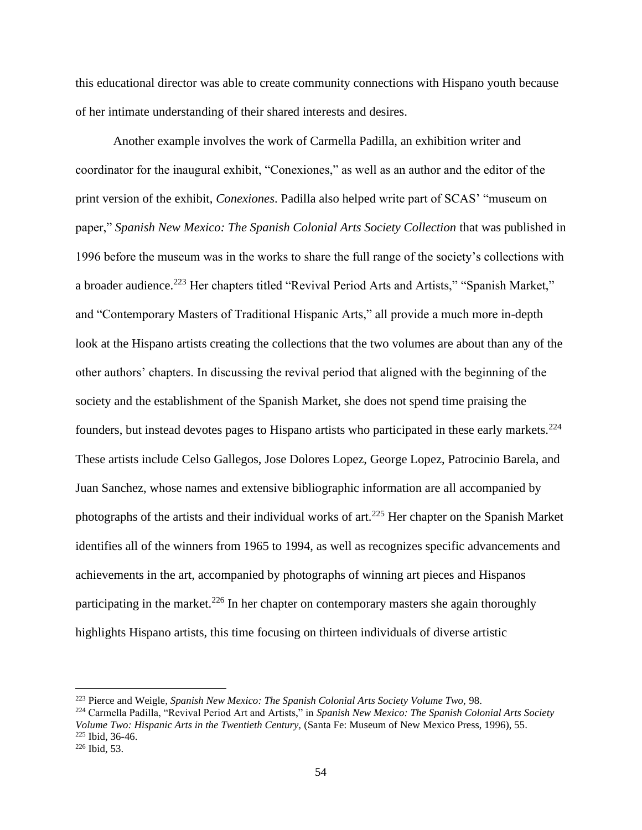this educational director was able to create community connections with Hispano youth because of her intimate understanding of their shared interests and desires.

Another example involves the work of Carmella Padilla, an exhibition writer and coordinator for the inaugural exhibit, "Conexiones," as well as an author and the editor of the print version of the exhibit, *Conexiones*. Padilla also helped write part of SCAS' "museum on paper," Spanish New Mexico: The Spanish Colonial Arts Society Collection that was published in 1996 before the museum was in the works to share the full range of the society's collections with a broader audience.<sup>223</sup> Her chapters titled "Revival Period Arts and Artists," "Spanish Market," and "Contemporary Masters of Traditional Hispanic Arts," all provide a much more in-depth look at the Hispano artists creating the collections that the two volumes are about than any of the other authors' chapters. In discussing the revival period that aligned with the beginning of the society and the establishment of the Spanish Market, she does not spend time praising the founders, but instead devotes pages to Hispano artists who participated in these early markets.<sup>224</sup> These artists include Celso Gallegos, Jose Dolores Lopez, George Lopez, Patrocinio Barela, and Juan Sanchez, whose names and extensive bibliographic information are all accompanied by photographs of the artists and their individual works of art.<sup>225</sup> Her chapter on the Spanish Market identifies all of the winners from 1965 to 1994, as well as recognizes specific advancements and achievements in the art, accompanied by photographs of winning art pieces and Hispanos participating in the market.<sup>226</sup> In her chapter on contemporary masters she again thoroughly highlights Hispano artists, this time focusing on thirteen individuals of diverse artistic

<sup>223</sup> Pierce and Weigle, *Spanish New Mexico: The Spanish Colonial Arts Society Volume Two,* 98.

<sup>224</sup> Carmella Padilla, "Revival Period Art and Artists," in *Spanish New Mexico: The Spanish Colonial Arts Society Volume Two: Hispanic Arts in the Twentieth Century,* (Santa Fe: Museum of New Mexico Press, 1996), 55. <sup>225</sup> Ibid, 36-46.

 $226$  Ibid, 53.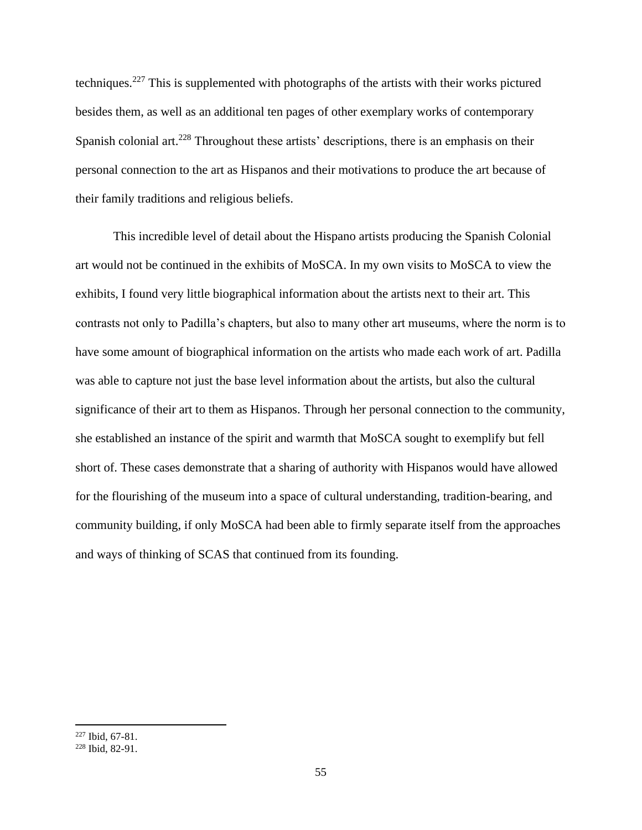techniques.<sup>227</sup> This is supplemented with photographs of the artists with their works pictured besides them, as well as an additional ten pages of other exemplary works of contemporary Spanish colonial art.<sup>228</sup> Throughout these artists' descriptions, there is an emphasis on their personal connection to the art as Hispanos and their motivations to produce the art because of their family traditions and religious beliefs.

This incredible level of detail about the Hispano artists producing the Spanish Colonial art would not be continued in the exhibits of MoSCA. In my own visits to MoSCA to view the exhibits, I found very little biographical information about the artists next to their art. This contrasts not only to Padilla's chapters, but also to many other art museums, where the norm is to have some amount of biographical information on the artists who made each work of art. Padilla was able to capture not just the base level information about the artists, but also the cultural significance of their art to them as Hispanos. Through her personal connection to the community, she established an instance of the spirit and warmth that MoSCA sought to exemplify but fell short of. These cases demonstrate that a sharing of authority with Hispanos would have allowed for the flourishing of the museum into a space of cultural understanding, tradition-bearing, and community building, if only MoSCA had been able to firmly separate itself from the approaches and ways of thinking of SCAS that continued from its founding.

<sup>227</sup> Ibid, 67-81.

<sup>228</sup> Ibid, 82-91.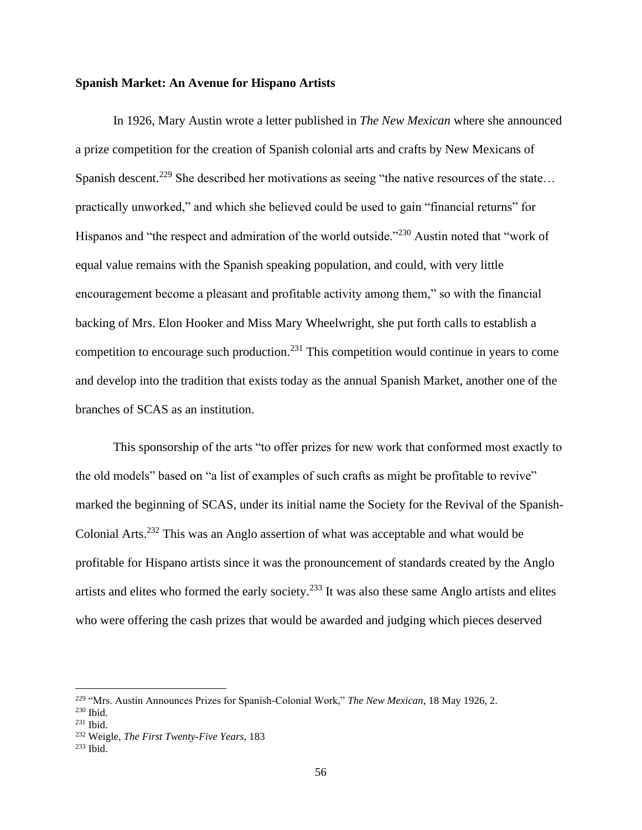## **Spanish Market: An Avenue for Hispano Artists**

In 1926, Mary Austin wrote a letter published in *The New Mexican* where she announced a prize competition for the creation of Spanish colonial arts and crafts by New Mexicans of Spanish descent.<sup>229</sup> She described her motivations as seeing "the native resources of the state... practically unworked," and which she believed could be used to gain "financial returns" for Hispanos and "the respect and admiration of the world outside."<sup>230</sup> Austin noted that "work of equal value remains with the Spanish speaking population, and could, with very little encouragement become a pleasant and profitable activity among them," so with the financial backing of Mrs. Elon Hooker and Miss Mary Wheelwright, she put forth calls to establish a competition to encourage such production.<sup>231</sup> This competition would continue in years to come and develop into the tradition that exists today as the annual Spanish Market, another one of the branches of SCAS as an institution.

This sponsorship of the arts "to offer prizes for new work that conformed most exactly to the old models" based on "a list of examples of such crafts as might be profitable to revive" marked the beginning of SCAS, under its initial name the Society for the Revival of the Spanish-Colonial Arts.<sup>232</sup> This was an Anglo assertion of what was acceptable and what would be profitable for Hispano artists since it was the pronouncement of standards created by the Anglo artists and elites who formed the early society.<sup>233</sup> It was also these same Anglo artists and elites who were offering the cash prizes that would be awarded and judging which pieces deserved

<sup>229</sup> "Mrs. Austin Announces Prizes for Spanish-Colonial Work," *The New Mexican,* 18 May 1926, 2.

<sup>230</sup> Ibid.

<sup>231</sup> Ibid.

<sup>232</sup> Weigle, *The First Twenty-Five Years,* 183

 $233$  Ibid.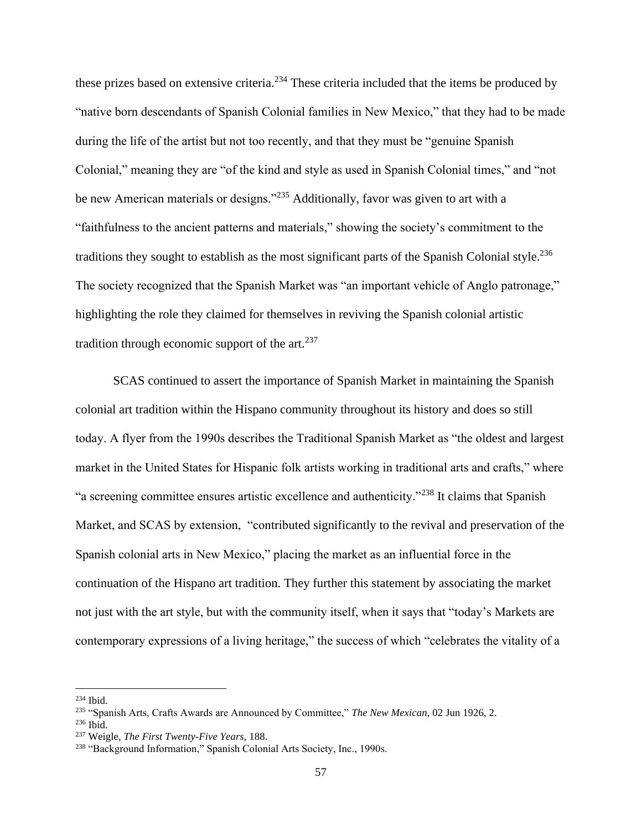these prizes based on extensive criteria.<sup>234</sup> These criteria included that the items be produced by "native born descendants of Spanish Colonial families in New Mexico," that they had to be made during the life of the artist but not too recently, and that they must be "genuine Spanish Colonial," meaning they are "of the kind and style as used in Spanish Colonial times," and "not be new American materials or designs."<sup>235</sup> Additionally, favor was given to art with a "faithfulness to the ancient patterns and materials," showing the society's commitment to the traditions they sought to establish as the most significant parts of the Spanish Colonial style.<sup>236</sup> The society recognized that the Spanish Market was "an important vehicle of Anglo patronage," highlighting the role they claimed for themselves in reviving the Spanish colonial artistic tradition through economic support of the art. $237$ 

SCAS continued to assert the importance of Spanish Market in maintaining the Spanish colonial art tradition within the Hispano community throughout its history and does so still today. A flyer from the 1990s describes the Traditional Spanish Market as "the oldest and largest market in the United States for Hispanic folk artists working in traditional arts and crafts," where "a screening committee ensures artistic excellence and authenticity."<sup>238</sup> It claims that Spanish Market, and SCAS by extension, "contributed significantly to the revival and preservation of the Spanish colonial arts in New Mexico," placing the market as an influential force in the continuation of the Hispano art tradition. They further this statement by associating the market not just with the art style, but with the community itself, when it says that "today's Markets are contemporary expressions of a living heritage," the success of which "celebrates the vitality of a

<sup>234</sup> Ibid.

<sup>235</sup> "Spanish Arts, Crafts Awards are Announced by Committee," *The New Mexican*, 02 Jun 1926, 2.

 $236$  Ibid.

<sup>237</sup> Weigle, *The First Twenty-Five Years,* 188.

<sup>&</sup>lt;sup>238</sup> "Background Information," Spanish Colonial Arts Society, Inc., 1990s.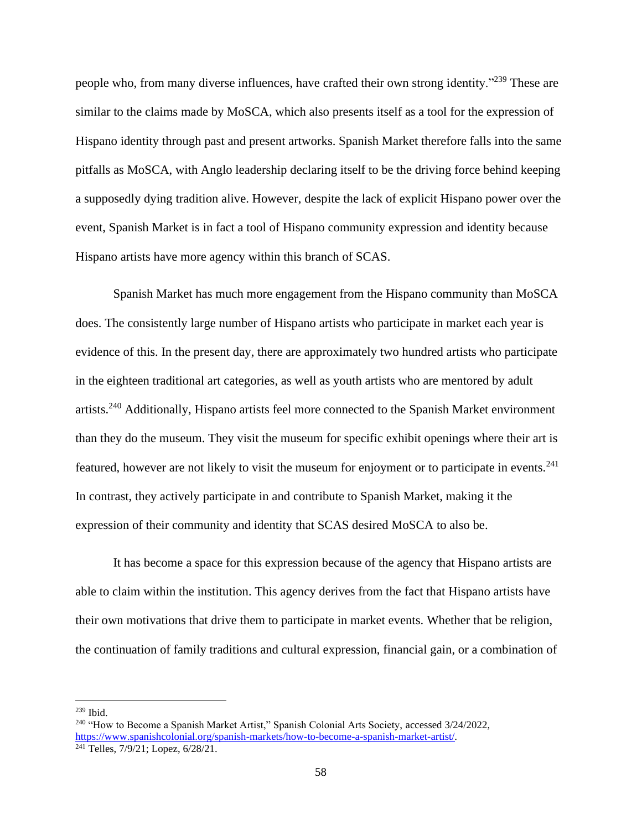people who, from many diverse influences, have crafted their own strong identity."<sup>239</sup> These are similar to the claims made by MoSCA, which also presents itself as a tool for the expression of Hispano identity through past and present artworks. Spanish Market therefore falls into the same pitfalls as MoSCA, with Anglo leadership declaring itself to be the driving force behind keeping a supposedly dying tradition alive. However, despite the lack of explicit Hispano power over the event, Spanish Market is in fact a tool of Hispano community expression and identity because Hispano artists have more agency within this branch of SCAS.

Spanish Market has much more engagement from the Hispano community than MoSCA does. The consistently large number of Hispano artists who participate in market each year is evidence of this. In the present day, there are approximately two hundred artists who participate in the eighteen traditional art categories, as well as youth artists who are mentored by adult artists.<sup>240</sup> Additionally, Hispano artists feel more connected to the Spanish Market environment than they do the museum. They visit the museum for specific exhibit openings where their art is featured, however are not likely to visit the museum for enjoyment or to participate in events.<sup>241</sup> In contrast, they actively participate in and contribute to Spanish Market, making it the expression of their community and identity that SCAS desired MoSCA to also be.

It has become a space for this expression because of the agency that Hispano artists are able to claim within the institution. This agency derives from the fact that Hispano artists have their own motivations that drive them to participate in market events. Whether that be religion, the continuation of family traditions and cultural expression, financial gain, or a combination of

 $239$  Ibid.

<sup>240</sup> "How to Become a Spanish Market Artist," Spanish Colonial Arts Society, accessed 3/24/2022, [https://www.spanishcolonial.org/spanish-markets/how-to-become-a-spanish-market-artist/.](https://www.spanishcolonial.org/spanish-markets/how-to-become-a-spanish-market-artist/) <sup>241</sup> Telles,  $7/9/21$ ; Lopez,  $6/28/21$ .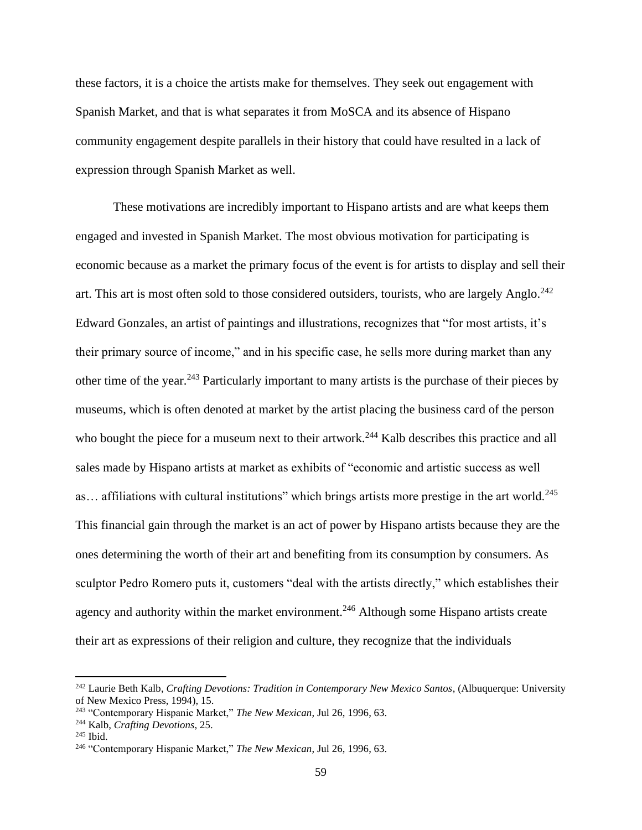these factors, it is a choice the artists make for themselves. They seek out engagement with Spanish Market, and that is what separates it from MoSCA and its absence of Hispano community engagement despite parallels in their history that could have resulted in a lack of expression through Spanish Market as well.

These motivations are incredibly important to Hispano artists and are what keeps them engaged and invested in Spanish Market. The most obvious motivation for participating is economic because as a market the primary focus of the event is for artists to display and sell their art. This art is most often sold to those considered outsiders, tourists, who are largely Anglo. $^{242}$ Edward Gonzales, an artist of paintings and illustrations, recognizes that "for most artists, it's their primary source of income," and in his specific case, he sells more during market than any other time of the year.<sup>243</sup> Particularly important to many artists is the purchase of their pieces by museums, which is often denoted at market by the artist placing the business card of the person who bought the piece for a museum next to their artwork.<sup>244</sup> Kalb describes this practice and all sales made by Hispano artists at market as exhibits of "economic and artistic success as well as... affiliations with cultural institutions" which brings artists more prestige in the art world.<sup>245</sup> This financial gain through the market is an act of power by Hispano artists because they are the ones determining the worth of their art and benefiting from its consumption by consumers. As sculptor Pedro Romero puts it, customers "deal with the artists directly," which establishes their agency and authority within the market environment.<sup>246</sup> Although some Hispano artists create their art as expressions of their religion and culture, they recognize that the individuals

<sup>242</sup> Laurie Beth Kalb, *Crafting Devotions: Tradition in Contemporary New Mexico Santos*, (Albuquerque: University of New Mexico Press, 1994), 15.

<sup>243</sup> "Contemporary Hispanic Market," *The New Mexican*, Jul 26, 1996, 63.

<sup>244</sup> Kalb, *Crafting Devotions*, 25.

<sup>245</sup> Ibid.

<sup>246</sup> "Contemporary Hispanic Market," *The New Mexican*, Jul 26, 1996, 63.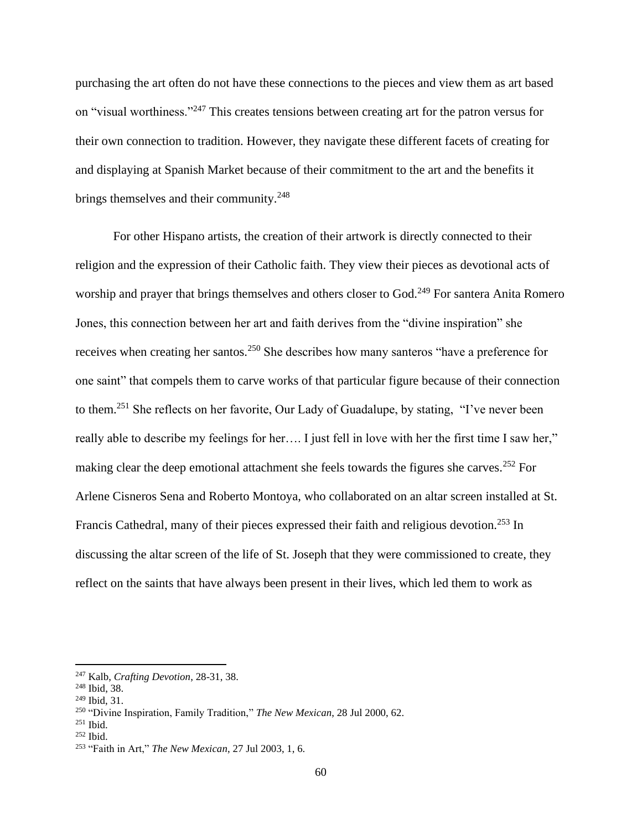purchasing the art often do not have these connections to the pieces and view them as art based on "visual worthiness."<sup>247</sup> This creates tensions between creating art for the patron versus for their own connection to tradition. However, they navigate these different facets of creating for and displaying at Spanish Market because of their commitment to the art and the benefits it brings themselves and their community.<sup>248</sup>

For other Hispano artists, the creation of their artwork is directly connected to their religion and the expression of their Catholic faith. They view their pieces as devotional acts of worship and prayer that brings themselves and others closer to God.<sup>249</sup> For santera Anita Romero Jones, this connection between her art and faith derives from the "divine inspiration" she receives when creating her santos.<sup>250</sup> She describes how many santeros "have a preference for one saint" that compels them to carve works of that particular figure because of their connection to them.<sup>251</sup> She reflects on her favorite, Our Lady of Guadalupe, by stating, "I've never been really able to describe my feelings for her…. I just fell in love with her the first time I saw her," making clear the deep emotional attachment she feels towards the figures she carves.<sup>252</sup> For Arlene Cisneros Sena and Roberto Montoya, who collaborated on an altar screen installed at St. Francis Cathedral, many of their pieces expressed their faith and religious devotion.<sup>253</sup> In discussing the altar screen of the life of St. Joseph that they were commissioned to create, they reflect on the saints that have always been present in their lives, which led them to work as

<sup>247</sup> Kalb, *Crafting Devotion*, 28-31, 38.

<sup>248</sup> Ibid, 38.

<sup>249</sup> Ibid, 31.

<sup>250</sup> "Divine Inspiration, Family Tradition," *The New Mexican*, 28 Jul 2000, 62.

 $251$  Ibid.

<sup>252</sup> Ibid.

<sup>253</sup> "Faith in Art," *The New Mexican*, 27 Jul 2003, 1, 6.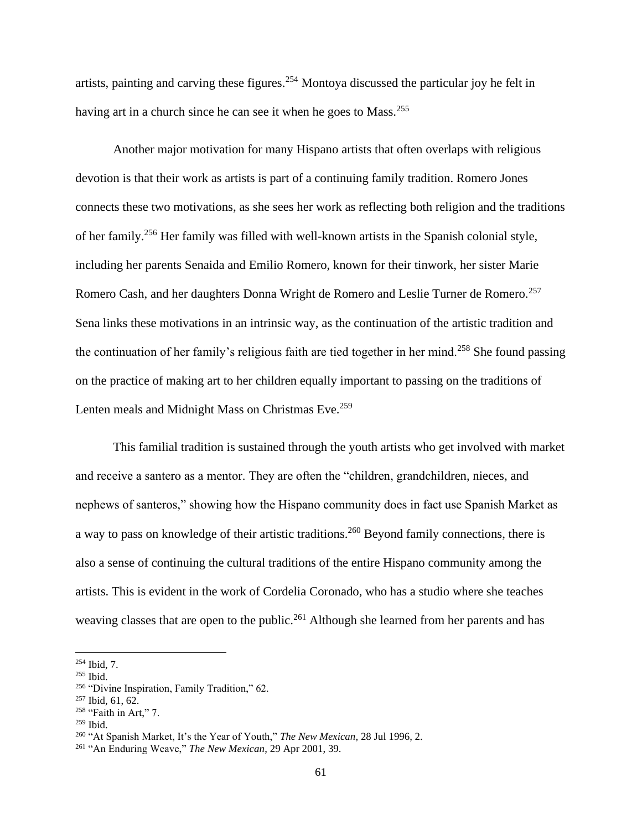artists, painting and carving these figures.<sup>254</sup> Montoya discussed the particular joy he felt in having art in a church since he can see it when he goes to Mass.<sup>255</sup>

Another major motivation for many Hispano artists that often overlaps with religious devotion is that their work as artists is part of a continuing family tradition. Romero Jones connects these two motivations, as she sees her work as reflecting both religion and the traditions of her family.<sup>256</sup> Her family was filled with well-known artists in the Spanish colonial style, including her parents Senaida and Emilio Romero, known for their tinwork, her sister Marie Romero Cash, and her daughters Donna Wright de Romero and Leslie Turner de Romero.<sup>257</sup> Sena links these motivations in an intrinsic way, as the continuation of the artistic tradition and the continuation of her family's religious faith are tied together in her mind.<sup>258</sup> She found passing on the practice of making art to her children equally important to passing on the traditions of Lenten meals and Midnight Mass on Christmas Eve.<sup>259</sup>

This familial tradition is sustained through the youth artists who get involved with market and receive a santero as a mentor. They are often the "children, grandchildren, nieces, and nephews of santeros," showing how the Hispano community does in fact use Spanish Market as a way to pass on knowledge of their artistic traditions.<sup>260</sup> Beyond family connections, there is also a sense of continuing the cultural traditions of the entire Hispano community among the artists. This is evident in the work of Cordelia Coronado, who has a studio where she teaches weaving classes that are open to the public.<sup>261</sup> Although she learned from her parents and has

<sup>254</sup> Ibid, 7.

 $255$  Ibid.

<sup>256</sup> "Divine Inspiration, Family Tradition," 62.

<sup>257</sup> Ibid, 61, 62.

<sup>&</sup>lt;sup>258</sup> "Faith in Art," 7.

 $259$  Ibid.

<sup>260</sup> "At Spanish Market, It's the Year of Youth," *The New Mexican*, 28 Jul 1996, 2.

<sup>261</sup> "An Enduring Weave," *The New Mexican*, 29 Apr 2001, 39.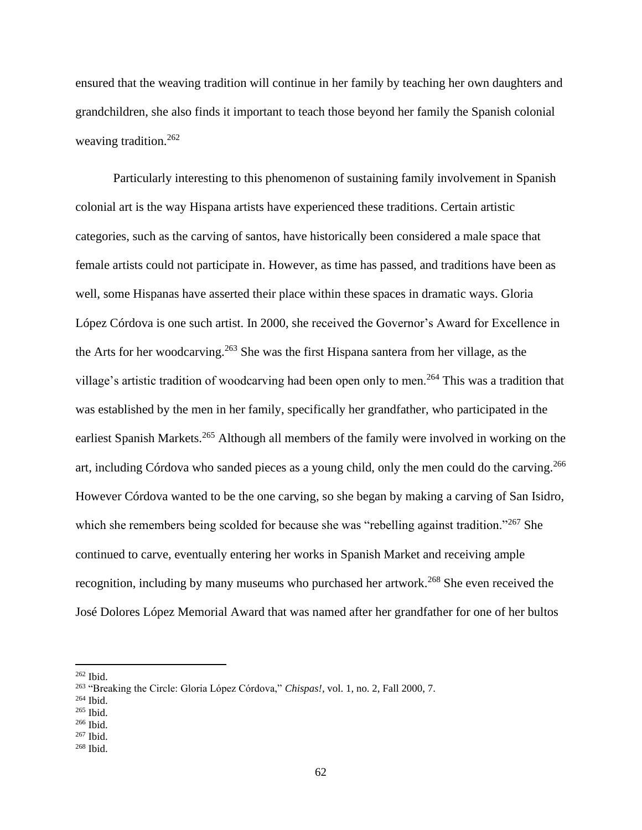ensured that the weaving tradition will continue in her family by teaching her own daughters and grandchildren, she also finds it important to teach those beyond her family the Spanish colonial weaving tradition.<sup>262</sup>

Particularly interesting to this phenomenon of sustaining family involvement in Spanish colonial art is the way Hispana artists have experienced these traditions. Certain artistic categories, such as the carving of santos, have historically been considered a male space that female artists could not participate in. However, as time has passed, and traditions have been as well, some Hispanas have asserted their place within these spaces in dramatic ways. Gloria López Córdova is one such artist. In 2000, she received the Governor's Award for Excellence in the Arts for her woodcarving.<sup>263</sup> She was the first Hispana santera from her village, as the village's artistic tradition of woodcarving had been open only to men.<sup>264</sup> This was a tradition that was established by the men in her family, specifically her grandfather, who participated in the earliest Spanish Markets.<sup>265</sup> Although all members of the family were involved in working on the art, including Córdova who sanded pieces as a young child, only the men could do the carving.<sup>266</sup> However Córdova wanted to be the one carving, so she began by making a carving of San Isidro, which she remembers being scolded for because she was "rebelling against tradition."<sup>267</sup> She continued to carve, eventually entering her works in Spanish Market and receiving ample recognition, including by many museums who purchased her artwork.<sup>268</sup> She even received the José Dolores López Memorial Award that was named after her grandfather for one of her bultos

<sup>262</sup> Ibid.

<sup>263</sup> "Breaking the Circle: Gloria López Córdova," *Chispas!,* vol. 1, no. 2, Fall 2000, 7.

<sup>264</sup> Ibid.

 $265$  Ibid.

<sup>266</sup> Ibid.

<sup>267</sup> Ibid.

 $268$  Ibid.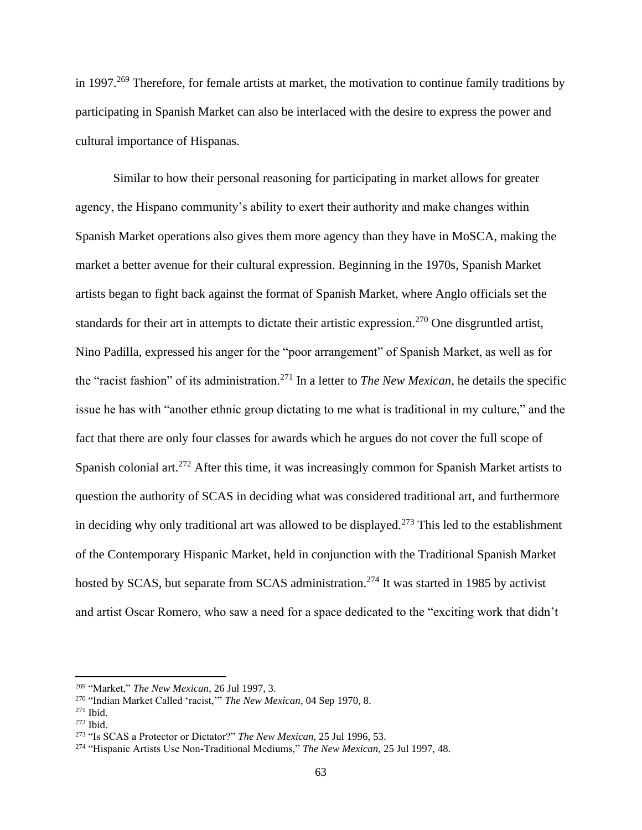in 1997.<sup>269</sup> Therefore, for female artists at market, the motivation to continue family traditions by participating in Spanish Market can also be interlaced with the desire to express the power and cultural importance of Hispanas.

Similar to how their personal reasoning for participating in market allows for greater agency, the Hispano community's ability to exert their authority and make changes within Spanish Market operations also gives them more agency than they have in MoSCA, making the market a better avenue for their cultural expression. Beginning in the 1970s, Spanish Market artists began to fight back against the format of Spanish Market, where Anglo officials set the standards for their art in attempts to dictate their artistic expression.<sup>270</sup> One disgruntled artist, Nino Padilla, expressed his anger for the "poor arrangement" of Spanish Market, as well as for the "racist fashion" of its administration.<sup>271</sup> In a letter to *The New Mexican*, he details the specific issue he has with "another ethnic group dictating to me what is traditional in my culture," and the fact that there are only four classes for awards which he argues do not cover the full scope of Spanish colonial art.<sup>272</sup> After this time, it was increasingly common for Spanish Market artists to question the authority of SCAS in deciding what was considered traditional art, and furthermore in deciding why only traditional art was allowed to be displayed.<sup>273</sup> This led to the establishment of the Contemporary Hispanic Market, held in conjunction with the Traditional Spanish Market hosted by SCAS, but separate from SCAS administration.<sup>274</sup> It was started in 1985 by activist and artist Oscar Romero, who saw a need for a space dedicated to the "exciting work that didn't

<sup>269</sup> "Market," *The New Mexican*, 26 Jul 1997, 3.

<sup>270</sup> "Indian Market Called 'racist,'" *The New Mexican*, 04 Sep 1970, 8.

 $271$  Ibid.

<sup>272</sup> Ibid.

<sup>273</sup> "Is SCAS a Protector or Dictator?" *The New Mexican*, 25 Jul 1996, 53.

<sup>274</sup> "Hispanic Artists Use Non-Traditional Mediums," *The New Mexican*, 25 Jul 1997, 48.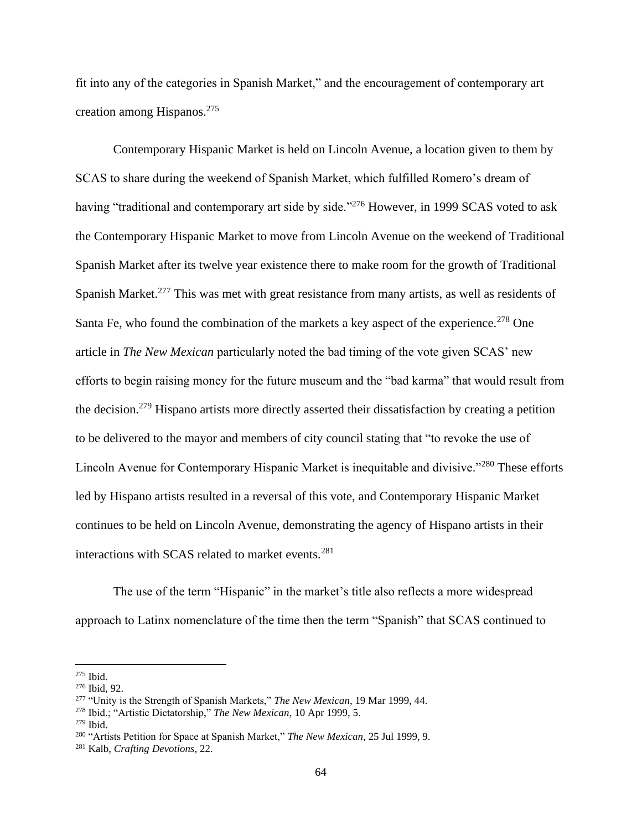fit into any of the categories in Spanish Market," and the encouragement of contemporary art creation among Hispanos.<sup>275</sup>

Contemporary Hispanic Market is held on Lincoln Avenue, a location given to them by SCAS to share during the weekend of Spanish Market, which fulfilled Romero's dream of having "traditional and contemporary art side by side."<sup>276</sup> However, in 1999 SCAS voted to ask the Contemporary Hispanic Market to move from Lincoln Avenue on the weekend of Traditional Spanish Market after its twelve year existence there to make room for the growth of Traditional Spanish Market.<sup>277</sup> This was met with great resistance from many artists, as well as residents of Santa Fe, who found the combination of the markets a key aspect of the experience.<sup>278</sup> One article in *The New Mexican* particularly noted the bad timing of the vote given SCAS' new efforts to begin raising money for the future museum and the "bad karma" that would result from the decision.<sup>279</sup> Hispano artists more directly asserted their dissatisfaction by creating a petition to be delivered to the mayor and members of city council stating that "to revoke the use of Lincoln Avenue for Contemporary Hispanic Market is inequitable and divisive."<sup>280</sup> These efforts led by Hispano artists resulted in a reversal of this vote, and Contemporary Hispanic Market continues to be held on Lincoln Avenue, demonstrating the agency of Hispano artists in their interactions with SCAS related to market events.<sup>281</sup>

The use of the term "Hispanic" in the market's title also reflects a more widespread approach to Latinx nomenclature of the time then the term "Spanish" that SCAS continued to

 $275$  Ibid.

<sup>276</sup> Ibid, 92.

<sup>277</sup> "Unity is the Strength of Spanish Markets," *The New Mexican*, 19 Mar 1999, 44.

<sup>278</sup> Ibid.; "Artistic Dictatorship," *The New Mexican*, 10 Apr 1999, 5.

 $279$  Ibid.

<sup>280</sup> "Artists Petition for Space at Spanish Market," *The New Mexican*, 25 Jul 1999, 9.

<sup>281</sup> Kalb, *Crafting Devotions,* 22.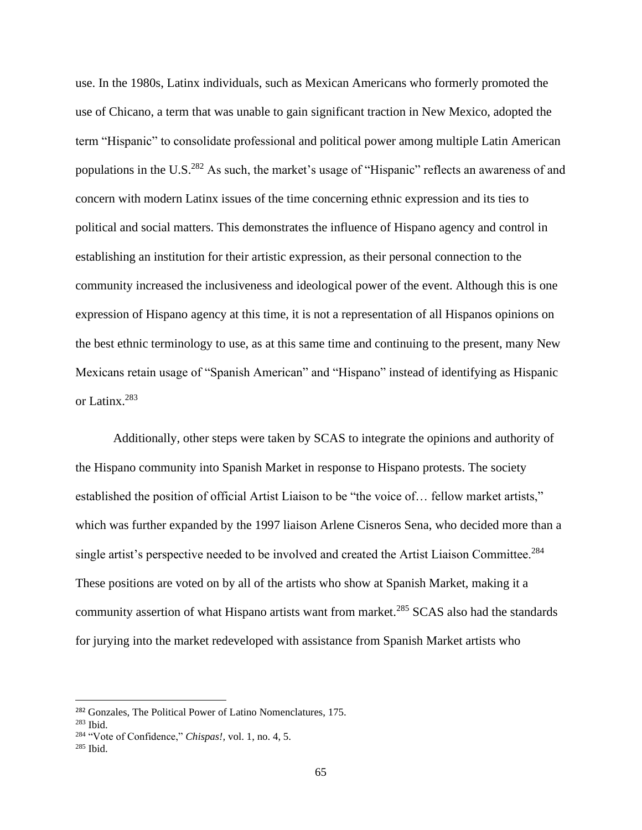use. In the 1980s, Latinx individuals, such as Mexican Americans who formerly promoted the use of Chicano, a term that was unable to gain significant traction in New Mexico, adopted the term "Hispanic" to consolidate professional and political power among multiple Latin American populations in the U.S.<sup>282</sup> As such, the market's usage of "Hispanic" reflects an awareness of and concern with modern Latinx issues of the time concerning ethnic expression and its ties to political and social matters. This demonstrates the influence of Hispano agency and control in establishing an institution for their artistic expression, as their personal connection to the community increased the inclusiveness and ideological power of the event. Although this is one expression of Hispano agency at this time, it is not a representation of all Hispanos opinions on the best ethnic terminology to use, as at this same time and continuing to the present, many New Mexicans retain usage of "Spanish American" and "Hispano" instead of identifying as Hispanic or Latinx.<sup>283</sup>

Additionally, other steps were taken by SCAS to integrate the opinions and authority of the Hispano community into Spanish Market in response to Hispano protests. The society established the position of official Artist Liaison to be "the voice of… fellow market artists," which was further expanded by the 1997 liaison Arlene Cisneros Sena, who decided more than a single artist's perspective needed to be involved and created the Artist Liaison Committee.<sup>284</sup> These positions are voted on by all of the artists who show at Spanish Market, making it a community assertion of what Hispano artists want from market.<sup>285</sup> SCAS also had the standards for jurying into the market redeveloped with assistance from Spanish Market artists who

<sup>282</sup> Gonzales, The Political Power of Latino Nomenclatures, 175.

<sup>283</sup> Ibid.

<sup>284</sup> "Vote of Confidence," *Chispas!,* vol. 1, no. 4, 5.

 $285$  Ibid.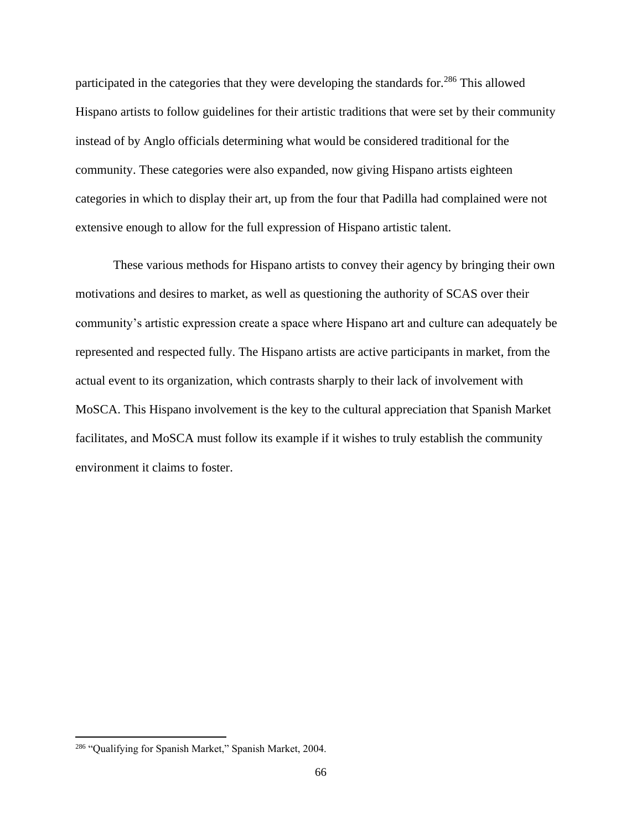participated in the categories that they were developing the standards for.<sup>286</sup> This allowed Hispano artists to follow guidelines for their artistic traditions that were set by their community instead of by Anglo officials determining what would be considered traditional for the community. These categories were also expanded, now giving Hispano artists eighteen categories in which to display their art, up from the four that Padilla had complained were not extensive enough to allow for the full expression of Hispano artistic talent.

These various methods for Hispano artists to convey their agency by bringing their own motivations and desires to market, as well as questioning the authority of SCAS over their community's artistic expression create a space where Hispano art and culture can adequately be represented and respected fully. The Hispano artists are active participants in market, from the actual event to its organization, which contrasts sharply to their lack of involvement with MoSCA. This Hispano involvement is the key to the cultural appreciation that Spanish Market facilitates, and MoSCA must follow its example if it wishes to truly establish the community environment it claims to foster.

<sup>&</sup>lt;sup>286</sup> "Qualifying for Spanish Market," Spanish Market, 2004.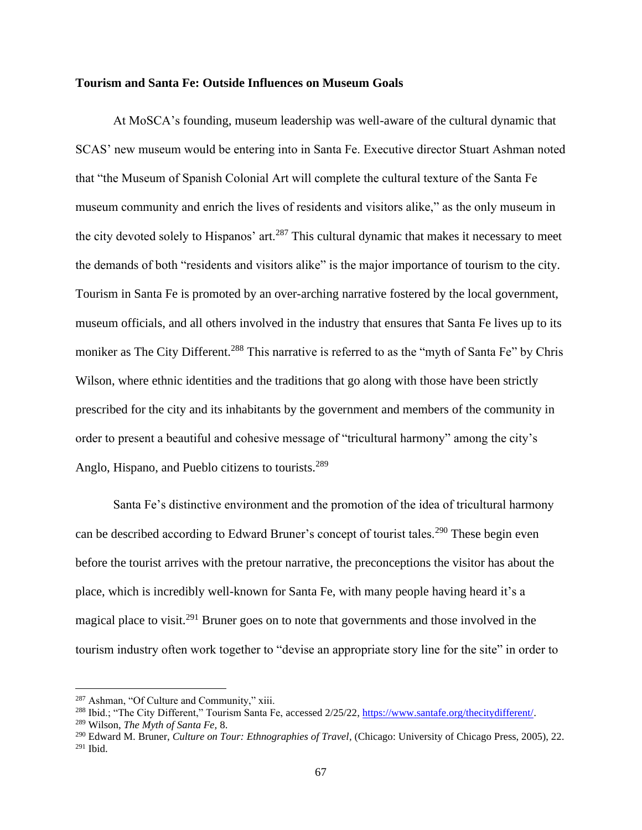## **Tourism and Santa Fe: Outside Influences on Museum Goals**

At MoSCA's founding, museum leadership was well-aware of the cultural dynamic that SCAS' new museum would be entering into in Santa Fe. Executive director Stuart Ashman noted that "the Museum of Spanish Colonial Art will complete the cultural texture of the Santa Fe museum community and enrich the lives of residents and visitors alike," as the only museum in the city devoted solely to Hispanos' art.<sup>287</sup> This cultural dynamic that makes it necessary to meet the demands of both "residents and visitors alike" is the major importance of tourism to the city. Tourism in Santa Fe is promoted by an over-arching narrative fostered by the local government, museum officials, and all others involved in the industry that ensures that Santa Fe lives up to its moniker as The City Different.<sup>288</sup> This narrative is referred to as the "myth of Santa Fe" by Chris Wilson, where ethnic identities and the traditions that go along with those have been strictly prescribed for the city and its inhabitants by the government and members of the community in order to present a beautiful and cohesive message of "tricultural harmony" among the city's Anglo, Hispano, and Pueblo citizens to tourists.<sup>289</sup>

Santa Fe's distinctive environment and the promotion of the idea of tricultural harmony can be described according to Edward Bruner's concept of tourist tales.<sup>290</sup> These begin even before the tourist arrives with the pretour narrative, the preconceptions the visitor has about the place, which is incredibly well-known for Santa Fe, with many people having heard it's a magical place to visit.<sup>291</sup> Bruner goes on to note that governments and those involved in the tourism industry often work together to "devise an appropriate story line for the site" in order to

<sup>287</sup> Ashman, "Of Culture and Community," xiii.

<sup>288</sup> Ibid.; "The City Different," Tourism Santa Fe, accessed 2/25/22, [https://www.santafe.org/thecitydifferent/.](https://www.santafe.org/thecitydifferent/)

<sup>289</sup> Wilson, *The Myth of Santa Fe,* 8.

<sup>290</sup> Edward M. Bruner, *Culture on Tour: Ethnographies of Travel*, (Chicago: University of Chicago Press, 2005), 22.  $291$  Ibid.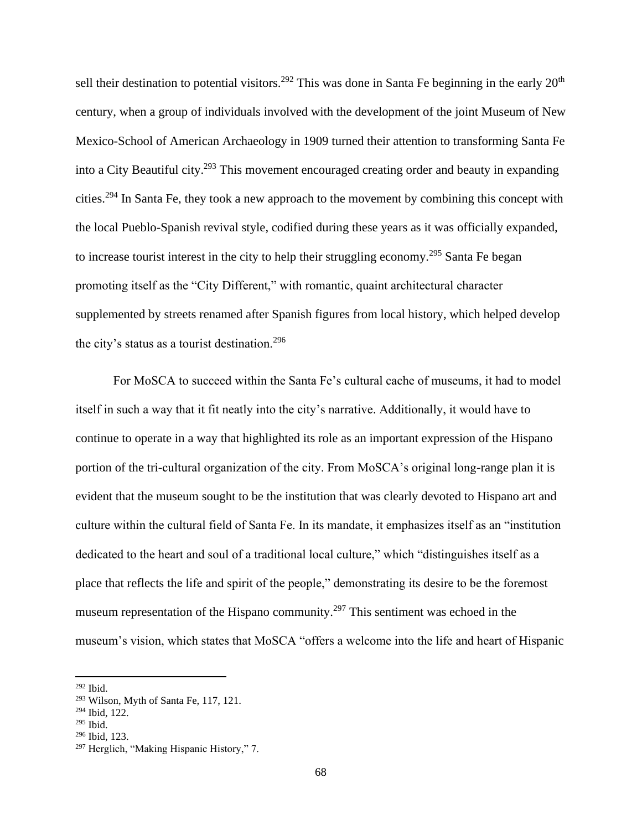sell their destination to potential visitors.<sup>292</sup> This was done in Santa Fe beginning in the early 20<sup>th</sup> century, when a group of individuals involved with the development of the joint Museum of New Mexico-School of American Archaeology in 1909 turned their attention to transforming Santa Fe into a City Beautiful city.<sup>293</sup> This movement encouraged creating order and beauty in expanding cities.<sup>294</sup> In Santa Fe, they took a new approach to the movement by combining this concept with the local Pueblo-Spanish revival style, codified during these years as it was officially expanded, to increase tourist interest in the city to help their struggling economy.<sup>295</sup> Santa Fe began promoting itself as the "City Different," with romantic, quaint architectural character supplemented by streets renamed after Spanish figures from local history, which helped develop the city's status as a tourist destination.<sup>296</sup>

For MoSCA to succeed within the Santa Fe's cultural cache of museums, it had to model itself in such a way that it fit neatly into the city's narrative. Additionally, it would have to continue to operate in a way that highlighted its role as an important expression of the Hispano portion of the tri-cultural organization of the city. From MoSCA's original long-range plan it is evident that the museum sought to be the institution that was clearly devoted to Hispano art and culture within the cultural field of Santa Fe. In its mandate, it emphasizes itself as an "institution dedicated to the heart and soul of a traditional local culture," which "distinguishes itself as a place that reflects the life and spirit of the people," demonstrating its desire to be the foremost museum representation of the Hispano community.<sup>297</sup> This sentiment was echoed in the museum's vision, which states that MoSCA "offers a welcome into the life and heart of Hispanic

<sup>292</sup> Ibid.

<sup>293</sup> Wilson, Myth of Santa Fe, 117, 121.

<sup>294</sup> Ibid, 122.

 $295$  Ibid.

<sup>296</sup> Ibid, 123.

<sup>&</sup>lt;sup>297</sup> Herglich, "Making Hispanic History," 7.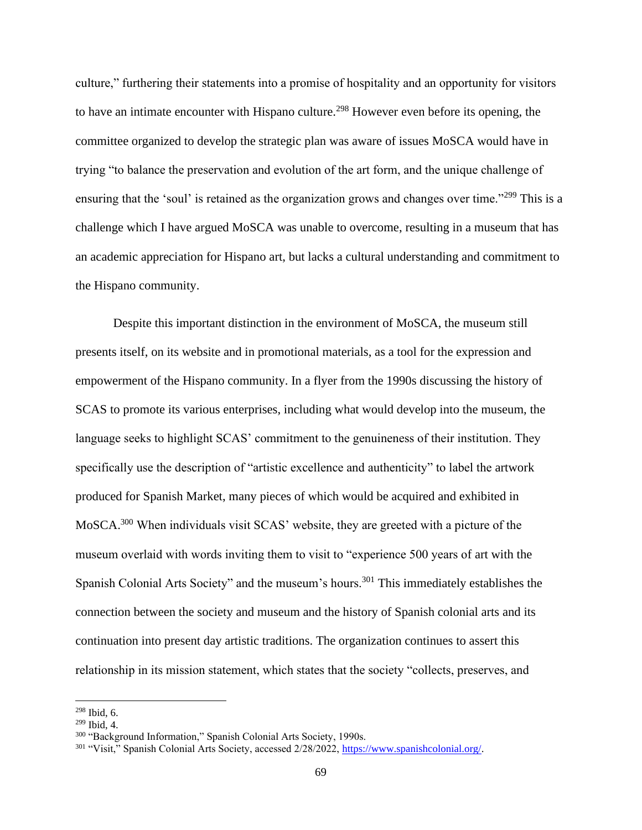culture," furthering their statements into a promise of hospitality and an opportunity for visitors to have an intimate encounter with Hispano culture.<sup>298</sup> However even before its opening, the committee organized to develop the strategic plan was aware of issues MoSCA would have in trying "to balance the preservation and evolution of the art form, and the unique challenge of ensuring that the 'soul' is retained as the organization grows and changes over time."<sup>299</sup> This is a challenge which I have argued MoSCA was unable to overcome, resulting in a museum that has an academic appreciation for Hispano art, but lacks a cultural understanding and commitment to the Hispano community.

Despite this important distinction in the environment of MoSCA, the museum still presents itself, on its website and in promotional materials, as a tool for the expression and empowerment of the Hispano community. In a flyer from the 1990s discussing the history of SCAS to promote its various enterprises, including what would develop into the museum, the language seeks to highlight SCAS' commitment to the genuineness of their institution. They specifically use the description of "artistic excellence and authenticity" to label the artwork produced for Spanish Market, many pieces of which would be acquired and exhibited in MoSCA.<sup>300</sup> When individuals visit SCAS' website, they are greeted with a picture of the museum overlaid with words inviting them to visit to "experience 500 years of art with the Spanish Colonial Arts Society" and the museum's hours.<sup>301</sup> This immediately establishes the connection between the society and museum and the history of Spanish colonial arts and its continuation into present day artistic traditions. The organization continues to assert this relationship in its mission statement, which states that the society "collects, preserves, and

<sup>298</sup> Ibid, 6.

<sup>299</sup> Ibid, 4.

<sup>300</sup> "Background Information," Spanish Colonial Arts Society, 1990s.

<sup>&</sup>lt;sup>301</sup> "Visit," Spanish Colonial Arts Society, accessed 2/28/2022, [https://www.spanishcolonial.org/.](https://www.spanishcolonial.org/)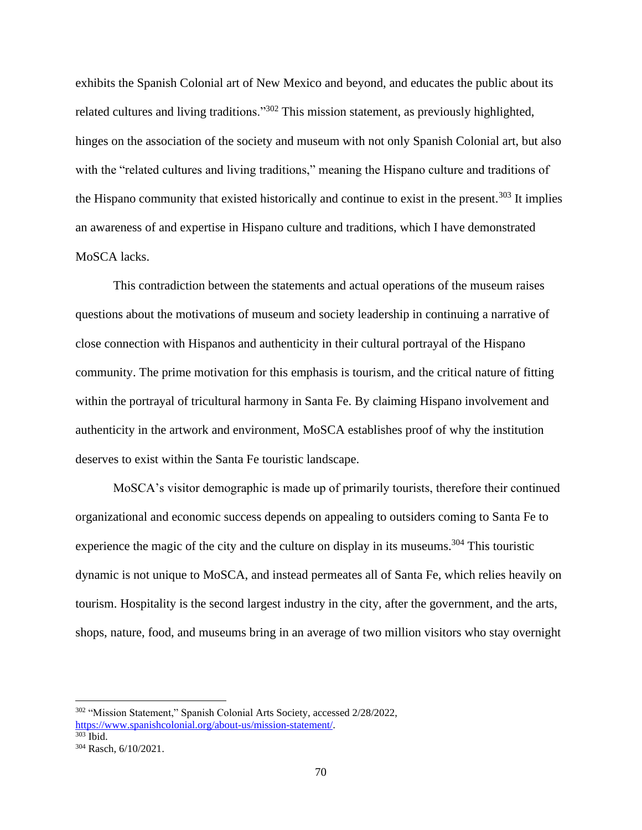exhibits the Spanish Colonial art of New Mexico and beyond, and educates the public about its related cultures and living traditions."<sup>302</sup> This mission statement, as previously highlighted, hinges on the association of the society and museum with not only Spanish Colonial art, but also with the "related cultures and living traditions," meaning the Hispano culture and traditions of the Hispano community that existed historically and continue to exist in the present.<sup>303</sup> It implies an awareness of and expertise in Hispano culture and traditions, which I have demonstrated MoSCA lacks.

This contradiction between the statements and actual operations of the museum raises questions about the motivations of museum and society leadership in continuing a narrative of close connection with Hispanos and authenticity in their cultural portrayal of the Hispano community. The prime motivation for this emphasis is tourism, and the critical nature of fitting within the portrayal of tricultural harmony in Santa Fe. By claiming Hispano involvement and authenticity in the artwork and environment, MoSCA establishes proof of why the institution deserves to exist within the Santa Fe touristic landscape.

MoSCA's visitor demographic is made up of primarily tourists, therefore their continued organizational and economic success depends on appealing to outsiders coming to Santa Fe to experience the magic of the city and the culture on display in its museums.<sup>304</sup> This touristic dynamic is not unique to MoSCA, and instead permeates all of Santa Fe, which relies heavily on tourism. Hospitality is the second largest industry in the city, after the government, and the arts, shops, nature, food, and museums bring in an average of two million visitors who stay overnight

<sup>302</sup> "Mission Statement," Spanish Colonial Arts Society, accessed 2/28/2022,

[https://www.spanishcolonial.org/about-us/mission-statement/.](https://www.spanishcolonial.org/about-us/mission-statement/)  $303$  Ibid.

<sup>304</sup> Rasch, 6/10/2021.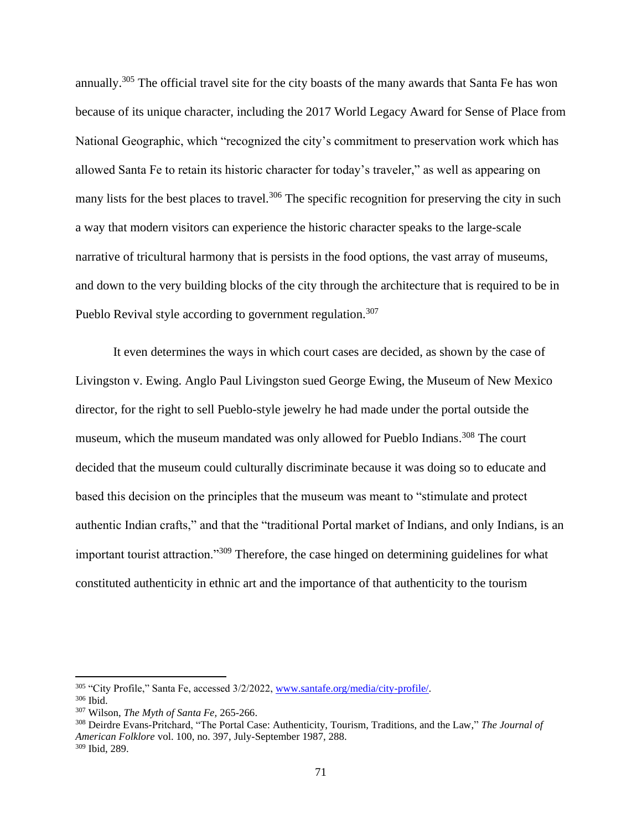annually.<sup>305</sup> The official travel site for the city boasts of the many awards that Santa Fe has won because of its unique character, including the 2017 World Legacy Award for Sense of Place from National Geographic, which "recognized the city's commitment to preservation work which has allowed Santa Fe to retain its historic character for today's traveler," as well as appearing on many lists for the best places to travel.<sup>306</sup> The specific recognition for preserving the city in such a way that modern visitors can experience the historic character speaks to the large-scale narrative of tricultural harmony that is persists in the food options, the vast array of museums, and down to the very building blocks of the city through the architecture that is required to be in Pueblo Revival style according to government regulation.<sup>307</sup>

It even determines the ways in which court cases are decided, as shown by the case of Livingston v. Ewing. Anglo Paul Livingston sued George Ewing, the Museum of New Mexico director, for the right to sell Pueblo-style jewelry he had made under the portal outside the museum, which the museum mandated was only allowed for Pueblo Indians.<sup>308</sup> The court decided that the museum could culturally discriminate because it was doing so to educate and based this decision on the principles that the museum was meant to "stimulate and protect authentic Indian crafts," and that the "traditional Portal market of Indians, and only Indians, is an important tourist attraction."<sup>309</sup> Therefore, the case hinged on determining guidelines for what constituted authenticity in ethnic art and the importance of that authenticity to the tourism

<sup>305</sup> "City Profile," Santa Fe, accessed 3/2/2022, [www.santafe.org/media/city-profile/.](http://www.santafe.org/media/city-profile/) <sup>306</sup> Ibid.

<sup>307</sup> Wilson, *The Myth of Santa Fe,* 265-266.

<sup>308</sup> Deirdre Evans-Pritchard, "The Portal Case: Authenticity, Tourism, Traditions, and the Law," *The Journal of American Folklore* vol. 100, no. 397, July-September 1987, 288. <sup>309</sup> Ibid, 289.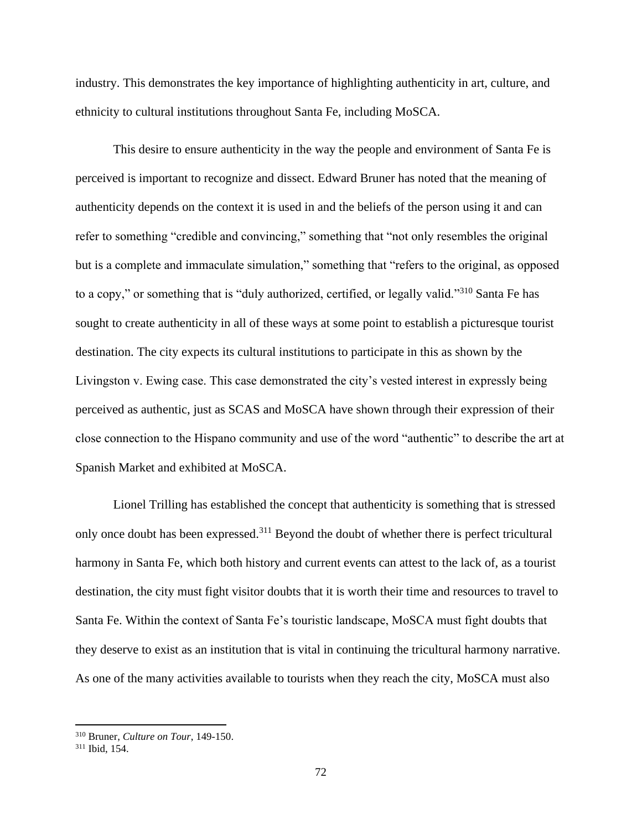industry. This demonstrates the key importance of highlighting authenticity in art, culture, and ethnicity to cultural institutions throughout Santa Fe, including MoSCA.

This desire to ensure authenticity in the way the people and environment of Santa Fe is perceived is important to recognize and dissect. Edward Bruner has noted that the meaning of authenticity depends on the context it is used in and the beliefs of the person using it and can refer to something "credible and convincing," something that "not only resembles the original but is a complete and immaculate simulation," something that "refers to the original, as opposed to a copy," or something that is "duly authorized, certified, or legally valid."<sup>310</sup> Santa Fe has sought to create authenticity in all of these ways at some point to establish a picturesque tourist destination. The city expects its cultural institutions to participate in this as shown by the Livingston v. Ewing case. This case demonstrated the city's vested interest in expressly being perceived as authentic, just as SCAS and MoSCA have shown through their expression of their close connection to the Hispano community and use of the word "authentic" to describe the art at Spanish Market and exhibited at MoSCA.

Lionel Trilling has established the concept that authenticity is something that is stressed only once doubt has been expressed.<sup>311</sup> Beyond the doubt of whether there is perfect tricultural harmony in Santa Fe, which both history and current events can attest to the lack of, as a tourist destination, the city must fight visitor doubts that it is worth their time and resources to travel to Santa Fe. Within the context of Santa Fe's touristic landscape, MoSCA must fight doubts that they deserve to exist as an institution that is vital in continuing the tricultural harmony narrative. As one of the many activities available to tourists when they reach the city, MoSCA must also

<sup>310</sup> Bruner, *Culture on Tour*, 149-150.

<sup>311</sup> Ibid, 154.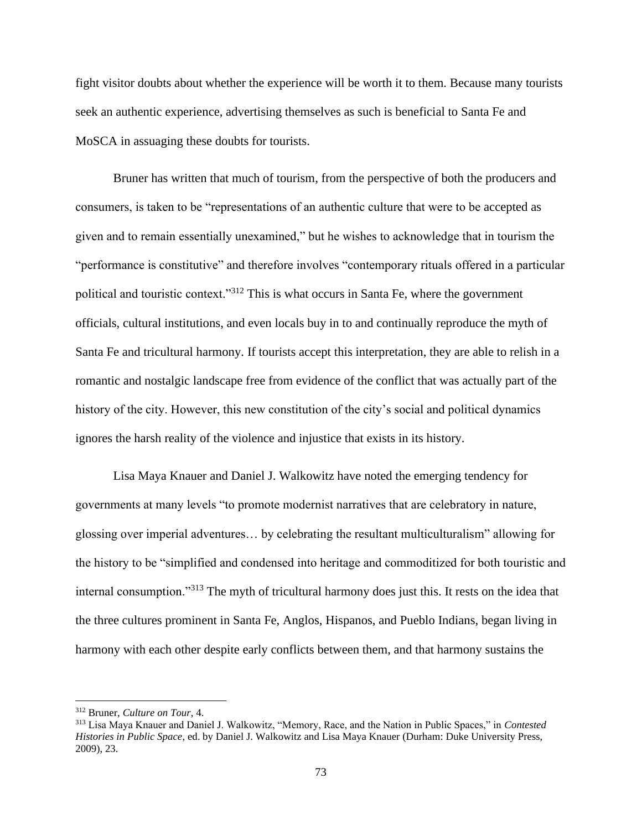fight visitor doubts about whether the experience will be worth it to them. Because many tourists seek an authentic experience, advertising themselves as such is beneficial to Santa Fe and MoSCA in assuaging these doubts for tourists.

Bruner has written that much of tourism, from the perspective of both the producers and consumers, is taken to be "representations of an authentic culture that were to be accepted as given and to remain essentially unexamined," but he wishes to acknowledge that in tourism the "performance is constitutive" and therefore involves "contemporary rituals offered in a particular political and touristic context."<sup>312</sup> This is what occurs in Santa Fe, where the government officials, cultural institutions, and even locals buy in to and continually reproduce the myth of Santa Fe and tricultural harmony. If tourists accept this interpretation, they are able to relish in a romantic and nostalgic landscape free from evidence of the conflict that was actually part of the history of the city. However, this new constitution of the city's social and political dynamics ignores the harsh reality of the violence and injustice that exists in its history.

Lisa Maya Knauer and Daniel J. Walkowitz have noted the emerging tendency for governments at many levels "to promote modernist narratives that are celebratory in nature, glossing over imperial adventures… by celebrating the resultant multiculturalism" allowing for the history to be "simplified and condensed into heritage and commoditized for both touristic and internal consumption."<sup>313</sup> The myth of tricultural harmony does just this. It rests on the idea that the three cultures prominent in Santa Fe, Anglos, Hispanos, and Pueblo Indians, began living in harmony with each other despite early conflicts between them, and that harmony sustains the

<sup>312</sup> Bruner, *Culture on Tour*, 4.

<sup>313</sup> Lisa Maya Knauer and Daniel J. Walkowitz, "Memory, Race, and the Nation in Public Spaces," in *Contested Histories in Public Space*, ed. by Daniel J. Walkowitz and Lisa Maya Knauer (Durham: Duke University Press, 2009), 23.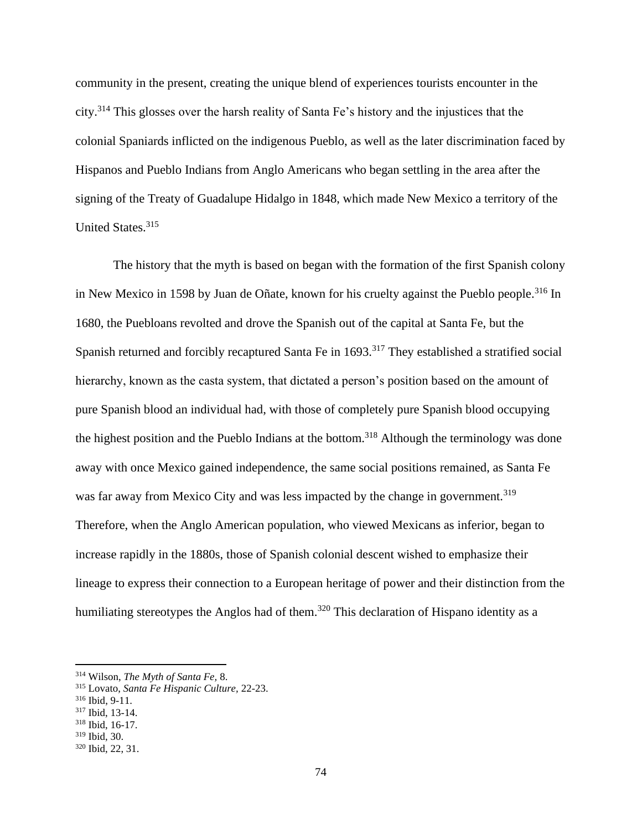community in the present, creating the unique blend of experiences tourists encounter in the city.<sup>314</sup> This glosses over the harsh reality of Santa Fe's history and the injustices that the colonial Spaniards inflicted on the indigenous Pueblo, as well as the later discrimination faced by Hispanos and Pueblo Indians from Anglo Americans who began settling in the area after the signing of the Treaty of Guadalupe Hidalgo in 1848, which made New Mexico a territory of the United States.<sup>315</sup>

The history that the myth is based on began with the formation of the first Spanish colony in New Mexico in 1598 by Juan de Oñate, known for his cruelty against the Pueblo people.<sup>316</sup> In 1680, the Puebloans revolted and drove the Spanish out of the capital at Santa Fe, but the Spanish returned and forcibly recaptured Santa Fe in 1693.<sup>317</sup> They established a stratified social hierarchy, known as the casta system, that dictated a person's position based on the amount of pure Spanish blood an individual had, with those of completely pure Spanish blood occupying the highest position and the Pueblo Indians at the bottom.<sup>318</sup> Although the terminology was done away with once Mexico gained independence, the same social positions remained, as Santa Fe was far away from Mexico City and was less impacted by the change in government.<sup>319</sup> Therefore, when the Anglo American population, who viewed Mexicans as inferior, began to increase rapidly in the 1880s, those of Spanish colonial descent wished to emphasize their lineage to express their connection to a European heritage of power and their distinction from the humiliating stereotypes the Anglos had of them.<sup>320</sup> This declaration of Hispano identity as a

<sup>314</sup> Wilson, *The Myth of Santa Fe,* 8.

<sup>315</sup> Lovato, *Santa Fe Hispanic Culture,* 22-23.

<sup>316</sup> Ibid, 9-11.

<sup>317</sup> Ibid, 13-14.

<sup>318</sup> Ibid, 16-17.

<sup>319</sup> Ibid, 30.

<sup>320</sup> Ibid, 22, 31.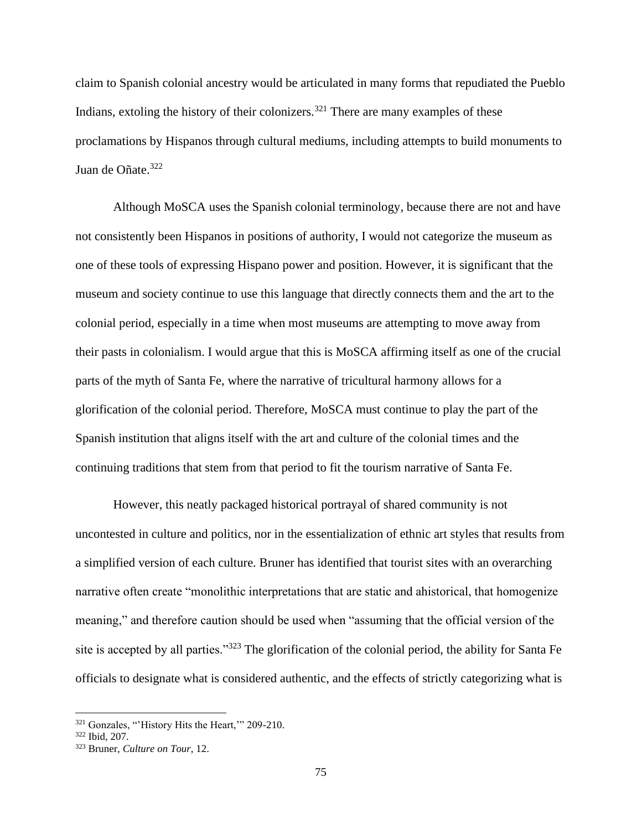claim to Spanish colonial ancestry would be articulated in many forms that repudiated the Pueblo Indians, extoling the history of their colonizers.<sup>321</sup> There are many examples of these proclamations by Hispanos through cultural mediums, including attempts to build monuments to Juan de Oñate.<sup>322</sup>

Although MoSCA uses the Spanish colonial terminology, because there are not and have not consistently been Hispanos in positions of authority, I would not categorize the museum as one of these tools of expressing Hispano power and position. However, it is significant that the museum and society continue to use this language that directly connects them and the art to the colonial period, especially in a time when most museums are attempting to move away from their pasts in colonialism. I would argue that this is MoSCA affirming itself as one of the crucial parts of the myth of Santa Fe, where the narrative of tricultural harmony allows for a glorification of the colonial period. Therefore, MoSCA must continue to play the part of the Spanish institution that aligns itself with the art and culture of the colonial times and the continuing traditions that stem from that period to fit the tourism narrative of Santa Fe.

However, this neatly packaged historical portrayal of shared community is not uncontested in culture and politics, nor in the essentialization of ethnic art styles that results from a simplified version of each culture. Bruner has identified that tourist sites with an overarching narrative often create "monolithic interpretations that are static and ahistorical, that homogenize meaning," and therefore caution should be used when "assuming that the official version of the site is accepted by all parties."<sup>323</sup> The glorification of the colonial period, the ability for Santa Fe officials to designate what is considered authentic, and the effects of strictly categorizing what is

<sup>&</sup>lt;sup>321</sup> Gonzales, "'History Hits the Heart,'" 209-210.

<sup>322</sup> Ibid, 207.

<sup>323</sup> Bruner, *Culture on Tour*, 12.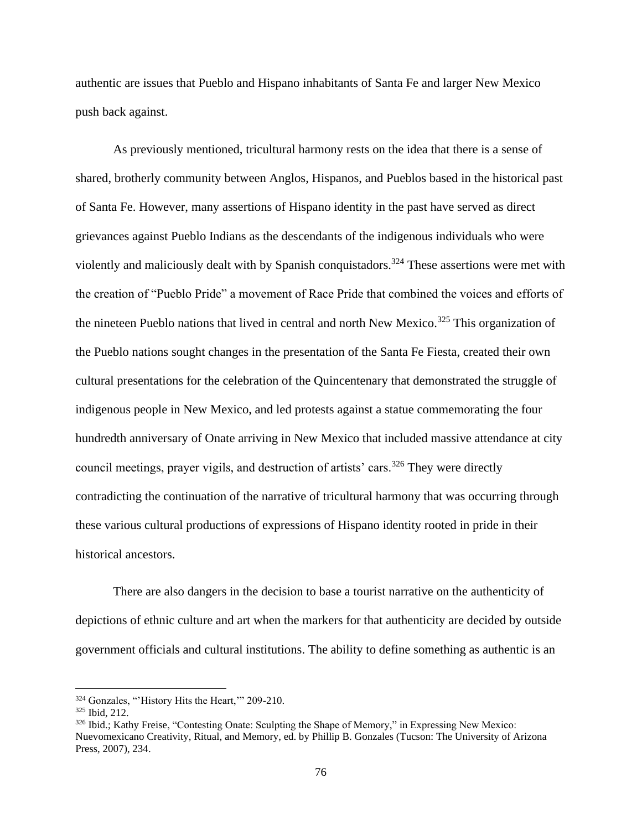authentic are issues that Pueblo and Hispano inhabitants of Santa Fe and larger New Mexico push back against.

As previously mentioned, tricultural harmony rests on the idea that there is a sense of shared, brotherly community between Anglos, Hispanos, and Pueblos based in the historical past of Santa Fe. However, many assertions of Hispano identity in the past have served as direct grievances against Pueblo Indians as the descendants of the indigenous individuals who were violently and maliciously dealt with by Spanish conquistadors.<sup>324</sup> These assertions were met with the creation of "Pueblo Pride" a movement of Race Pride that combined the voices and efforts of the nineteen Pueblo nations that lived in central and north New Mexico.<sup>325</sup> This organization of the Pueblo nations sought changes in the presentation of the Santa Fe Fiesta, created their own cultural presentations for the celebration of the Quincentenary that demonstrated the struggle of indigenous people in New Mexico, and led protests against a statue commemorating the four hundredth anniversary of Onate arriving in New Mexico that included massive attendance at city council meetings, prayer vigils, and destruction of artists' cars.<sup>326</sup> They were directly contradicting the continuation of the narrative of tricultural harmony that was occurring through these various cultural productions of expressions of Hispano identity rooted in pride in their historical ancestors.

There are also dangers in the decision to base a tourist narrative on the authenticity of depictions of ethnic culture and art when the markers for that authenticity are decided by outside government officials and cultural institutions. The ability to define something as authentic is an

<sup>324</sup> Gonzales, "'History Hits the Heart,'" 209-210.

<sup>325</sup> Ibid, 212.

<sup>326</sup> Ibid.; Kathy Freise, "Contesting Onate: Sculpting the Shape of Memory," in Expressing New Mexico: Nuevomexicano Creativity, Ritual, and Memory, ed. by Phillip B. Gonzales (Tucson: The University of Arizona Press, 2007), 234.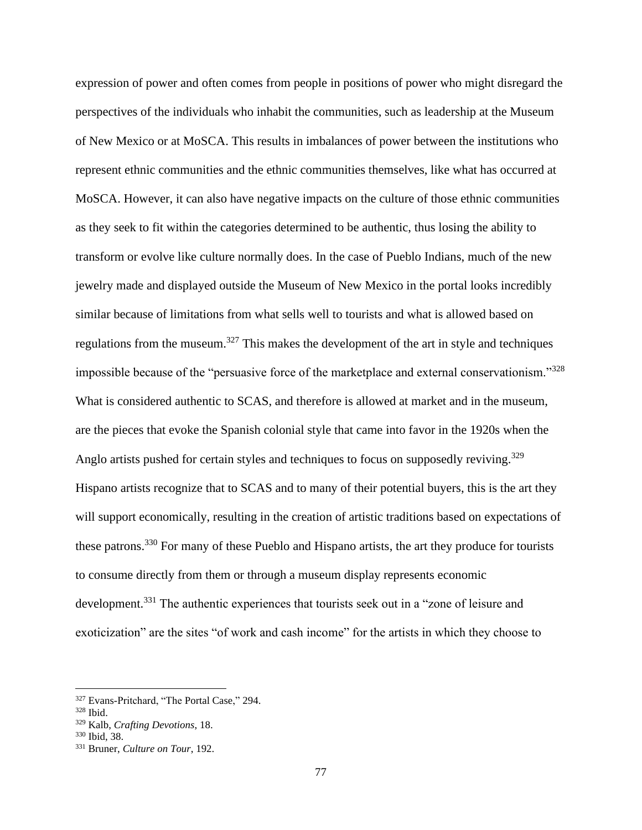expression of power and often comes from people in positions of power who might disregard the perspectives of the individuals who inhabit the communities, such as leadership at the Museum of New Mexico or at MoSCA. This results in imbalances of power between the institutions who represent ethnic communities and the ethnic communities themselves, like what has occurred at MoSCA. However, it can also have negative impacts on the culture of those ethnic communities as they seek to fit within the categories determined to be authentic, thus losing the ability to transform or evolve like culture normally does. In the case of Pueblo Indians, much of the new jewelry made and displayed outside the Museum of New Mexico in the portal looks incredibly similar because of limitations from what sells well to tourists and what is allowed based on regulations from the museum.<sup>327</sup> This makes the development of the art in style and techniques impossible because of the "persuasive force of the marketplace and external conservationism."<sup>328</sup> What is considered authentic to SCAS, and therefore is allowed at market and in the museum, are the pieces that evoke the Spanish colonial style that came into favor in the 1920s when the Anglo artists pushed for certain styles and techniques to focus on supposedly reviving.<sup>329</sup> Hispano artists recognize that to SCAS and to many of their potential buyers, this is the art they will support economically, resulting in the creation of artistic traditions based on expectations of these patrons.<sup>330</sup> For many of these Pueblo and Hispano artists, the art they produce for tourists to consume directly from them or through a museum display represents economic development.<sup>331</sup> The authentic experiences that tourists seek out in a "zone of leisure and exoticization" are the sites "of work and cash income" for the artists in which they choose to

<sup>327</sup> Evans-Pritchard, "The Portal Case," 294.

<sup>328</sup> Ibid.

<sup>329</sup> Kalb, *Crafting Devotions*, 18.

<sup>330</sup> Ibid, 38.

<sup>331</sup> Bruner, *Culture on Tour*, 192.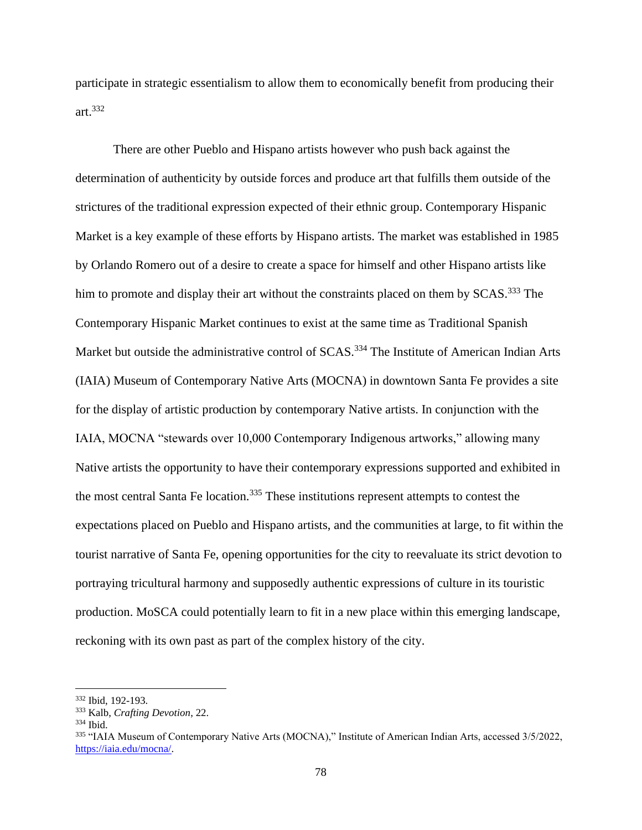participate in strategic essentialism to allow them to economically benefit from producing their art.<sup>332</sup>

There are other Pueblo and Hispano artists however who push back against the determination of authenticity by outside forces and produce art that fulfills them outside of the strictures of the traditional expression expected of their ethnic group. Contemporary Hispanic Market is a key example of these efforts by Hispano artists. The market was established in 1985 by Orlando Romero out of a desire to create a space for himself and other Hispano artists like him to promote and display their art without the constraints placed on them by SCAS.<sup>333</sup> The Contemporary Hispanic Market continues to exist at the same time as Traditional Spanish Market but outside the administrative control of SCAS.<sup>334</sup> The Institute of American Indian Arts (IAIA) Museum of Contemporary Native Arts (MOCNA) in downtown Santa Fe provides a site for the display of artistic production by contemporary Native artists. In conjunction with the IAIA, MOCNA "stewards over 10,000 Contemporary Indigenous artworks," allowing many Native artists the opportunity to have their contemporary expressions supported and exhibited in the most central Santa Fe location.<sup>335</sup> These institutions represent attempts to contest the expectations placed on Pueblo and Hispano artists, and the communities at large, to fit within the tourist narrative of Santa Fe, opening opportunities for the city to reevaluate its strict devotion to portraying tricultural harmony and supposedly authentic expressions of culture in its touristic production. MoSCA could potentially learn to fit in a new place within this emerging landscape, reckoning with its own past as part of the complex history of the city.

<sup>332</sup> Ibid, 192-193.

<sup>333</sup> Kalb, *Crafting Devotion*, 22.

<sup>334</sup> Ibid.

<sup>335</sup> "IAIA Museum of Contemporary Native Arts (MOCNA)," Institute of American Indian Arts, accessed 3/5/2022, [https://iaia.edu/mocna/.](https://iaia.edu/mocna/)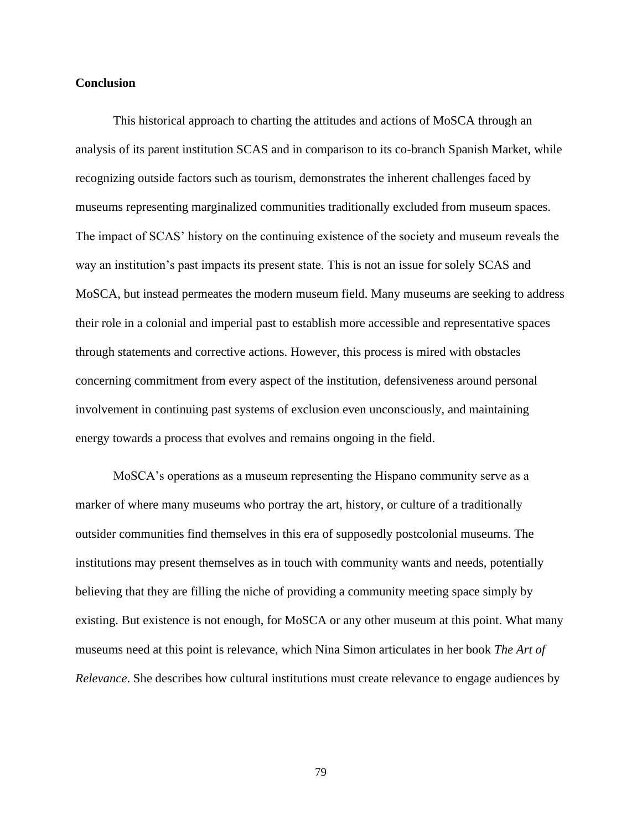## **Conclusion**

This historical approach to charting the attitudes and actions of MoSCA through an analysis of its parent institution SCAS and in comparison to its co-branch Spanish Market, while recognizing outside factors such as tourism, demonstrates the inherent challenges faced by museums representing marginalized communities traditionally excluded from museum spaces. The impact of SCAS' history on the continuing existence of the society and museum reveals the way an institution's past impacts its present state. This is not an issue for solely SCAS and MoSCA, but instead permeates the modern museum field. Many museums are seeking to address their role in a colonial and imperial past to establish more accessible and representative spaces through statements and corrective actions. However, this process is mired with obstacles concerning commitment from every aspect of the institution, defensiveness around personal involvement in continuing past systems of exclusion even unconsciously, and maintaining energy towards a process that evolves and remains ongoing in the field.

MoSCA's operations as a museum representing the Hispano community serve as a marker of where many museums who portray the art, history, or culture of a traditionally outsider communities find themselves in this era of supposedly postcolonial museums. The institutions may present themselves as in touch with community wants and needs, potentially believing that they are filling the niche of providing a community meeting space simply by existing. But existence is not enough, for MoSCA or any other museum at this point. What many museums need at this point is relevance, which Nina Simon articulates in her book *The Art of Relevance*. She describes how cultural institutions must create relevance to engage audiences by

79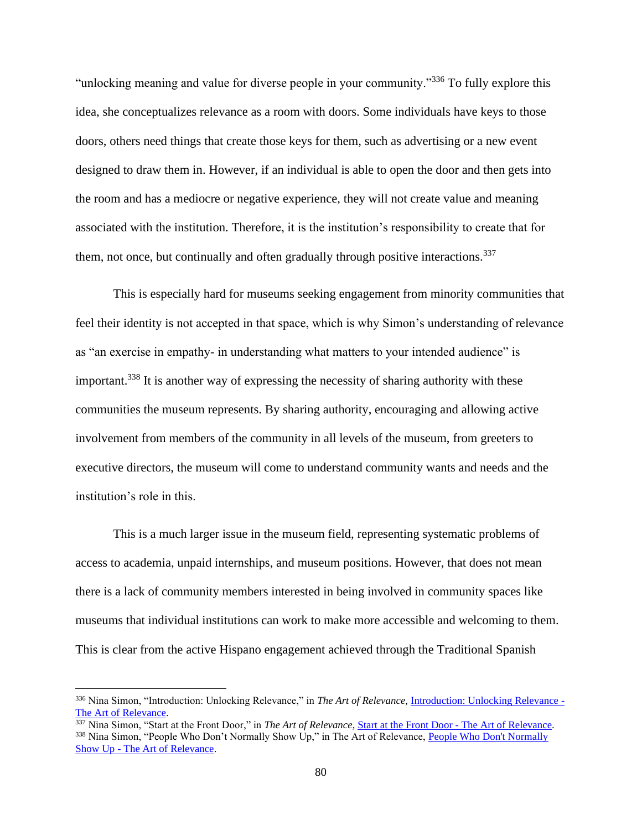"unlocking meaning and value for diverse people in your community."<sup>336</sup> To fully explore this idea, she conceptualizes relevance as a room with doors. Some individuals have keys to those doors, others need things that create those keys for them, such as advertising or a new event designed to draw them in. However, if an individual is able to open the door and then gets into the room and has a mediocre or negative experience, they will not create value and meaning associated with the institution. Therefore, it is the institution's responsibility to create that for them, not once, but continually and often gradually through positive interactions.<sup>337</sup>

This is especially hard for museums seeking engagement from minority communities that feel their identity is not accepted in that space, which is why Simon's understanding of relevance as "an exercise in empathy- in understanding what matters to your intended audience" is important.<sup>338</sup> It is another way of expressing the necessity of sharing authority with these communities the museum represents. By sharing authority, encouraging and allowing active involvement from members of the community in all levels of the museum, from greeters to executive directors, the museum will come to understand community wants and needs and the institution's role in this.

This is a much larger issue in the museum field, representing systematic problems of access to academia, unpaid internships, and museum positions. However, that does not mean there is a lack of community members interested in being involved in community spaces like museums that individual institutions can work to make more accessible and welcoming to them. This is clear from the active Hispano engagement achieved through the Traditional Spanish

<sup>336</sup> Nina Simon, "Introduction: Unlocking Relevance," in *The Art of Relevance,* [Introduction: Unlocking Relevance](http://www.artofrelevance.org/2016/06/27/introduction-unlocking-relevance/) - [The Art of Relevance.](http://www.artofrelevance.org/2016/06/27/introduction-unlocking-relevance/) 

<sup>&</sup>lt;sup>337</sup> Nina Simon, "Start at the Front Door," in *The Art of Relevance*, **Start at the Front Door - The Art of Relevance**. <sup>338</sup> Nina Simon, "People Who Don't Normally Show Up," in The Art of Relevance, People Who Don't Normally Show Up - [The Art of Relevance.](http://www.artofrelevance.org/2017/12/27/people-dont-normally-show/)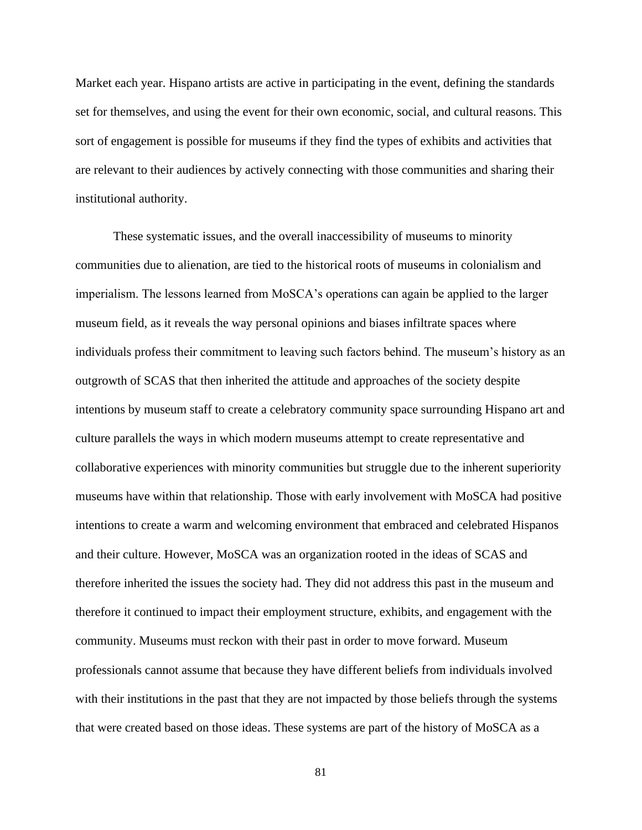Market each year. Hispano artists are active in participating in the event, defining the standards set for themselves, and using the event for their own economic, social, and cultural reasons. This sort of engagement is possible for museums if they find the types of exhibits and activities that are relevant to their audiences by actively connecting with those communities and sharing their institutional authority.

These systematic issues, and the overall inaccessibility of museums to minority communities due to alienation, are tied to the historical roots of museums in colonialism and imperialism. The lessons learned from MoSCA's operations can again be applied to the larger museum field, as it reveals the way personal opinions and biases infiltrate spaces where individuals profess their commitment to leaving such factors behind. The museum's history as an outgrowth of SCAS that then inherited the attitude and approaches of the society despite intentions by museum staff to create a celebratory community space surrounding Hispano art and culture parallels the ways in which modern museums attempt to create representative and collaborative experiences with minority communities but struggle due to the inherent superiority museums have within that relationship. Those with early involvement with MoSCA had positive intentions to create a warm and welcoming environment that embraced and celebrated Hispanos and their culture. However, MoSCA was an organization rooted in the ideas of SCAS and therefore inherited the issues the society had. They did not address this past in the museum and therefore it continued to impact their employment structure, exhibits, and engagement with the community. Museums must reckon with their past in order to move forward. Museum professionals cannot assume that because they have different beliefs from individuals involved with their institutions in the past that they are not impacted by those beliefs through the systems that were created based on those ideas. These systems are part of the history of MoSCA as a

81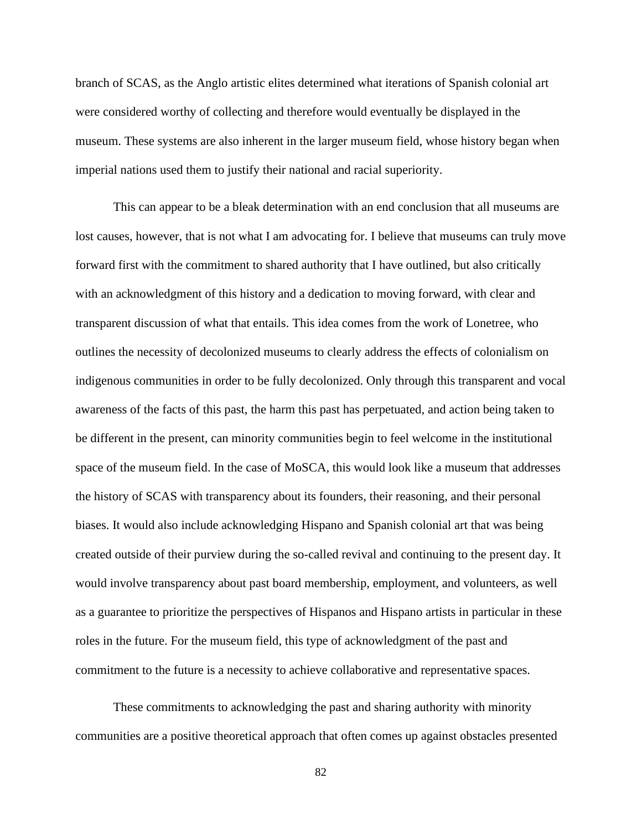branch of SCAS, as the Anglo artistic elites determined what iterations of Spanish colonial art were considered worthy of collecting and therefore would eventually be displayed in the museum. These systems are also inherent in the larger museum field, whose history began when imperial nations used them to justify their national and racial superiority.

This can appear to be a bleak determination with an end conclusion that all museums are lost causes, however, that is not what I am advocating for. I believe that museums can truly move forward first with the commitment to shared authority that I have outlined, but also critically with an acknowledgment of this history and a dedication to moving forward, with clear and transparent discussion of what that entails. This idea comes from the work of Lonetree, who outlines the necessity of decolonized museums to clearly address the effects of colonialism on indigenous communities in order to be fully decolonized. Only through this transparent and vocal awareness of the facts of this past, the harm this past has perpetuated, and action being taken to be different in the present, can minority communities begin to feel welcome in the institutional space of the museum field. In the case of MoSCA, this would look like a museum that addresses the history of SCAS with transparency about its founders, their reasoning, and their personal biases. It would also include acknowledging Hispano and Spanish colonial art that was being created outside of their purview during the so-called revival and continuing to the present day. It would involve transparency about past board membership, employment, and volunteers, as well as a guarantee to prioritize the perspectives of Hispanos and Hispano artists in particular in these roles in the future. For the museum field, this type of acknowledgment of the past and commitment to the future is a necessity to achieve collaborative and representative spaces.

These commitments to acknowledging the past and sharing authority with minority communities are a positive theoretical approach that often comes up against obstacles presented

82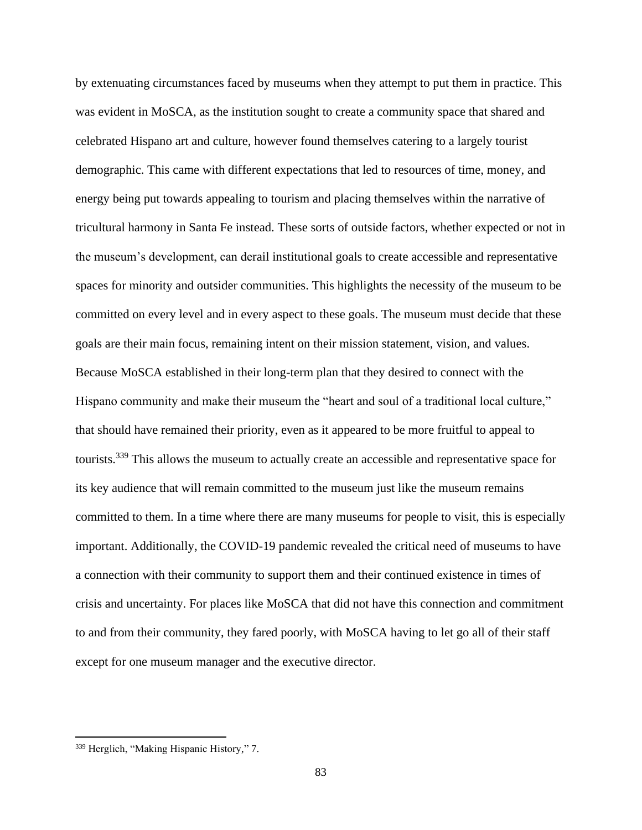by extenuating circumstances faced by museums when they attempt to put them in practice. This was evident in MoSCA, as the institution sought to create a community space that shared and celebrated Hispano art and culture, however found themselves catering to a largely tourist demographic. This came with different expectations that led to resources of time, money, and energy being put towards appealing to tourism and placing themselves within the narrative of tricultural harmony in Santa Fe instead. These sorts of outside factors, whether expected or not in the museum's development, can derail institutional goals to create accessible and representative spaces for minority and outsider communities. This highlights the necessity of the museum to be committed on every level and in every aspect to these goals. The museum must decide that these goals are their main focus, remaining intent on their mission statement, vision, and values. Because MoSCA established in their long-term plan that they desired to connect with the Hispano community and make their museum the "heart and soul of a traditional local culture," that should have remained their priority, even as it appeared to be more fruitful to appeal to tourists.<sup>339</sup> This allows the museum to actually create an accessible and representative space for its key audience that will remain committed to the museum just like the museum remains committed to them. In a time where there are many museums for people to visit, this is especially important. Additionally, the COVID-19 pandemic revealed the critical need of museums to have a connection with their community to support them and their continued existence in times of crisis and uncertainty. For places like MoSCA that did not have this connection and commitment to and from their community, they fared poorly, with MoSCA having to let go all of their staff except for one museum manager and the executive director.

<sup>339</sup> Herglich, "Making Hispanic History," 7.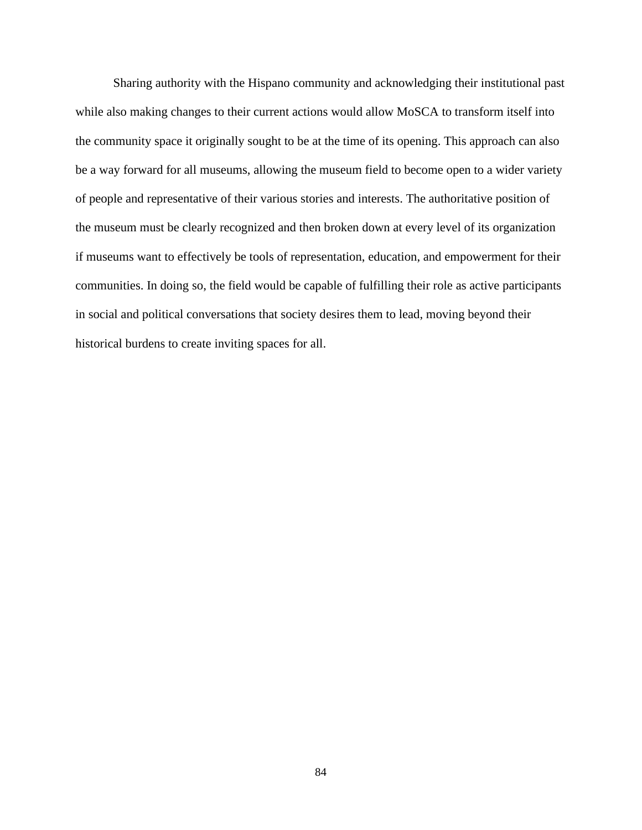Sharing authority with the Hispano community and acknowledging their institutional past while also making changes to their current actions would allow MoSCA to transform itself into the community space it originally sought to be at the time of its opening. This approach can also be a way forward for all museums, allowing the museum field to become open to a wider variety of people and representative of their various stories and interests. The authoritative position of the museum must be clearly recognized and then broken down at every level of its organization if museums want to effectively be tools of representation, education, and empowerment for their communities. In doing so, the field would be capable of fulfilling their role as active participants in social and political conversations that society desires them to lead, moving beyond their historical burdens to create inviting spaces for all.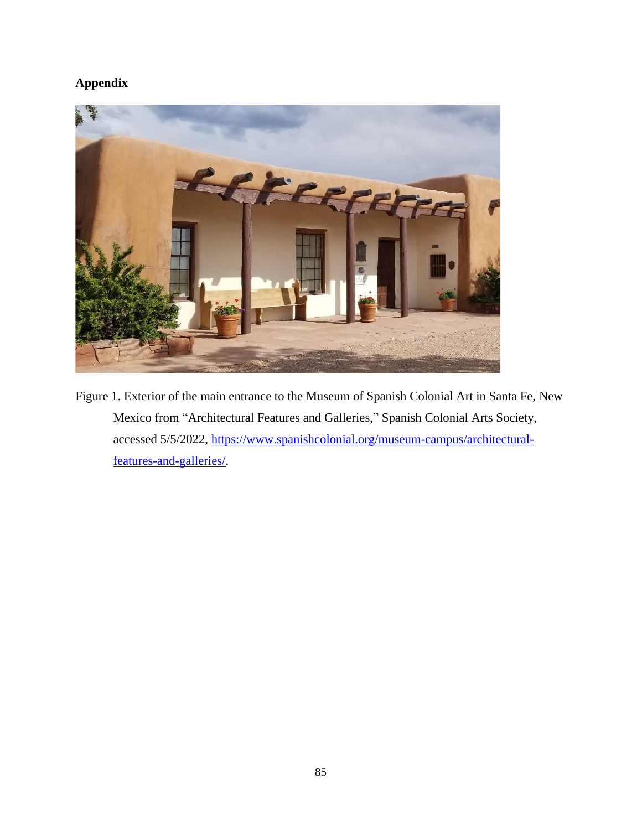## **Appendix**



Figure 1. Exterior of the main entrance to the Museum of Spanish Colonial Art in Santa Fe, New Mexico from "Architectural Features and Galleries," Spanish Colonial Arts Society, accessed 5/5/2022, [https://www.spanishcolonial.org/museum-campus/architectural](https://www.spanishcolonial.org/museum-campus/architectural-features-and-galleries/)[features-and-galleries/.](https://www.spanishcolonial.org/museum-campus/architectural-features-and-galleries/)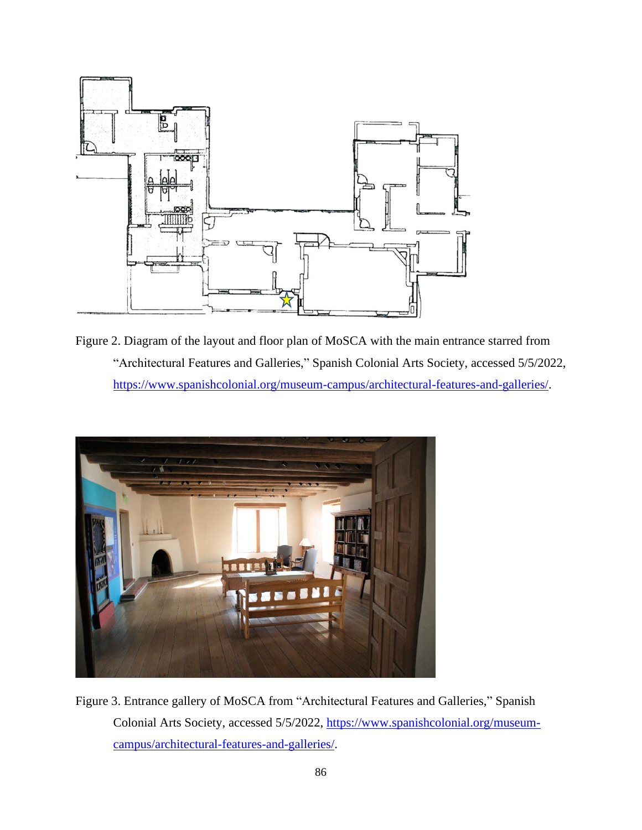

Figure 2. Diagram of the layout and floor plan of MoSCA with the main entrance starred from "Architectural Features and Galleries," Spanish Colonial Arts Society, accessed 5/5/2022, [https://www.spanishcolonial.org/museum-campus/architectural-features-and-galleries/.](https://www.spanishcolonial.org/museum-campus/architectural-features-and-galleries/)



Figure 3. Entrance gallery of MoSCA from "Architectural Features and Galleries," Spanish Colonial Arts Society, accessed 5/5/2022, [https://www.spanishcolonial.org/museum](https://www.spanishcolonial.org/museum-campus/architectural-features-and-galleries/)[campus/architectural-features-and-galleries/.](https://www.spanishcolonial.org/museum-campus/architectural-features-and-galleries/)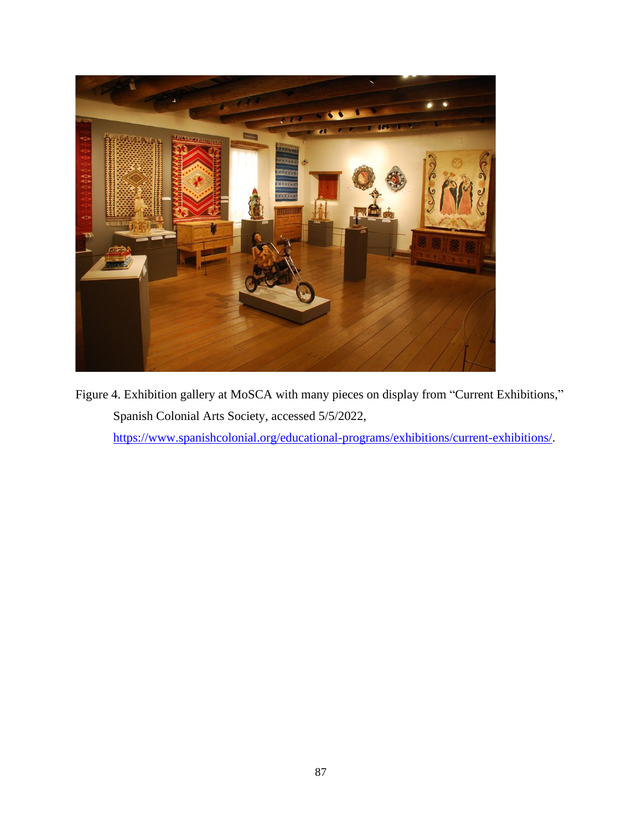

Figure 4. Exhibition gallery at MoSCA with many pieces on display from "Current Exhibitions," Spanish Colonial Arts Society, accessed 5/5/2022, [https://www.spanishcolonial.org/educational-programs/exhibitions/current-exhibitions/.](https://www.spanishcolonial.org/educational-programs/exhibitions/current-exhibitions/)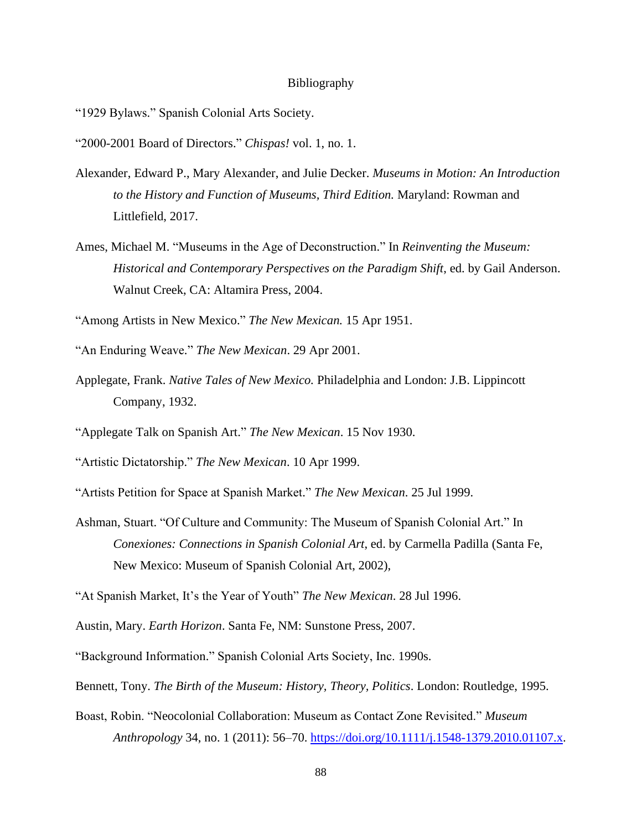## Bibliography

"1929 Bylaws." Spanish Colonial Arts Society.

"2000-2001 Board of Directors." *Chispas!* vol. 1, no. 1.

- Alexander, Edward P., Mary Alexander, and Julie Decker. *Museums in Motion: An Introduction to the History and Function of Museums, Third Edition.* Maryland: Rowman and Littlefield, 2017.
- Ames, Michael M. "Museums in the Age of Deconstruction." In *Reinventing the Museum: Historical and Contemporary Perspectives on the Paradigm Shift*, ed. by Gail Anderson. Walnut Creek, CA: Altamira Press, 2004.

"Among Artists in New Mexico." *The New Mexican.* 15 Apr 1951.

- "An Enduring Weave." *The New Mexican*. 29 Apr 2001.
- Applegate, Frank. *Native Tales of New Mexico.* Philadelphia and London: J.B. Lippincott Company, 1932.
- "Applegate Talk on Spanish Art." *The New Mexican*. 15 Nov 1930.
- "Artistic Dictatorship." *The New Mexican*. 10 Apr 1999.
- "Artists Petition for Space at Spanish Market." *The New Mexican*. 25 Jul 1999.
- Ashman, Stuart. "Of Culture and Community: The Museum of Spanish Colonial Art." In *Conexiones: Connections in Spanish Colonial Art*, ed. by Carmella Padilla (Santa Fe, New Mexico: Museum of Spanish Colonial Art, 2002),

"At Spanish Market, It's the Year of Youth" *The New Mexican*. 28 Jul 1996.

"Background Information." Spanish Colonial Arts Society, Inc. 1990s.

Bennett, Tony. *The Birth of the Museum: History, Theory, Politics*. London: Routledge, 1995.

Boast, Robin. "Neocolonial Collaboration: Museum as Contact Zone Revisited." *Museum Anthropology* 34, no. 1 (2011): 56–70. [https://doi.org/10.1111/j.1548-1379.2010.01107.x.](https://doi.org/10.1111/j.1548-1379.2010.01107.x)

Austin, Mary. *Earth Horizon*. Santa Fe, NM: Sunstone Press, 2007.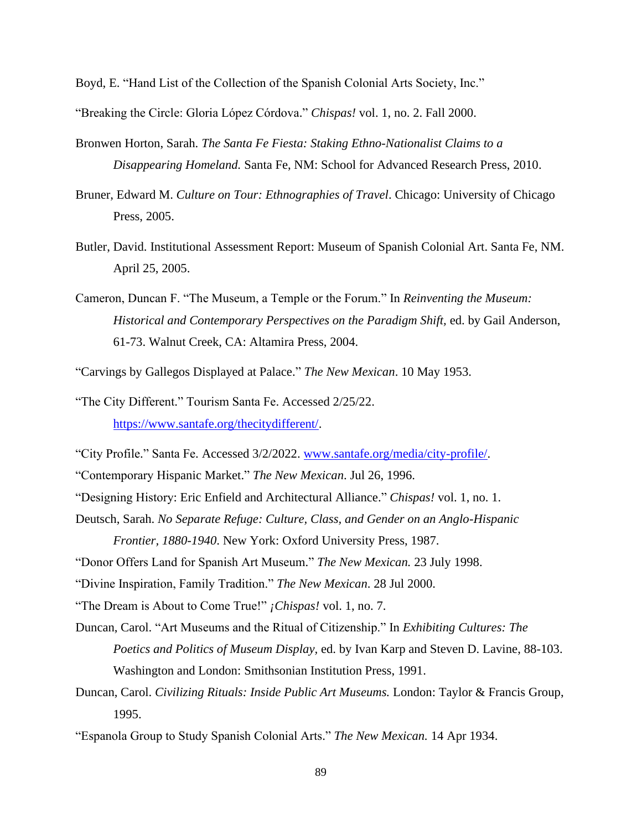Boyd, E. "Hand List of the Collection of the Spanish Colonial Arts Society, Inc."

"Breaking the Circle: Gloria López Córdova." *Chispas!* vol. 1, no. 2. Fall 2000.

- Bronwen Horton, Sarah. *The Santa Fe Fiesta: Staking Ethno-Nationalist Claims to a Disappearing Homeland.* Santa Fe, NM: School for Advanced Research Press, 2010.
- Bruner, Edward M. *Culture on Tour: Ethnographies of Travel*. Chicago: University of Chicago Press, 2005.
- Butler, David. Institutional Assessment Report: Museum of Spanish Colonial Art. Santa Fe, NM. April 25, 2005.
- Cameron, Duncan F. "The Museum, a Temple or the Forum." In *Reinventing the Museum: Historical and Contemporary Perspectives on the Paradigm Shift,* ed. by Gail Anderson, 61-73. Walnut Creek, CA: Altamira Press, 2004.
- "Carvings by Gallegos Displayed at Palace." *The New Mexican*. 10 May 1953.

"The City Different." Tourism Santa Fe. Accessed 2/25/22. [https://www.santafe.org/thecitydifferent/.](https://www.santafe.org/thecitydifferent/)

- "City Profile." Santa Fe. Accessed 3/2/2022. [www.santafe.org/media/city-profile/.](http://www.santafe.org/media/city-profile/)
- "Contemporary Hispanic Market." *The New Mexican*. Jul 26, 1996.
- "Designing History: Eric Enfield and Architectural Alliance." *Chispas!* vol. 1, no. 1.
- Deutsch, Sarah. *No Separate Refuge: Culture, Class, and Gender on an Anglo-Hispanic Frontier, 1880-1940*. New York: Oxford University Press, 1987.
- "Donor Offers Land for Spanish Art Museum." *The New Mexican.* 23 July 1998.
- "Divine Inspiration, Family Tradition." *The New Mexican*. 28 Jul 2000.
- "The Dream is About to Come True!" *¡Chispas!* vol. 1, no. 7.
- Duncan, Carol. "Art Museums and the Ritual of Citizenship." In *Exhibiting Cultures: The Poetics and Politics of Museum Display,* ed. by Ivan Karp and Steven D. Lavine, 88-103. Washington and London: Smithsonian Institution Press, 1991.
- Duncan, Carol. *Civilizing Rituals: Inside Public Art Museums.* London: Taylor & Francis Group, 1995.
- "Espanola Group to Study Spanish Colonial Arts." *The New Mexican.* 14 Apr 1934.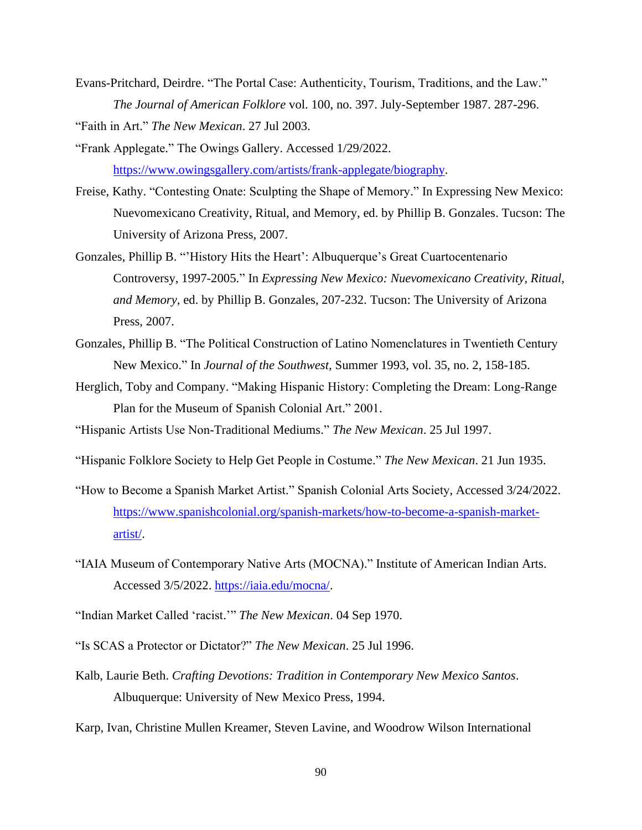Evans-Pritchard, Deirdre. "The Portal Case: Authenticity, Tourism, Traditions, and the Law." *The Journal of American Folklore* vol. 100, no. 397. July-September 1987. 287-296.

"Faith in Art." *The New Mexican*. 27 Jul 2003.

- "Frank Applegate." The Owings Gallery. Accessed 1/29/2022. [https://www.owingsgallery.com/artists/frank-applegate/biography.](https://www.owingsgallery.com/artists/frank-applegate/biography)
- Freise, Kathy. "Contesting Onate: Sculpting the Shape of Memory." In Expressing New Mexico: Nuevomexicano Creativity, Ritual, and Memory, ed. by Phillip B. Gonzales. Tucson: The University of Arizona Press, 2007.
- Gonzales, Phillip B. "'History Hits the Heart': Albuquerque's Great Cuartocentenario Controversy, 1997-2005." In *Expressing New Mexico: Nuevomexicano Creativity, Ritual, and Memory,* ed. by Phillip B. Gonzales, 207-232. Tucson: The University of Arizona Press, 2007.
- Gonzales, Phillip B. "The Political Construction of Latino Nomenclatures in Twentieth Century New Mexico." In *Journal of the Southwest,* Summer 1993, vol. 35, no. 2, 158-185.
- Herglich, Toby and Company. "Making Hispanic History: Completing the Dream: Long-Range Plan for the Museum of Spanish Colonial Art." 2001.
- "Hispanic Artists Use Non-Traditional Mediums." *The New Mexican*. 25 Jul 1997.
- "Hispanic Folklore Society to Help Get People in Costume." *The New Mexican*. 21 Jun 1935.
- "How to Become a Spanish Market Artist." Spanish Colonial Arts Society, Accessed 3/24/2022. [https://www.spanishcolonial.org/spanish-markets/how-to-become-a-spanish-market](https://www.spanishcolonial.org/spanish-markets/how-to-become-a-spanish-market-artist/)[artist/.](https://www.spanishcolonial.org/spanish-markets/how-to-become-a-spanish-market-artist/)
- "IAIA Museum of Contemporary Native Arts (MOCNA)." Institute of American Indian Arts. Accessed 3/5/2022. [https://iaia.edu/mocna/.](https://iaia.edu/mocna/)
- "Indian Market Called 'racist.'" *The New Mexican*. 04 Sep 1970.
- "Is SCAS a Protector or Dictator?" *The New Mexican*. 25 Jul 1996.
- Kalb, Laurie Beth. *Crafting Devotions: Tradition in Contemporary New Mexico Santos*. Albuquerque: University of New Mexico Press, 1994.
- Karp, Ivan, Christine Mullen Kreamer, Steven Lavine, and Woodrow Wilson International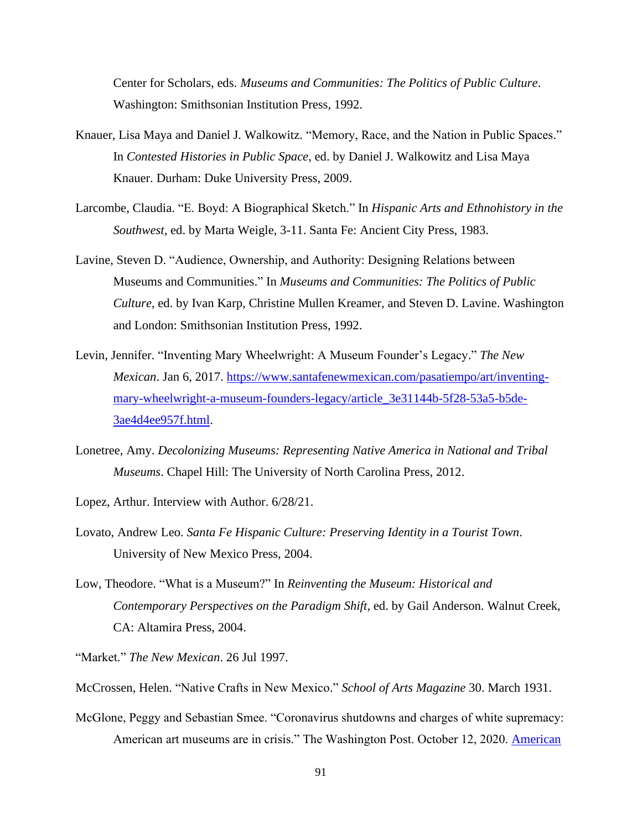Center for Scholars, eds. *Museums and Communities: The Politics of Public Culture*. Washington: Smithsonian Institution Press, 1992.

- Knauer, Lisa Maya and Daniel J. Walkowitz. "Memory, Race, and the Nation in Public Spaces." In *Contested Histories in Public Space*, ed. by Daniel J. Walkowitz and Lisa Maya Knauer. Durham: Duke University Press, 2009.
- Larcombe, Claudia. "E. Boyd: A Biographical Sketch." In *Hispanic Arts and Ethnohistory in the Southwest,* ed. by Marta Weigle, 3-11. Santa Fe: Ancient City Press, 1983.
- Lavine, Steven D. "Audience, Ownership, and Authority: Designing Relations between Museums and Communities." In *Museums and Communities: The Politics of Public Culture*, ed. by Ivan Karp, Christine Mullen Kreamer, and Steven D. Lavine. Washington and London: Smithsonian Institution Press, 1992.
- Levin, Jennifer. "Inventing Mary Wheelwright: A Museum Founder's Legacy." *The New Mexican*. Jan 6, 2017. [https://www.santafenewmexican.com/pasatiempo/art/inventing](https://www.santafenewmexican.com/pasatiempo/art/inventing-mary-wheelwright-a-museum-founders-legacy/article_3e31144b-5f28-53a5-b5de-3ae4d4ee957f.html)[mary-wheelwright-a-museum-founders-legacy/article\\_3e31144b-5f28-53a5-b5de-](https://www.santafenewmexican.com/pasatiempo/art/inventing-mary-wheelwright-a-museum-founders-legacy/article_3e31144b-5f28-53a5-b5de-3ae4d4ee957f.html)[3ae4d4ee957f.html.](https://www.santafenewmexican.com/pasatiempo/art/inventing-mary-wheelwright-a-museum-founders-legacy/article_3e31144b-5f28-53a5-b5de-3ae4d4ee957f.html)
- Lonetree, Amy. *Decolonizing Museums: Representing Native America in National and Tribal Museums*. Chapel Hill: The University of North Carolina Press, 2012.

Lopez, Arthur. Interview with Author. 6/28/21.

- Lovato, Andrew Leo. *Santa Fe Hispanic Culture: Preserving Identity in a Tourist Town*. University of New Mexico Press, 2004.
- Low, Theodore. "What is a Museum?" In *Reinventing the Museum: Historical and Contemporary Perspectives on the Paradigm Shift*, ed. by Gail Anderson. Walnut Creek, CA: Altamira Press, 2004.

"Market." *The New Mexican*. 26 Jul 1997.

- McCrossen, Helen. "Native Crafts in New Mexico." *School of Arts Magazine* 30. March 1931.
- McGlone, Peggy and Sebastian Smee. "Coronavirus shutdowns and charges of white supremacy: American art museums are in crisis." The Washington Post. October 12, 2020. American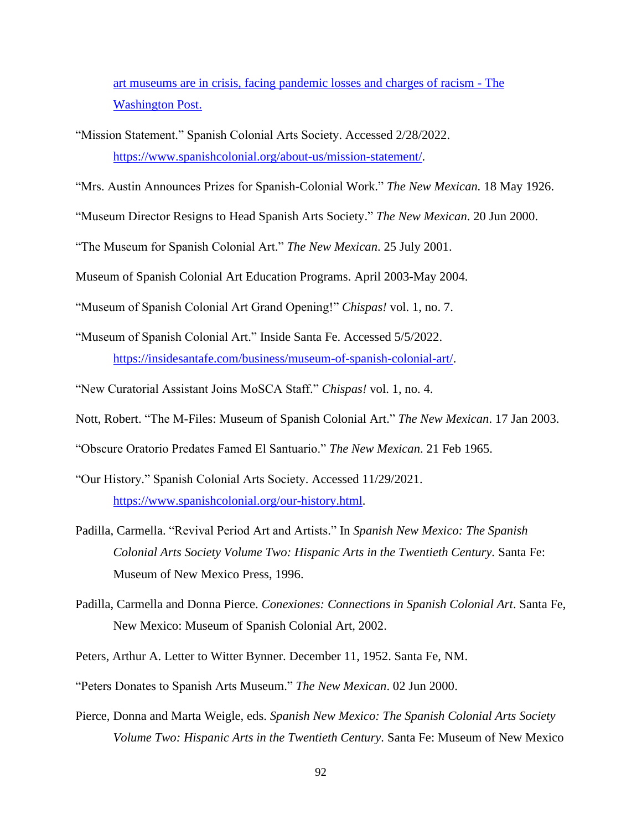[art museums are in crisis, facing pandemic losses and charges of racism -](https://www.washingtonpost.com/entertainment/museums/american-art-museums-covid-white-supremacy/2020/10/11/61094f1c-fe94-11ea-8d05-9beaaa91c71f_story.html) The [Washington Post.](https://www.washingtonpost.com/entertainment/museums/american-art-museums-covid-white-supremacy/2020/10/11/61094f1c-fe94-11ea-8d05-9beaaa91c71f_story.html)

"Mission Statement." Spanish Colonial Arts Society. Accessed 2/28/2022. [https://www.spanishcolonial.org/about-us/mission-statement/.](https://www.spanishcolonial.org/about-us/mission-statement/)

"Mrs. Austin Announces Prizes for Spanish-Colonial Work." *The New Mexican.* 18 May 1926.

"Museum Director Resigns to Head Spanish Arts Society." *The New Mexican*. 20 Jun 2000.

"The Museum for Spanish Colonial Art." *The New Mexican*. 25 July 2001.

Museum of Spanish Colonial Art Education Programs. April 2003-May 2004.

"Museum of Spanish Colonial Art Grand Opening!" *Chispas!* vol. 1, no. 7.

- "Museum of Spanish Colonial Art." Inside Santa Fe. Accessed 5/5/2022. [https://insidesantafe.com/business/museum-of-spanish-colonial-art/.](https://insidesantafe.com/business/museum-of-spanish-colonial-art/)
- "New Curatorial Assistant Joins MoSCA Staff." *Chispas!* vol. 1, no. 4.

Nott, Robert. "The M-Files: Museum of Spanish Colonial Art." *The New Mexican*. 17 Jan 2003.

"Obscure Oratorio Predates Famed El Santuario." *The New Mexican*. 21 Feb 1965.

- "Our History." Spanish Colonial Arts Society. Accessed 11/29/2021. [https://www.spanishcolonial.org/our-history.html.](https://www.spanishcolonial.org/our-history.html)
- Padilla, Carmella. "Revival Period Art and Artists." In *Spanish New Mexico: The Spanish Colonial Arts Society Volume Two: Hispanic Arts in the Twentieth Century.* Santa Fe: Museum of New Mexico Press, 1996.
- Padilla, Carmella and Donna Pierce. *Conexiones: Connections in Spanish Colonial Art*. Santa Fe, New Mexico: Museum of Spanish Colonial Art, 2002.
- Peters, Arthur A. Letter to Witter Bynner. December 11, 1952. Santa Fe, NM.

"Peters Donates to Spanish Arts Museum." *The New Mexican*. 02 Jun 2000.

Pierce, Donna and Marta Weigle, eds. *Spanish New Mexico: The Spanish Colonial Arts Society Volume Two: Hispanic Arts in the Twentieth Century.* Santa Fe: Museum of New Mexico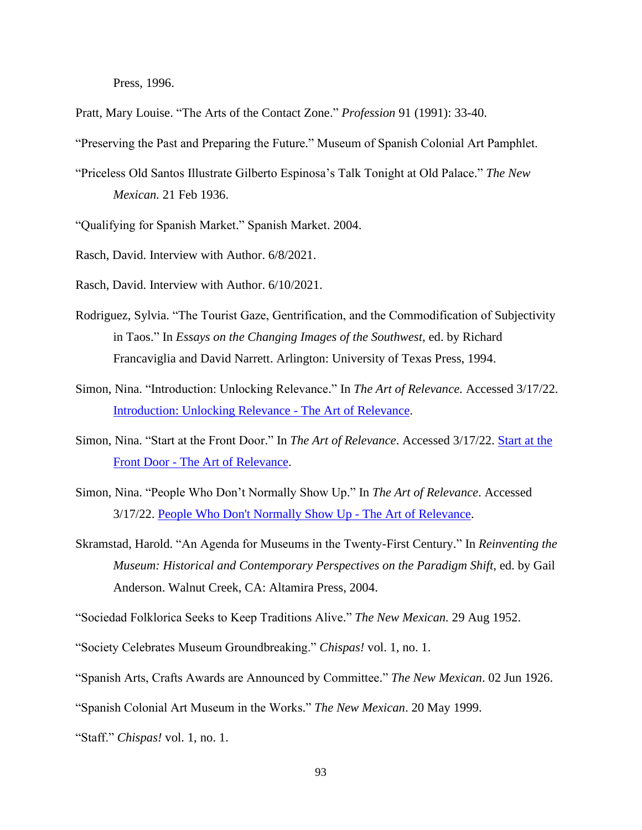Press, 1996.

Pratt, Mary Louise. "The Arts of the Contact Zone." *Profession* 91 (1991): 33-40.

"Preserving the Past and Preparing the Future." Museum of Spanish Colonial Art Pamphlet.

"Priceless Old Santos Illustrate Gilberto Espinosa's Talk Tonight at Old Palace." *The New Mexican.* 21 Feb 1936.

"Qualifying for Spanish Market." Spanish Market. 2004.

Rasch, David. Interview with Author. 6/8/2021.

Rasch, David. Interview with Author. 6/10/2021.

- Rodriguez, Sylvia. "The Tourist Gaze, Gentrification, and the Commodification of Subjectivity in Taos." In *Essays on the Changing Images of the Southwest,* ed. by Richard Francaviglia and David Narrett. Arlington: University of Texas Press, 1994.
- Simon, Nina. "Introduction: Unlocking Relevance." In *The Art of Relevance.* Accessed 3/17/22. [Introduction: Unlocking Relevance -](http://www.artofrelevance.org/2016/06/27/introduction-unlocking-relevance/) The Art of Relevance.
- Simon, Nina. "Start at the Front Door." In *The Art of Relevance*. Accessed 3/17/22. [Start at the](http://www.artofrelevance.org/2017/12/27/start-front-door/)  Front Door - [The Art of Relevance.](http://www.artofrelevance.org/2017/12/27/start-front-door/)
- Simon, Nina. "People Who Don't Normally Show Up." In *The Art of Relevance*. Accessed 3/17/22. [People Who Don't Normally Show Up -](http://www.artofrelevance.org/2017/12/27/people-dont-normally-show/) The Art of Relevance.
- Skramstad, Harold. "An Agenda for Museums in the Twenty-First Century." In *Reinventing the Museum: Historical and Contemporary Perspectives on the Paradigm Shift*, ed. by Gail Anderson. Walnut Creek, CA: Altamira Press, 2004.

"Sociedad Folklorica Seeks to Keep Traditions Alive." *The New Mexican.* 29 Aug 1952.

"Society Celebrates Museum Groundbreaking." *Chispas!* vol. 1, no. 1.

"Spanish Arts, Crafts Awards are Announced by Committee." *The New Mexican*. 02 Jun 1926.

"Spanish Colonial Art Museum in the Works." *The New Mexican*. 20 May 1999.

"Staff." *Chispas!* vol. 1, no. 1.